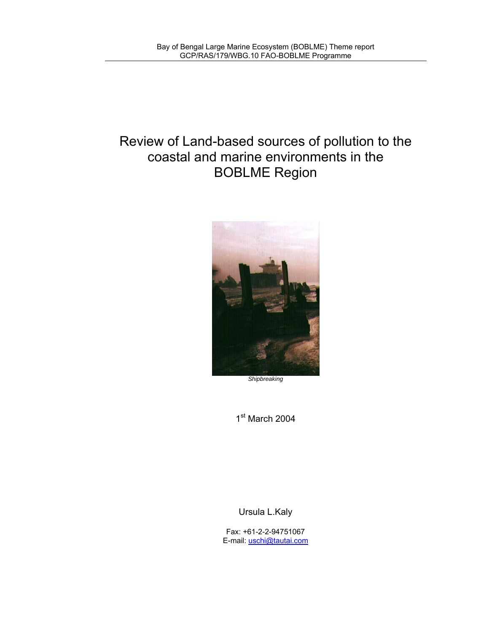# Review of Land-based sources of pollution to the coastal and marine environments in the BOBLME Region



1st March 2004

Ursula L.Kaly

Fax: +61-2-2-94751067 E-mail: uschi@tautai.com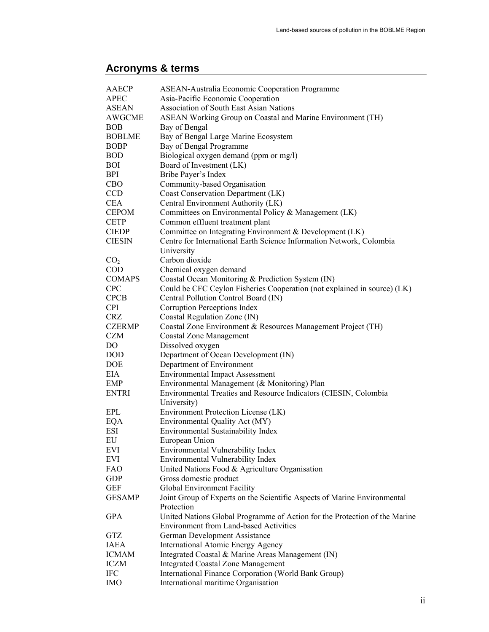## **Acronyms & terms**

| <b>AAECP</b>    | <b>ASEAN-Australia Economic Cooperation Programme</b>                              |  |  |
|-----------------|------------------------------------------------------------------------------------|--|--|
| <b>APEC</b>     | Asia-Pacific Economic Cooperation                                                  |  |  |
| <b>ASEAN</b>    | Association of South East Asian Nations                                            |  |  |
| <b>AWGCME</b>   | ASEAN Working Group on Coastal and Marine Environment (TH)                         |  |  |
| <b>BOB</b>      | Bay of Bengal                                                                      |  |  |
| <b>BOBLME</b>   | Bay of Bengal Large Marine Ecosystem                                               |  |  |
| <b>BOBP</b>     | Bay of Bengal Programme                                                            |  |  |
| <b>BOD</b>      | Biological oxygen demand (ppm or mg/l)                                             |  |  |
| <b>BOI</b>      | Board of Investment (LK)                                                           |  |  |
| BPI             | Bribe Payer's Index                                                                |  |  |
| <b>CBO</b>      | Community-based Organisation                                                       |  |  |
| <b>CCD</b>      | Coast Conservation Department (LK)                                                 |  |  |
| <b>CEA</b>      | Central Environment Authority (LK)                                                 |  |  |
| <b>CEPOM</b>    | Committees on Environmental Policy & Management (LK)                               |  |  |
| <b>CETP</b>     | Common effluent treatment plant                                                    |  |  |
|                 |                                                                                    |  |  |
| <b>CIEDP</b>    | Committee on Integrating Environment & Development (LK)                            |  |  |
| <b>CIESIN</b>   | Centre for International Earth Science Information Network, Colombia<br>University |  |  |
| CO <sub>2</sub> | Carbon dioxide                                                                     |  |  |
| <b>COD</b>      | Chemical oxygen demand                                                             |  |  |
| <b>COMAPS</b>   | Coastal Ocean Monitoring & Prediction System (IN)                                  |  |  |
| <b>CPC</b>      | Could be CFC Ceylon Fisheries Cooperation (not explained in source) (LK)           |  |  |
| <b>CPCB</b>     | Central Pollution Control Board (IN)                                               |  |  |
| <b>CPI</b>      | Corruption Perceptions Index                                                       |  |  |
| <b>CRZ</b>      | Coastal Regulation Zone (IN)                                                       |  |  |
| <b>CZERMP</b>   | Coastal Zone Environment & Resources Management Project (TH)                       |  |  |
| <b>CZM</b>      | <b>Coastal Zone Management</b>                                                     |  |  |
| DO              | Dissolved oxygen                                                                   |  |  |
| <b>DOD</b>      | Department of Ocean Development (IN)                                               |  |  |
| <b>DOE</b>      | Department of Environment                                                          |  |  |
| EIA             |                                                                                    |  |  |
|                 | <b>Environmental Impact Assessment</b>                                             |  |  |
| <b>EMP</b>      | Environmental Management (& Monitoring) Plan                                       |  |  |
| <b>ENTRI</b>    | Environmental Treaties and Resource Indicators (CIESIN, Colombia<br>University)    |  |  |
| EPL             | Environment Protection License (LK)                                                |  |  |
| EQA             | Environmental Quality Act (MY)                                                     |  |  |
| <b>ESI</b>      | Environmental Sustainability Index                                                 |  |  |
| EU              | European Union                                                                     |  |  |
| <b>EVI</b>      | Environmental Vulnerability Index                                                  |  |  |
| <b>EVI</b>      | Environmental Vulnerability Index                                                  |  |  |
| <b>FAO</b>      | United Nations Food & Agriculture Organisation                                     |  |  |
| <b>GDP</b>      | Gross domestic product                                                             |  |  |
| <b>GEF</b>      | Global Environment Facility                                                        |  |  |
| <b>GESAMP</b>   | Joint Group of Experts on the Scientific Aspects of Marine Environmental           |  |  |
|                 | Protection                                                                         |  |  |
| <b>GPA</b>      | United Nations Global Programme of Action for the Protection of the Marine         |  |  |
|                 | <b>Environment from Land-based Activities</b>                                      |  |  |
| <b>GTZ</b>      | German Development Assistance                                                      |  |  |
| <b>IAEA</b>     | International Atomic Energy Agency                                                 |  |  |
| <b>ICMAM</b>    | Integrated Coastal & Marine Areas Management (IN)                                  |  |  |
| <b>ICZM</b>     | <b>Integrated Coastal Zone Management</b>                                          |  |  |
| <b>IFC</b>      | International Finance Corporation (World Bank Group)                               |  |  |
| <b>IMO</b>      | International maritime Organisation                                                |  |  |
|                 |                                                                                    |  |  |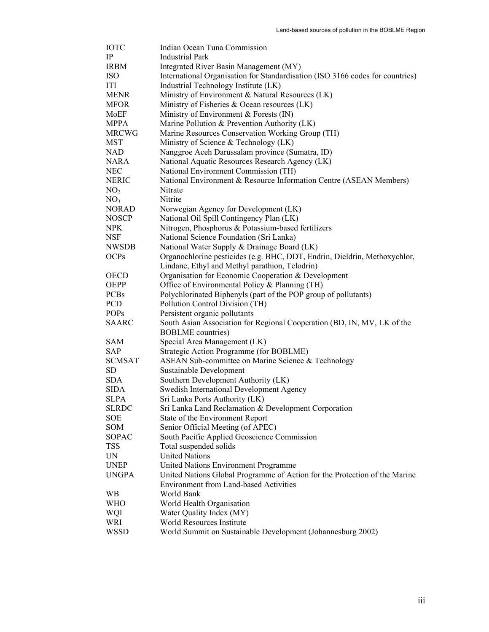| IOTC            | Indian Ocean Tuna Commission                                                  |  |  |
|-----------------|-------------------------------------------------------------------------------|--|--|
| IP              | <b>Industrial Park</b>                                                        |  |  |
| <b>IRBM</b>     | Integrated River Basin Management (MY)                                        |  |  |
| ISO             | International Organisation for Standardisation (ISO 3166 codes for countries) |  |  |
| ITI             | Industrial Technology Institute (LK)                                          |  |  |
| <b>MENR</b>     | Ministry of Environment & Natural Resources (LK)                              |  |  |
| MFOR            | Ministry of Fisheries & Ocean resources (LK)                                  |  |  |
| MoEF            | Ministry of Environment & Forests (IN)                                        |  |  |
| <b>MPPA</b>     | Marine Pollution & Prevention Authority (LK)                                  |  |  |
| <b>MRCWG</b>    | Marine Resources Conservation Working Group (TH)                              |  |  |
| MST             | Ministry of Science & Technology (LK)                                         |  |  |
| NAD             | Nanggroe Aceh Darussalam province (Sumatra, ID)                               |  |  |
| NARA            | National Aquatic Resources Research Agency (LK)                               |  |  |
| NEC             | National Environment Commission (TH)                                          |  |  |
| NERIC           | National Environment & Resource Information Centre (ASEAN Members)            |  |  |
| NO <sub>2</sub> | Nitrate                                                                       |  |  |
| NO <sub>3</sub> | Nitrite                                                                       |  |  |
| <b>NORAD</b>    | Norwegian Agency for Development (LK)                                         |  |  |
| NOSCP           | National Oil Spill Contingency Plan (LK)                                      |  |  |
| NPK             | Nitrogen, Phosphorus & Potassium-based fertilizers                            |  |  |
| NSF             | National Science Foundation (Sri Lanka)                                       |  |  |
| <b>NWSDB</b>    | National Water Supply & Drainage Board (LK)                                   |  |  |
| <b>OCPs</b>     | Organochlorine pesticides (e.g. BHC, DDT, Endrin, Dieldrin, Methoxychlor,     |  |  |
|                 | Lindane, Ethyl and Methyl parathion, Telodrin)                                |  |  |
| OECD            | Organisation for Economic Cooperation & Development                           |  |  |
| <b>OEPP</b>     | Office of Environmental Policy & Planning (TH)                                |  |  |
| <b>PCBs</b>     | Polychlorinated Biphenyls (part of the POP group of pollutants)               |  |  |
| PCD             | Pollution Control Division (TH)                                               |  |  |
| <b>POPs</b>     | Persistent organic pollutants                                                 |  |  |
| <b>SAARC</b>    | South Asian Association for Regional Cooperation (BD, IN, MV, LK of the       |  |  |
|                 | <b>BOBLME</b> countries)                                                      |  |  |
| SAM             | Special Area Management (LK)                                                  |  |  |
| SAP             | Strategic Action Programme (for BOBLME)                                       |  |  |
| <b>SCMSAT</b>   | ASEAN Sub-committee on Marine Science & Technology                            |  |  |
| SD              | Sustainable Development                                                       |  |  |
| <b>SDA</b>      | Southern Development Authority (LK)                                           |  |  |
| SIDA            | Swedish International Development Agency                                      |  |  |
| SLPA            | Sri Lanka Ports Authority (LK)                                                |  |  |
| <b>SLRDC</b>    | Sri Lanka Land Reclamation & Development Corporation                          |  |  |
| SOE             | State of the Environment Report                                               |  |  |
| SOM             | Senior Official Meeting (of APEC)                                             |  |  |
| SOPAC           | South Pacific Applied Geoscience Commission                                   |  |  |
| TSS             | Total suspended solids                                                        |  |  |
| UN              | <b>United Nations</b>                                                         |  |  |
| <b>UNEP</b>     | United Nations Environment Programme                                          |  |  |
| <b>UNGPA</b>    | United Nations Global Programme of Action for the Protection of the Marine    |  |  |
|                 | Environment from Land-based Activities                                        |  |  |
| WВ              | World Bank                                                                    |  |  |
| WHO             | World Health Organisation                                                     |  |  |
| WQI             | Water Quality Index (MY)                                                      |  |  |
| WRI             | World Resources Institute                                                     |  |  |
| WSSD            | World Summit on Sustainable Development (Johannesburg 2002)                   |  |  |
|                 |                                                                               |  |  |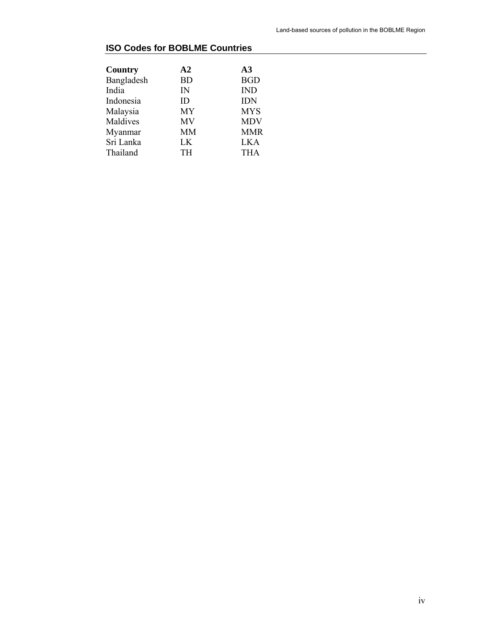## **ISO Codes for BOBLME Countries**

| A <sub>2</sub> | A <sub>3</sub> |
|----------------|----------------|
| <b>BD</b>      | <b>BGD</b>     |
| IN             | <b>IND</b>     |
| ID             | <b>IDN</b>     |
| <b>MY</b>      | <b>MYS</b>     |
| MV             | <b>MDV</b>     |
| <b>MM</b>      | <b>MMR</b>     |
| LK             | <b>LKA</b>     |
| <b>TH</b>      | THA            |
|                |                |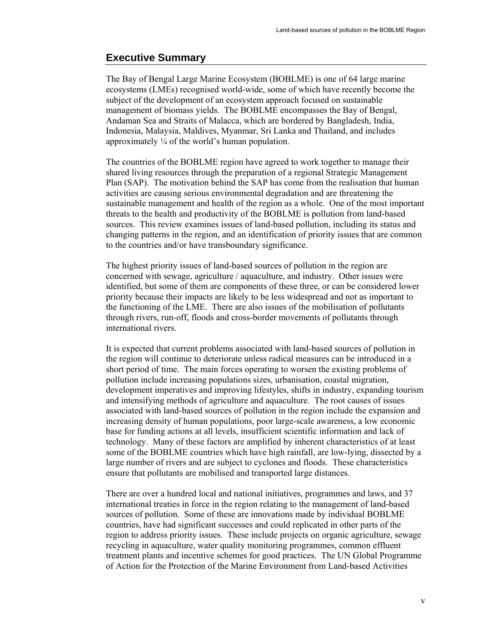## **Executive Summary**

The Bay of Bengal Large Marine Ecosystem (BOBLME) is one of 64 large marine ecosystems (LMEs) recognised world-wide, some of which have recently become the subject of the development of an ecosystem approach focused on sustainable management of biomass yields. The BOBLME encompasses the Bay of Bengal, Andaman Sea and Straits of Malacca, which are bordered by Bangladesh, India, Indonesia, Malaysia, Maldives, Myanmar, Sri Lanka and Thailand, and includes approximately  $\frac{1}{4}$  of the world's human population.

The countries of the BOBLME region have agreed to work together to manage their shared living resources through the preparation of a regional Strategic Management Plan (SAP). The motivation behind the SAP has come from the realisation that human activities are causing serious environmental degradation and are threatening the sustainable management and health of the region as a whole. One of the most important threats to the health and productivity of the BOBLME is pollution from land-based sources. This review examines issues of land-based pollution, including its status and changing patterns in the region, and an identification of priority issues that are common to the countries and/or have transboundary significance.

The highest priority issues of land-based sources of pollution in the region are concerned with sewage, agriculture / aquaculture, and industry. Other issues were identified, but some of them are components of these three, or can be considered lower priority because their impacts are likely to be less widespread and not as important to the functioning of the LME. There are also issues of the mobilisation of pollutants through rivers, run-off, floods and cross-border movements of pollutants through international rivers.

It is expected that current problems associated with land-based sources of pollution in the region will continue to deteriorate unless radical measures can be introduced in a short period of time. The main forces operating to worsen the existing problems of pollution include increasing populations sizes, urbanisation, coastal migration, development imperatives and improving lifestyles, shifts in industry, expanding tourism and intensifying methods of agriculture and aquaculture. The root causes of issues associated with land-based sources of pollution in the region include the expansion and increasing density of human populations, poor large-scale awareness, a low economic base for funding actions at all levels, insufficient scientific information and lack of technology. Many of these factors are amplified by inherent characteristics of at least some of the BOBLME countries which have high rainfall, are low-lying, dissected by a large number of rivers and are subject to cyclones and floods. These characteristics ensure that pollutants are mobilised and transported large distances.

There are over a hundred local and national initiatives, programmes and laws, and 37 international treaties in force in the region relating to the management of land-based sources of pollution. Some of these are innovations made by individual BOBLME countries, have had significant successes and could replicated in other parts of the region to address priority issues. These include projects on organic agriculture, sewage recycling in aquaculture, water quality monitoring programmes, common effluent treatment plants and incentive schemes for good practices. The UN Global Programme of Action for the Protection of the Marine Environment from Land-based Activities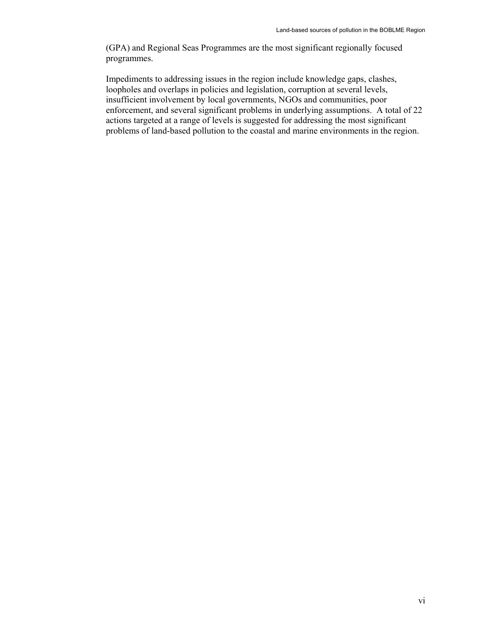(GPA) and Regional Seas Programmes are the most significant regionally focused programmes.

Impediments to addressing issues in the region include knowledge gaps, clashes, loopholes and overlaps in policies and legislation, corruption at several levels, insufficient involvement by local governments, NGOs and communities, poor enforcement, and several significant problems in underlying assumptions. A total of 22 actions targeted at a range of levels is suggested for addressing the most significant problems of land-based pollution to the coastal and marine environments in the region.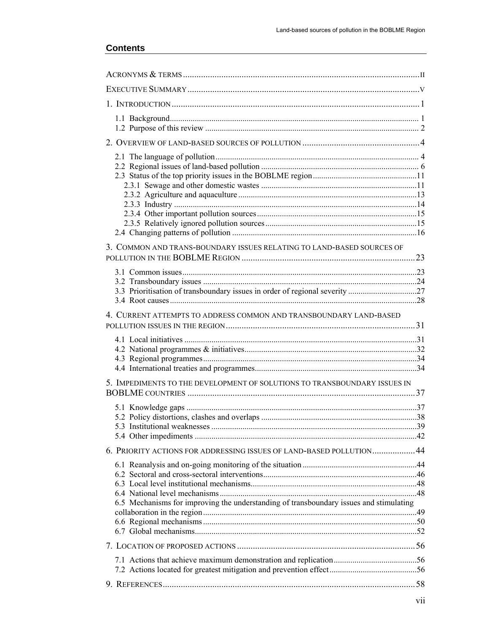| 3. COMMON AND TRANS-BOUNDARY ISSUES RELATING TO LAND-BASED SOURCES OF                  |  |
|----------------------------------------------------------------------------------------|--|
|                                                                                        |  |
|                                                                                        |  |
|                                                                                        |  |
| 4. CURRENT ATTEMPTS TO ADDRESS COMMON AND TRANSBOUNDARY LAND-BASED                     |  |
|                                                                                        |  |
|                                                                                        |  |
|                                                                                        |  |
| 5. IMPEDIMENTS TO THE DEVELOPMENT OF SOLUTIONS TO TRANSBOUNDARY ISSUES IN              |  |
|                                                                                        |  |
|                                                                                        |  |
|                                                                                        |  |
| 6. PRIORITY ACTIONS FOR ADDRESSING ISSUES OF LAND-BASED POLLUTION 44                   |  |
|                                                                                        |  |
|                                                                                        |  |
|                                                                                        |  |
| 6.5 Mechanisms for improving the understanding of transboundary issues and stimulating |  |
|                                                                                        |  |
|                                                                                        |  |
|                                                                                        |  |
|                                                                                        |  |
|                                                                                        |  |
|                                                                                        |  |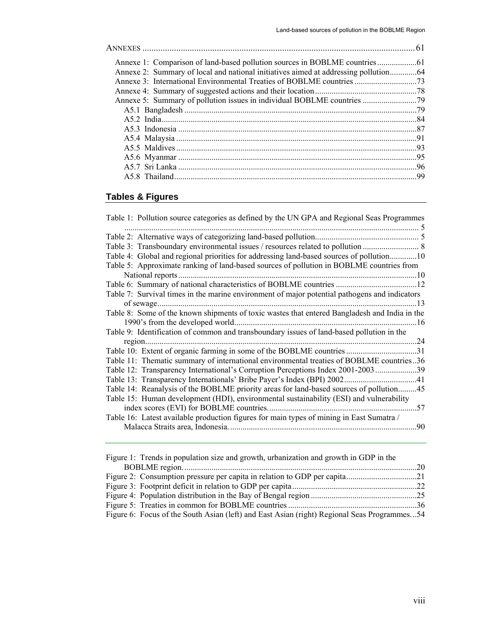| -99 |
|-----|
|     |

## **Tables & Figures**

| Table 1: Pollution source categories as defined by the UN GPA and Regional Seas Programmes    |  |
|-----------------------------------------------------------------------------------------------|--|
|                                                                                               |  |
|                                                                                               |  |
|                                                                                               |  |
| Table 4: Global and regional priorities for addressing land-based sources of pollution10      |  |
| Table 5: Approximate ranking of land-based sources of pollution in BOBLME countries from      |  |
| National reports                                                                              |  |
|                                                                                               |  |
| Table 7: Survival times in the marine environment of major potential pathogens and indicators |  |
| . 13                                                                                          |  |
| Table 8: Some of the known shipments of toxic wastes that entered Bangladesh and India in the |  |
| 1990's from the developed world                                                               |  |
| Table 9: Identification of common and transboundary issues of land-based pollution in the     |  |
|                                                                                               |  |
|                                                                                               |  |
| Table 11: Thematic summary of international environmental treaties of BOBLME countries36      |  |
| Table 12: Transparency International's Corruption Perceptions Index 2001-200339               |  |
|                                                                                               |  |
| Table 14: Reanalysis of the BOBLME priority areas for land-based sources of pollution45       |  |
| Table 15: Human development (HDI), environmental sustainability (ESI) and vulnerability       |  |
|                                                                                               |  |
| Table 16: Latest available production figures for main types of mining in East Sumatra /      |  |
| .90                                                                                           |  |
|                                                                                               |  |

| Figure 1: Trends in population size and growth, urbanization and growth in GDP in the       |  |
|---------------------------------------------------------------------------------------------|--|
|                                                                                             |  |
|                                                                                             |  |
|                                                                                             |  |
|                                                                                             |  |
|                                                                                             |  |
| Figure 6: Focus of the South Asian (left) and East Asian (right) Regional Seas Programmes54 |  |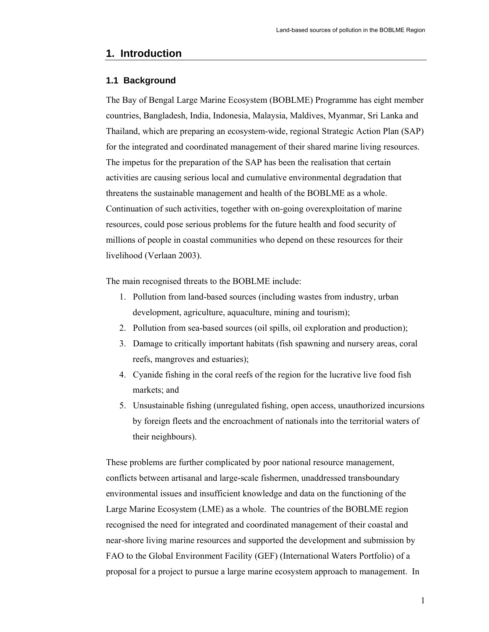## **1. Introduction**

## **1.1 Background**

The Bay of Bengal Large Marine Ecosystem (BOBLME) Programme has eight member countries, Bangladesh, India, Indonesia, Malaysia, Maldives, Myanmar, Sri Lanka and Thailand, which are preparing an ecosystem-wide, regional Strategic Action Plan (SAP) for the integrated and coordinated management of their shared marine living resources. The impetus for the preparation of the SAP has been the realisation that certain activities are causing serious local and cumulative environmental degradation that threatens the sustainable management and health of the BOBLME as a whole. Continuation of such activities, together with on-going overexploitation of marine resources, could pose serious problems for the future health and food security of millions of people in coastal communities who depend on these resources for their livelihood (Verlaan 2003).

The main recognised threats to the BOBLME include:

- 1. Pollution from land-based sources (including wastes from industry, urban development, agriculture, aquaculture, mining and tourism);
- 2. Pollution from sea-based sources (oil spills, oil exploration and production);
- 3. Damage to critically important habitats (fish spawning and nursery areas, coral reefs, mangroves and estuaries);
- 4. Cyanide fishing in the coral reefs of the region for the lucrative live food fish markets; and
- 5. Unsustainable fishing (unregulated fishing, open access, unauthorized incursions by foreign fleets and the encroachment of nationals into the territorial waters of their neighbours).

These problems are further complicated by poor national resource management, conflicts between artisanal and large-scale fishermen, unaddressed transboundary environmental issues and insufficient knowledge and data on the functioning of the Large Marine Ecosystem (LME) as a whole. The countries of the BOBLME region recognised the need for integrated and coordinated management of their coastal and near-shore living marine resources and supported the development and submission by FAO to the Global Environment Facility (GEF) (International Waters Portfolio) of a proposal for a project to pursue a large marine ecosystem approach to management. In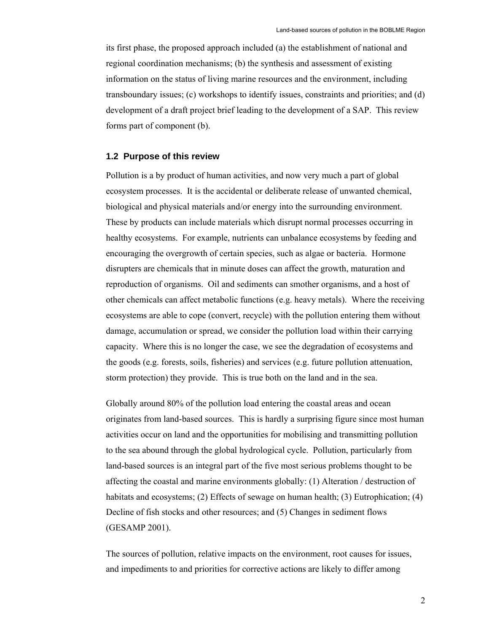its first phase, the proposed approach included (a) the establishment of national and regional coordination mechanisms; (b) the synthesis and assessment of existing information on the status of living marine resources and the environment, including transboundary issues; (c) workshops to identify issues, constraints and priorities; and (d) development of a draft project brief leading to the development of a SAP. This review forms part of component (b).

#### **1.2 Purpose of this review**

Pollution is a by product of human activities, and now very much a part of global ecosystem processes. It is the accidental or deliberate release of unwanted chemical, biological and physical materials and/or energy into the surrounding environment. These by products can include materials which disrupt normal processes occurring in healthy ecosystems. For example, nutrients can unbalance ecosystems by feeding and encouraging the overgrowth of certain species, such as algae or bacteria. Hormone disrupters are chemicals that in minute doses can affect the growth, maturation and reproduction of organisms. Oil and sediments can smother organisms, and a host of other chemicals can affect metabolic functions (e.g. heavy metals). Where the receiving ecosystems are able to cope (convert, recycle) with the pollution entering them without damage, accumulation or spread, we consider the pollution load within their carrying capacity. Where this is no longer the case, we see the degradation of ecosystems and the goods (e.g. forests, soils, fisheries) and services (e.g. future pollution attenuation, storm protection) they provide. This is true both on the land and in the sea.

Globally around 80% of the pollution load entering the coastal areas and ocean originates from land-based sources. This is hardly a surprising figure since most human activities occur on land and the opportunities for mobilising and transmitting pollution to the sea abound through the global hydrological cycle. Pollution, particularly from land-based sources is an integral part of the five most serious problems thought to be affecting the coastal and marine environments globally: (1) Alteration / destruction of habitats and ecosystems; (2) Effects of sewage on human health; (3) Eutrophication; (4) Decline of fish stocks and other resources; and (5) Changes in sediment flows (GESAMP 2001).

The sources of pollution, relative impacts on the environment, root causes for issues, and impediments to and priorities for corrective actions are likely to differ among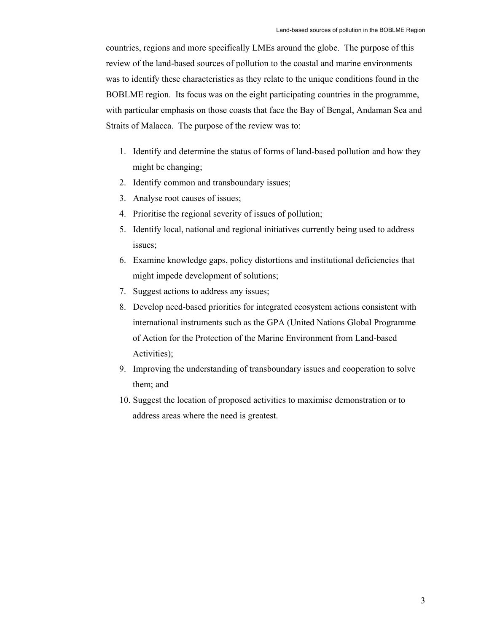countries, regions and more specifically LMEs around the globe. The purpose of this review of the land-based sources of pollution to the coastal and marine environments was to identify these characteristics as they relate to the unique conditions found in the BOBLME region. Its focus was on the eight participating countries in the programme, with particular emphasis on those coasts that face the Bay of Bengal, Andaman Sea and Straits of Malacca. The purpose of the review was to:

- 1. Identify and determine the status of forms of land-based pollution and how they might be changing;
- 2. Identify common and transboundary issues;
- 3. Analyse root causes of issues;
- 4. Prioritise the regional severity of issues of pollution;
- 5. Identify local, national and regional initiatives currently being used to address issues;
- 6. Examine knowledge gaps, policy distortions and institutional deficiencies that might impede development of solutions;
- 7. Suggest actions to address any issues;
- 8. Develop need-based priorities for integrated ecosystem actions consistent with international instruments such as the GPA (United Nations Global Programme of Action for the Protection of the Marine Environment from Land-based Activities);
- 9. Improving the understanding of transboundary issues and cooperation to solve them; and
- 10. Suggest the location of proposed activities to maximise demonstration or to address areas where the need is greatest.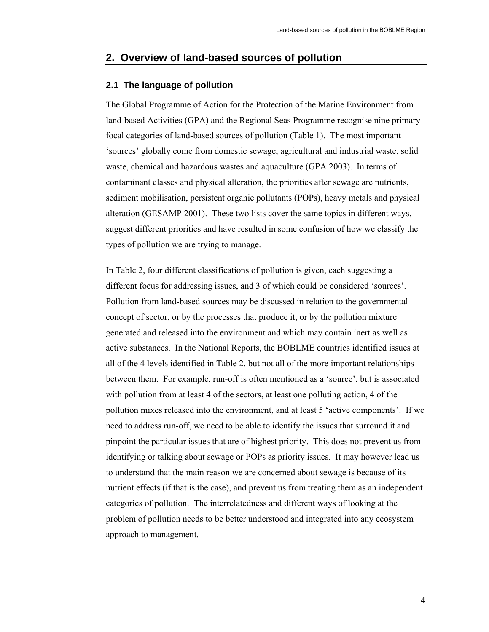## **2. Overview of land-based sources of pollution**

## **2.1 The language of pollution**

The Global Programme of Action for the Protection of the Marine Environment from land-based Activities (GPA) and the Regional Seas Programme recognise nine primary focal categories of land-based sources of pollution (Table 1). The most important 'sources' globally come from domestic sewage, agricultural and industrial waste, solid waste, chemical and hazardous wastes and aquaculture (GPA 2003). In terms of contaminant classes and physical alteration, the priorities after sewage are nutrients, sediment mobilisation, persistent organic pollutants (POPs), heavy metals and physical alteration (GESAMP 2001). These two lists cover the same topics in different ways, suggest different priorities and have resulted in some confusion of how we classify the types of pollution we are trying to manage.

In Table 2, four different classifications of pollution is given, each suggesting a different focus for addressing issues, and 3 of which could be considered 'sources'. Pollution from land-based sources may be discussed in relation to the governmental concept of sector, or by the processes that produce it, or by the pollution mixture generated and released into the environment and which may contain inert as well as active substances. In the National Reports, the BOBLME countries identified issues at all of the 4 levels identified in Table 2, but not all of the more important relationships between them. For example, run-off is often mentioned as a 'source', but is associated with pollution from at least 4 of the sectors, at least one polluting action, 4 of the pollution mixes released into the environment, and at least 5 'active components'. If we need to address run-off, we need to be able to identify the issues that surround it and pinpoint the particular issues that are of highest priority. This does not prevent us from identifying or talking about sewage or POPs as priority issues. It may however lead us to understand that the main reason we are concerned about sewage is because of its nutrient effects (if that is the case), and prevent us from treating them as an independent categories of pollution. The interrelatedness and different ways of looking at the problem of pollution needs to be better understood and integrated into any ecosystem approach to management.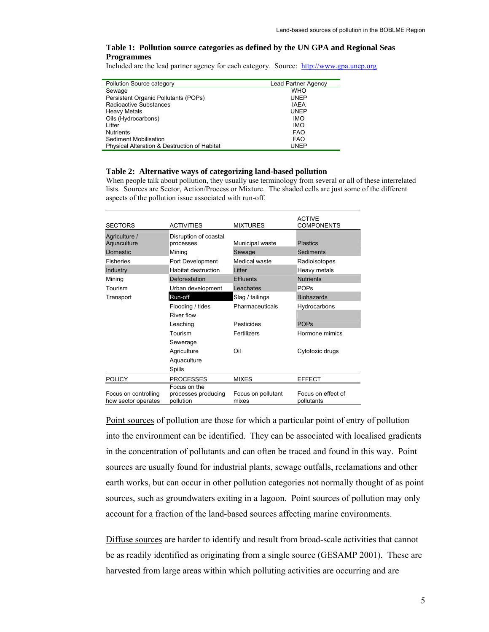#### **Table 1: Pollution source categories as defined by the UN GPA and Regional Seas Programmes**

Included are the lead partner agency for each category. Source: http://www.gpa.unep.org

| Pollution Source category                    | <b>Lead Partner Agency</b> |
|----------------------------------------------|----------------------------|
| Sewage                                       | <b>WHO</b>                 |
| Persistent Organic Pollutants (POPs)         | <b>UNEP</b>                |
| Radioactive Substances                       | <b>IAEA</b>                |
| <b>Heavy Metals</b>                          | <b>UNEP</b>                |
| Oils (Hydrocarbons)                          | <b>IMO</b>                 |
| Litter                                       | <b>IMO</b>                 |
| <b>Nutrients</b>                             | <b>FAO</b>                 |
| Sediment Mobilisation                        | <b>FAO</b>                 |
| Physical Alteration & Destruction of Habitat | <b>UNEP</b>                |

#### **Table 2: Alternative ways of categorizing land-based pollution**

When people talk about pollution, they usually use terminology from several or all of these interrelated lists. Sources are Sector, Action/Process or Mixture. The shaded cells are just some of the different aspects of the pollution issue associated with run-off.

| <b>SECTORS</b>                              | <b>ACTIVITIES</b>                  | <b>MIXTURES</b>             | <b>ACTIVE</b><br><b>COMPONENTS</b> |
|---------------------------------------------|------------------------------------|-----------------------------|------------------------------------|
| Agriculture /<br>Aquaculture                | Disruption of coastal<br>processes | Municipal waste             | <b>Plastics</b>                    |
| Domestic                                    | Mining                             | Sewage                      | Sediments                          |
| <b>Fisheries</b>                            | Port Development                   | Medical waste               | Radioisotopes                      |
| Industry                                    | <b>Habitat destruction</b>         | Litter                      | Heavy metals                       |
| Mining                                      | Deforestation                      | <b>Effluents</b>            | <b>Nutrients</b>                   |
| Tourism                                     | Urban development                  | Leachates                   | <b>POPs</b>                        |
| Transport                                   | Run-off                            | Slag / tailings             | <b>Biohazards</b>                  |
|                                             | Flooding / tides                   | Pharmaceuticals             | Hydrocarbons                       |
|                                             | River flow                         |                             |                                    |
|                                             | Leaching                           | Pesticides                  | <b>POPs</b>                        |
|                                             | Tourism                            | Fertilizers                 | Hormone mimics                     |
|                                             | Sewerage                           |                             |                                    |
|                                             | Agriculture                        | Oil                         | Cytotoxic drugs                    |
|                                             | Aquaculture                        |                             |                                    |
|                                             | Spills                             |                             |                                    |
| <b>POLICY</b>                               | <b>PROCESSES</b>                   | <b>MIXES</b>                | <b>EFFECT</b>                      |
|                                             | Focus on the                       |                             |                                    |
| Focus on controlling<br>how sector operates | processes producing<br>pollution   | Focus on pollutant<br>mixes | Focus on effect of<br>pollutants   |

Point sources of pollution are those for which a particular point of entry of pollution into the environment can be identified. They can be associated with localised gradients in the concentration of pollutants and can often be traced and found in this way. Point sources are usually found for industrial plants, sewage outfalls, reclamations and other earth works, but can occur in other pollution categories not normally thought of as point sources, such as groundwaters exiting in a lagoon. Point sources of pollution may only account for a fraction of the land-based sources affecting marine environments.

Diffuse sources are harder to identify and result from broad-scale activities that cannot be as readily identified as originating from a single source (GESAMP 2001). These are harvested from large areas within which polluting activities are occurring and are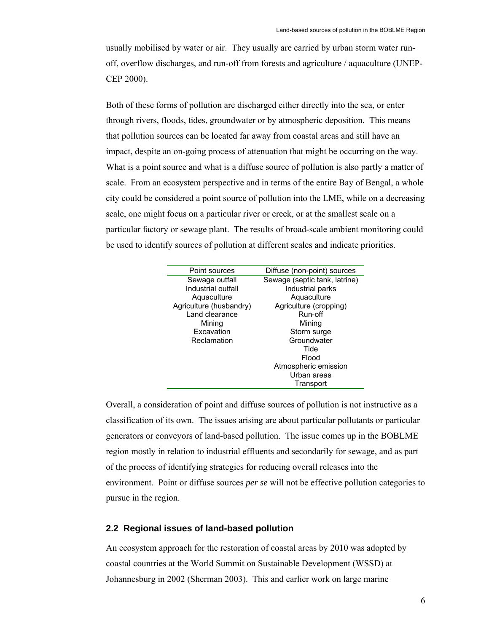usually mobilised by water or air. They usually are carried by urban storm water runoff, overflow discharges, and run-off from forests and agriculture / aquaculture (UNEP-CEP 2000).

Both of these forms of pollution are discharged either directly into the sea, or enter through rivers, floods, tides, groundwater or by atmospheric deposition. This means that pollution sources can be located far away from coastal areas and still have an impact, despite an on-going process of attenuation that might be occurring on the way. What is a point source and what is a diffuse source of pollution is also partly a matter of scale. From an ecosystem perspective and in terms of the entire Bay of Bengal, a whole city could be considered a point source of pollution into the LME, while on a decreasing scale, one might focus on a particular river or creek, or at the smallest scale on a particular factory or sewage plant. The results of broad-scale ambient monitoring could be used to identify sources of pollution at different scales and indicate priorities.

| Point sources           | Diffuse (non-point) sources   |
|-------------------------|-------------------------------|
| Sewage outfall          | Sewage (septic tank, latrine) |
| Industrial outfall      | Industrial parks              |
| Aquaculture             | Aquaculture                   |
| Agriculture (husbandry) | Agriculture (cropping)        |
| Land clearance          | Run-off                       |
| Mining                  | Mining                        |
| Excavation              | Storm surge                   |
| Reclamation             | Groundwater                   |
|                         | Tide                          |
|                         | Flood                         |
|                         | Atmospheric emission          |
|                         | Urban areas                   |
|                         | Transport                     |
|                         |                               |

Overall, a consideration of point and diffuse sources of pollution is not instructive as a classification of its own. The issues arising are about particular pollutants or particular generators or conveyors of land-based pollution. The issue comes up in the BOBLME region mostly in relation to industrial effluents and secondarily for sewage, and as part of the process of identifying strategies for reducing overall releases into the environment. Point or diffuse sources *per se* will not be effective pollution categories to pursue in the region.

## **2.2 Regional issues of land-based pollution**

An ecosystem approach for the restoration of coastal areas by 2010 was adopted by coastal countries at the World Summit on Sustainable Development (WSSD) at Johannesburg in 2002 (Sherman 2003). This and earlier work on large marine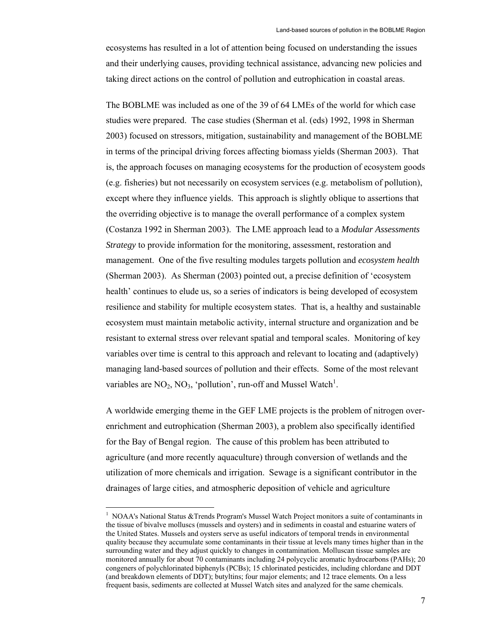ecosystems has resulted in a lot of attention being focused on understanding the issues and their underlying causes, providing technical assistance, advancing new policies and taking direct actions on the control of pollution and eutrophication in coastal areas.

The BOBLME was included as one of the 39 of 64 LMEs of the world for which case studies were prepared. The case studies (Sherman et al. (eds) 1992, 1998 in Sherman 2003) focused on stressors, mitigation, sustainability and management of the BOBLME in terms of the principal driving forces affecting biomass yields (Sherman 2003). That is, the approach focuses on managing ecosystems for the production of ecosystem goods (e.g. fisheries) but not necessarily on ecosystem services (e.g. metabolism of pollution), except where they influence yields. This approach is slightly oblique to assertions that the overriding objective is to manage the overall performance of a complex system (Costanza 1992 in Sherman 2003). The LME approach lead to a *Modular Assessments Strategy* to provide information for the monitoring, assessment, restoration and management. One of the five resulting modules targets pollution and *ecosystem health* (Sherman 2003). As Sherman (2003) pointed out, a precise definition of 'ecosystem health' continues to elude us, so a series of indicators is being developed of ecosystem resilience and stability for multiple ecosystem states. That is, a healthy and sustainable ecosystem must maintain metabolic activity, internal structure and organization and be resistant to external stress over relevant spatial and temporal scales. Monitoring of key variables over time is central to this approach and relevant to locating and (adaptively) managing land-based sources of pollution and their effects. Some of the most relevant variables are  $NO_2$ ,  $NO_3$ , 'pollution', run-off and Mussel Watch<sup>1</sup>.

A worldwide emerging theme in the GEF LME projects is the problem of nitrogen overenrichment and eutrophication (Sherman 2003), a problem also specifically identified for the Bay of Bengal region. The cause of this problem has been attributed to agriculture (and more recently aquaculture) through conversion of wetlands and the utilization of more chemicals and irrigation. Sewage is a significant contributor in the drainages of large cities, and atmospheric deposition of vehicle and agriculture

 $\overline{a}$ 

<sup>1</sup> NOAA's National Status &Trends Program's Mussel Watch Project monitors a suite of contaminants in the tissue of bivalve molluscs (mussels and oysters) and in sediments in coastal and estuarine waters of the United States. Mussels and oysters serve as useful indicators of temporal trends in environmental quality because they accumulate some contaminants in their tissue at levels many times higher than in the surrounding water and they adjust quickly to changes in contamination. Molluscan tissue samples are monitored annually for about 70 contaminants including 24 polycyclic aromatic hydrocarbons (PAHs); 20 congeners of polychlorinated biphenyls (PCBs); 15 chlorinated pesticides, including chlordane and DDT (and breakdown elements of DDT); butyltins; four major elements; and 12 trace elements. On a less frequent basis, sediments are collected at Mussel Watch sites and analyzed for the same chemicals.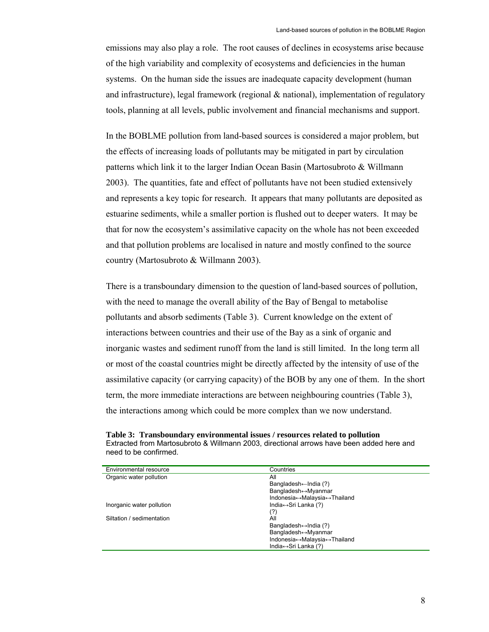emissions may also play a role. The root causes of declines in ecosystems arise because of the high variability and complexity of ecosystems and deficiencies in the human systems. On the human side the issues are inadequate capacity development (human and infrastructure), legal framework (regional & national), implementation of regulatory tools, planning at all levels, public involvement and financial mechanisms and support.

In the BOBLME pollution from land-based sources is considered a major problem, but the effects of increasing loads of pollutants may be mitigated in part by circulation patterns which link it to the larger Indian Ocean Basin (Martosubroto & Willmann 2003). The quantities, fate and effect of pollutants have not been studied extensively and represents a key topic for research. It appears that many pollutants are deposited as estuarine sediments, while a smaller portion is flushed out to deeper waters. It may be that for now the ecosystem's assimilative capacity on the whole has not been exceeded and that pollution problems are localised in nature and mostly confined to the source country (Martosubroto & Willmann 2003).

There is a transboundary dimension to the question of land-based sources of pollution, with the need to manage the overall ability of the Bay of Bengal to metabolise pollutants and absorb sediments (Table 3). Current knowledge on the extent of interactions between countries and their use of the Bay as a sink of organic and inorganic wastes and sediment runoff from the land is still limited. In the long term all or most of the coastal countries might be directly affected by the intensity of use of the assimilative capacity (or carrying capacity) of the BOB by any one of them. In the short term, the more immediate interactions are between neighbouring countries (Table 3), the interactions among which could be more complex than we now understand.

| Table 3: Transboundary environmental issues / resources related to pollution             |
|------------------------------------------------------------------------------------------|
| Extracted from Martosubroto & Willmann 2003, directional arrows have been added here and |
| need to be confirmed.                                                                    |

| Countries                              |
|----------------------------------------|
| All                                    |
| Bangladesh $\leftarrow$ India (?)      |
| Bangladesh↔Myanmar                     |
| Indonesia↔Malaysia↔Thailand            |
| India↔ Sri Lanka (?)                   |
| (?)                                    |
| All                                    |
| Bangladesh $\leftrightarrow$ India (?) |
| Bangladesh↔Myanmar                     |
| Indonesia↔Malaysia↔Thailand            |
| India↔ Sri Lanka (?)                   |
|                                        |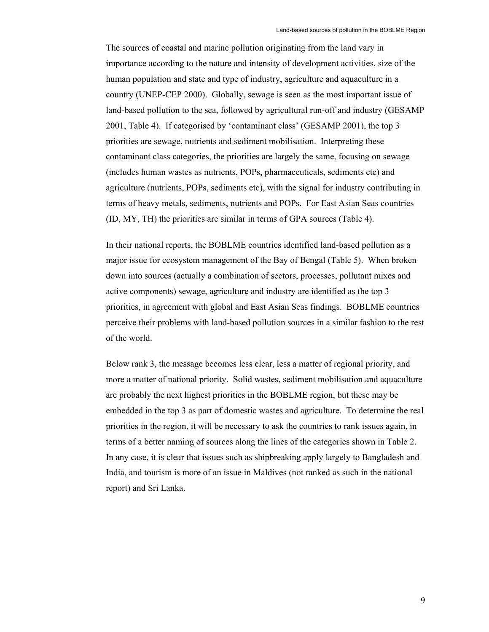The sources of coastal and marine pollution originating from the land vary in importance according to the nature and intensity of development activities, size of the human population and state and type of industry, agriculture and aquaculture in a country (UNEP-CEP 2000). Globally, sewage is seen as the most important issue of land-based pollution to the sea, followed by agricultural run-off and industry (GESAMP 2001, Table 4). If categorised by 'contaminant class' (GESAMP 2001), the top 3 priorities are sewage, nutrients and sediment mobilisation. Interpreting these contaminant class categories, the priorities are largely the same, focusing on sewage (includes human wastes as nutrients, POPs, pharmaceuticals, sediments etc) and agriculture (nutrients, POPs, sediments etc), with the signal for industry contributing in terms of heavy metals, sediments, nutrients and POPs. For East Asian Seas countries (ID, MY, TH) the priorities are similar in terms of GPA sources (Table 4).

In their national reports, the BOBLME countries identified land-based pollution as a major issue for ecosystem management of the Bay of Bengal (Table 5). When broken down into sources (actually a combination of sectors, processes, pollutant mixes and active components) sewage, agriculture and industry are identified as the top 3 priorities, in agreement with global and East Asian Seas findings. BOBLME countries perceive their problems with land-based pollution sources in a similar fashion to the rest of the world.

Below rank 3, the message becomes less clear, less a matter of regional priority, and more a matter of national priority. Solid wastes, sediment mobilisation and aquaculture are probably the next highest priorities in the BOBLME region, but these may be embedded in the top 3 as part of domestic wastes and agriculture. To determine the real priorities in the region, it will be necessary to ask the countries to rank issues again, in terms of a better naming of sources along the lines of the categories shown in Table 2. In any case, it is clear that issues such as shipbreaking apply largely to Bangladesh and India, and tourism is more of an issue in Maldives (not ranked as such in the national report) and Sri Lanka.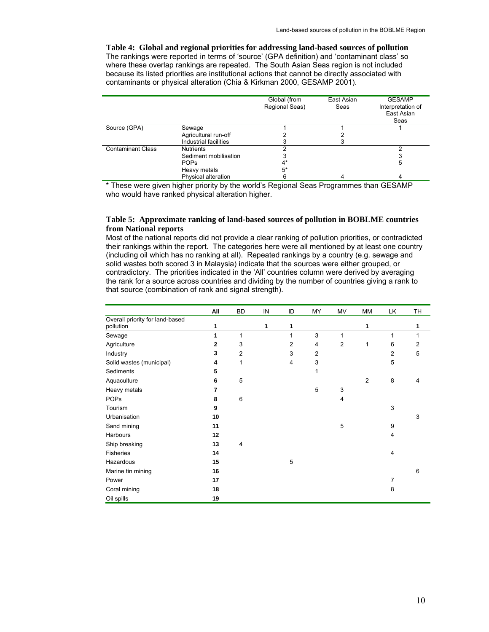**Table 4: Global and regional priorities for addressing land-based sources of pollution**  The rankings were reported in terms of 'source' (GPA definition) and 'contaminant class' so where these overlap rankings are repeated. The South Asian Seas region is not included because its listed priorities are institutional actions that cannot be directly associated with contaminants or physical alteration (Chia & Kirkman 2000, GESAMP 2001).

|                          |                       | Global (from<br>Regional Seas) | East Asian<br>Seas | <b>GESAMP</b><br>Interpretation of<br>East Asian<br>Seas |
|--------------------------|-----------------------|--------------------------------|--------------------|----------------------------------------------------------|
| Source (GPA)             | Sewage                |                                |                    |                                                          |
|                          | Agricultural run-off  |                                |                    |                                                          |
|                          | Industrial facilities |                                |                    |                                                          |
| <b>Contaminant Class</b> | <b>Nutrients</b>      |                                |                    |                                                          |
|                          | Sediment mobilisation |                                |                    |                                                          |
|                          | <b>POPs</b>           | 4*                             |                    | 5                                                        |
|                          | Heavy metals          | 5*                             |                    |                                                          |
|                          | Physical alteration   |                                |                    | 4                                                        |

\* These were given higher priority by the world's Regional Seas Programmes than GESAMP who would have ranked physical alteration higher.

#### **Table 5: Approximate ranking of land-based sources of pollution in BOBLME countries from National reports**

Most of the national reports did not provide a clear ranking of pollution priorities, or contradicted their rankings within the report. The categories here were all mentioned by at least one country (including oil which has no ranking at all). Repeated rankings by a country (e.g. sewage and solid wastes both scored 3 in Malaysia) indicate that the sources were either grouped, or contradictory. The priorities indicated in the 'All' countries column were derived by averaging the rank for a source across countries and dividing by the number of countries giving a rank to that source (combination of rank and signal strength).

|                                 | All | <b>BD</b>      | IN | ID | MY | MV             | MM             | LK | <b>TH</b> |
|---------------------------------|-----|----------------|----|----|----|----------------|----------------|----|-----------|
| Overall priority for land-based |     |                |    |    |    |                |                |    |           |
| pollution                       | 1   |                | 1  | 1  |    |                | 1              |    | 1         |
| Sewage                          | 1   | 1              |    | 1  | 3  | 1              |                | 1  | 1         |
| Agriculture                     | 2   | 3              |    | 2  | 4  | $\overline{2}$ | 1              | 6  | 2         |
| Industry                        | 3   | $\overline{2}$ |    | 3  | 2  |                |                | 2  | 5         |
| Solid wastes (municipal)        | 4   | 1              |    | 4  | 3  |                |                | 5  |           |
| Sediments                       | 5   |                |    |    | 1  |                |                |    |           |
| Aquaculture                     | 6   | 5              |    |    |    |                | $\overline{2}$ | 8  | 4         |
| Heavy metals                    | 7   |                |    |    | 5  | 3              |                |    |           |
| <b>POPs</b>                     | 8   | 6              |    |    |    | 4              |                |    |           |
| Tourism                         | 9   |                |    |    |    |                |                | 3  |           |
| Urbanisation                    | 10  |                |    |    |    |                |                |    | 3         |
| Sand mining                     | 11  |                |    |    |    | 5              |                | 9  |           |
| Harbours                        | 12  |                |    |    |    |                |                | 4  |           |
| Ship breaking                   | 13  | $\overline{4}$ |    |    |    |                |                |    |           |
| Fisheries                       | 14  |                |    |    |    |                |                | 4  |           |
| Hazardous                       | 15  |                |    | 5  |    |                |                |    |           |
| Marine tin mining               | 16  |                |    |    |    |                |                |    | 6         |
| Power                           | 17  |                |    |    |    |                |                | 7  |           |
| Coral mining                    | 18  |                |    |    |    |                |                | 8  |           |
| Oil spills                      | 19  |                |    |    |    |                |                |    |           |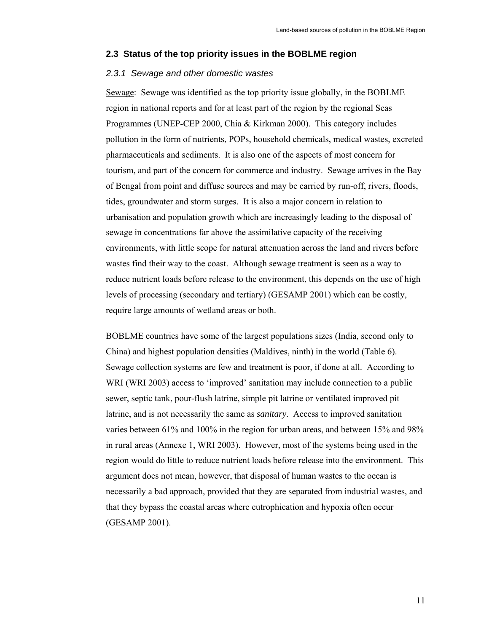#### **2.3 Status of the top priority issues in the BOBLME region**

#### *2.3.1 Sewage and other domestic wastes*

Sewage: Sewage was identified as the top priority issue globally, in the BOBLME region in national reports and for at least part of the region by the regional Seas Programmes (UNEP-CEP 2000, Chia & Kirkman 2000). This category includes pollution in the form of nutrients, POPs, household chemicals, medical wastes, excreted pharmaceuticals and sediments. It is also one of the aspects of most concern for tourism, and part of the concern for commerce and industry. Sewage arrives in the Bay of Bengal from point and diffuse sources and may be carried by run-off, rivers, floods, tides, groundwater and storm surges. It is also a major concern in relation to urbanisation and population growth which are increasingly leading to the disposal of sewage in concentrations far above the assimilative capacity of the receiving environments, with little scope for natural attenuation across the land and rivers before wastes find their way to the coast. Although sewage treatment is seen as a way to reduce nutrient loads before release to the environment, this depends on the use of high levels of processing (secondary and tertiary) (GESAMP 2001) which can be costly, require large amounts of wetland areas or both.

BOBLME countries have some of the largest populations sizes (India, second only to China) and highest population densities (Maldives, ninth) in the world (Table 6). Sewage collection systems are few and treatment is poor, if done at all. According to WRI (WRI 2003) access to 'improved' sanitation may include connection to a public sewer, septic tank, pour-flush latrine, simple pit latrine or ventilated improved pit latrine, and is not necessarily the same as *sanitary*. Access to improved sanitation varies between 61% and 100% in the region for urban areas, and between 15% and 98% in rural areas (Annexe 1, WRI 2003). However, most of the systems being used in the region would do little to reduce nutrient loads before release into the environment. This argument does not mean, however, that disposal of human wastes to the ocean is necessarily a bad approach, provided that they are separated from industrial wastes, and that they bypass the coastal areas where eutrophication and hypoxia often occur (GESAMP 2001).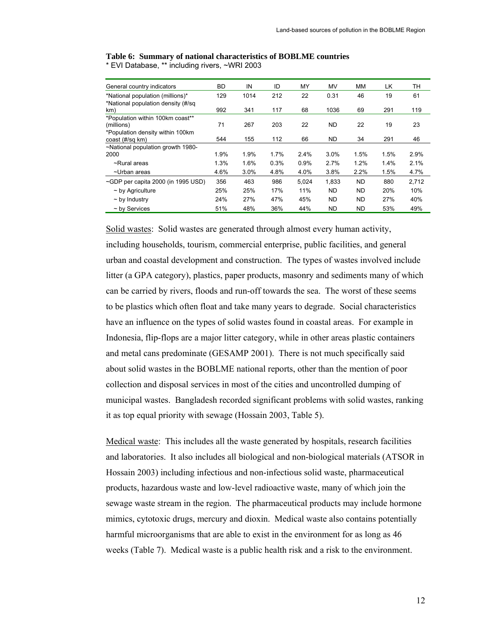| General country indicators                          | <b>BD</b> | IN   | ID   | MY    | MV        | MМ        | LK   | TН    |
|-----------------------------------------------------|-----------|------|------|-------|-----------|-----------|------|-------|
| *National population (millions)*                    | 129       | 1014 | 212  | 22    | 0.31      | 46        | 19   | 61    |
| *National population density (#/sq<br>km)           | 992       | 341  | 117  | 68    | 1036      | 69        | 291  | 119   |
| *Population within 100km coast**<br>(millions)      | 71        | 267  | 203  | 22    | <b>ND</b> | 22        | 19   | 23    |
| *Population density within 100km<br>coast (#/sq km) | 544       | 155  | 112  | 66    | <b>ND</b> | 34        | 291  | 46    |
| ~National population growth 1980-<br>2000           | 1.9%      | 1.9% | 1.7% | 2.4%  | 3.0%      | 1.5%      | 1.5% | 2.9%  |
| ~Rural areas                                        | 1.3%      | 1.6% | 0.3% | 0.9%  | 2.7%      | 1.2%      | 1.4% | 2.1%  |
| ~Urban areas                                        | 4.6%      | 3.0% | 4.8% | 4.0%  | 3.8%      | 2.2%      | 1.5% | 4.7%  |
| ~GDP per capita 2000 (in 1995 USD)                  | 356       | 463  | 986  | 5,024 | 1,833     | <b>ND</b> | 880  | 2,712 |
| $\sim$ by Agriculture                               | 25%       | 25%  | 17%  | 11%   | <b>ND</b> | <b>ND</b> | 20%  | 10%   |
| $\sim$ by Industry                                  | 24%       | 27%  | 47%  | 45%   | <b>ND</b> | <b>ND</b> | 27%  | 40%   |
| $\sim$ by Services                                  | 51%       | 48%  | 36%  | 44%   | ND        | <b>ND</b> | 53%  | 49%   |

**Table 6: Summary of national characteristics of BOBLME countries**  \* EVI Database, \*\* including rivers, ~WRI 2003

Solid wastes: Solid wastes are generated through almost every human activity, including households, tourism, commercial enterprise, public facilities, and general urban and coastal development and construction. The types of wastes involved include litter (a GPA category), plastics, paper products, masonry and sediments many of which can be carried by rivers, floods and run-off towards the sea. The worst of these seems to be plastics which often float and take many years to degrade. Social characteristics have an influence on the types of solid wastes found in coastal areas. For example in Indonesia, flip-flops are a major litter category, while in other areas plastic containers and metal cans predominate (GESAMP 2001). There is not much specifically said about solid wastes in the BOBLME national reports, other than the mention of poor collection and disposal services in most of the cities and uncontrolled dumping of municipal wastes. Bangladesh recorded significant problems with solid wastes, ranking it as top equal priority with sewage (Hossain 2003, Table 5).

Medical waste: This includes all the waste generated by hospitals, research facilities and laboratories. It also includes all biological and non-biological materials (ATSOR in Hossain 2003) including infectious and non-infectious solid waste, pharmaceutical products, hazardous waste and low-level radioactive waste, many of which join the sewage waste stream in the region. The pharmaceutical products may include hormone mimics, cytotoxic drugs, mercury and dioxin. Medical waste also contains potentially harmful microorganisms that are able to exist in the environment for as long as 46 weeks (Table 7). Medical waste is a public health risk and a risk to the environment.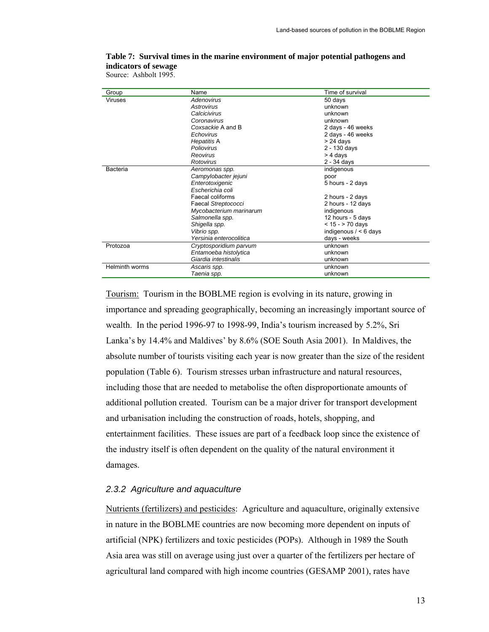| Group          | Name                    | Time of survival        |
|----------------|-------------------------|-------------------------|
| Viruses        | Adenovirus              | 50 days                 |
|                | Astrovirus              | unknown                 |
|                | Calcicivirus            | unknown                 |
|                | Coronavirus             | unknown                 |
|                | Coxsackie A and B       | 2 days - 46 weeks       |
|                | Echovirus               | 2 days - 46 weeks       |
|                | Hepatitis A             | $> 24$ days             |
|                | Poliovirus              | 2 - 130 days            |
|                | Reovirus                | > 4 days                |
|                | Rotovirus               | 2 - 34 days             |
| Bacteria       | Aeromonas spp.          | indigenous              |
|                | Campylobacter jejuni    | poor                    |
|                | Enterotoxigenic         | 5 hours - 2 days        |
|                | Escherichia coli        |                         |
|                | Faecal coliforms        | 2 hours - 2 days        |
|                | Faecal Streptococci     | 2 hours - 12 days       |
|                | Mycobacterium marinarum | indigenous              |
|                | Salmonella spp.         | 12 hours - 5 days       |
|                | Shigella spp.           | $< 15 - 70$ days        |
|                | Vibrio spp.             | indigenous $/ < 6$ days |
|                | Yersinia enterocolitica | days - weeks            |
| Protozoa       | Cryptosporidium parvum  | unknown                 |
|                | Entamoeba histolytica   | unknown                 |
|                | Giardia intestinalis    | unknown                 |
| Helminth worms | Ascaris spp.            | unknown                 |
|                | Taenia spp.             | unknown                 |

## **Table 7: Survival times in the marine environment of major potential pathogens and indicators of sewage**

Source: Ashbolt 1995.

Tourism: Tourism in the BOBLME region is evolving in its nature, growing in importance and spreading geographically, becoming an increasingly important source of wealth. In the period 1996-97 to 1998-99, India's tourism increased by 5.2%, Sri Lanka's by 14.4% and Maldives' by 8.6% (SOE South Asia 2001). In Maldives, the absolute number of tourists visiting each year is now greater than the size of the resident population (Table 6). Tourism stresses urban infrastructure and natural resources, including those that are needed to metabolise the often disproportionate amounts of additional pollution created. Tourism can be a major driver for transport development and urbanisation including the construction of roads, hotels, shopping, and entertainment facilities. These issues are part of a feedback loop since the existence of the industry itself is often dependent on the quality of the natural environment it damages.

## *2.3.2 Agriculture and aquaculture*

Nutrients (fertilizers) and pesticides: Agriculture and aquaculture, originally extensive in nature in the BOBLME countries are now becoming more dependent on inputs of artificial (NPK) fertilizers and toxic pesticides (POPs). Although in 1989 the South Asia area was still on average using just over a quarter of the fertilizers per hectare of agricultural land compared with high income countries (GESAMP 2001), rates have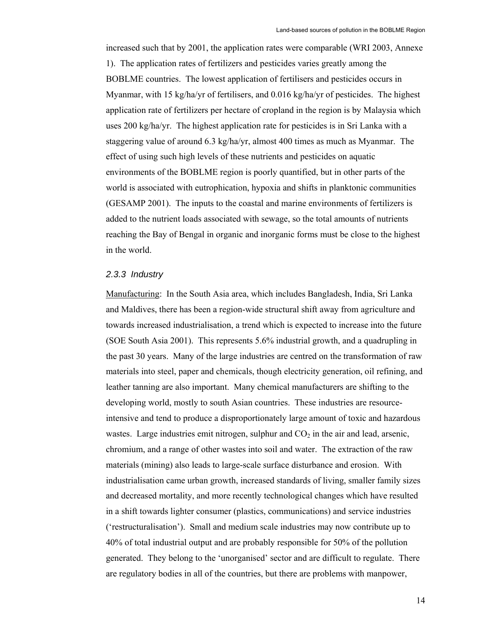increased such that by 2001, the application rates were comparable (WRI 2003, Annexe 1). The application rates of fertilizers and pesticides varies greatly among the BOBLME countries. The lowest application of fertilisers and pesticides occurs in Myanmar, with 15 kg/ha/yr of fertilisers, and 0.016 kg/ha/yr of pesticides. The highest application rate of fertilizers per hectare of cropland in the region is by Malaysia which uses 200 kg/ha/yr. The highest application rate for pesticides is in Sri Lanka with a staggering value of around 6.3 kg/ha/yr, almost 400 times as much as Myanmar. The effect of using such high levels of these nutrients and pesticides on aquatic environments of the BOBLME region is poorly quantified, but in other parts of the world is associated with eutrophication, hypoxia and shifts in planktonic communities (GESAMP 2001). The inputs to the coastal and marine environments of fertilizers is added to the nutrient loads associated with sewage, so the total amounts of nutrients reaching the Bay of Bengal in organic and inorganic forms must be close to the highest in the world.

#### *2.3.3 Industry*

Manufacturing: In the South Asia area, which includes Bangladesh, India, Sri Lanka and Maldives, there has been a region-wide structural shift away from agriculture and towards increased industrialisation, a trend which is expected to increase into the future (SOE South Asia 2001). This represents 5.6% industrial growth, and a quadrupling in the past 30 years. Many of the large industries are centred on the transformation of raw materials into steel, paper and chemicals, though electricity generation, oil refining, and leather tanning are also important. Many chemical manufacturers are shifting to the developing world, mostly to south Asian countries. These industries are resourceintensive and tend to produce a disproportionately large amount of toxic and hazardous wastes. Large industries emit nitrogen, sulphur and  $CO<sub>2</sub>$  in the air and lead, arsenic, chromium, and a range of other wastes into soil and water. The extraction of the raw materials (mining) also leads to large-scale surface disturbance and erosion. With industrialisation came urban growth, increased standards of living, smaller family sizes and decreased mortality, and more recently technological changes which have resulted in a shift towards lighter consumer (plastics, communications) and service industries ('restructuralisation'). Small and medium scale industries may now contribute up to 40% of total industrial output and are probably responsible for 50% of the pollution generated. They belong to the 'unorganised' sector and are difficult to regulate. There are regulatory bodies in all of the countries, but there are problems with manpower,

14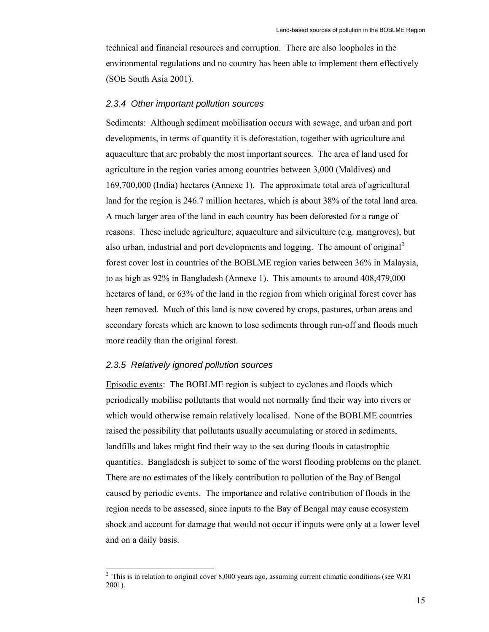technical and financial resources and corruption. There are also loopholes in the environmental regulations and no country has been able to implement them effectively (SOE South Asia 2001).

#### *2.3.4 Other important pollution sources*

Sediments: Although sediment mobilisation occurs with sewage, and urban and port developments, in terms of quantity it is deforestation, together with agriculture and aquaculture that are probably the most important sources. The area of land used for agriculture in the region varies among countries between 3,000 (Maldives) and 169,700,000 (India) hectares (Annexe 1). The approximate total area of agricultural land for the region is 246.7 million hectares, which is about 38% of the total land area. A much larger area of the land in each country has been deforested for a range of reasons. These include agriculture, aquaculture and silviculture (e.g. mangroves), but also urban, industrial and port developments and logging. The amount of original<sup>2</sup> forest cover lost in countries of the BOBLME region varies between 36% in Malaysia, to as high as 92% in Bangladesh (Annexe 1). This amounts to around 408,479,000 hectares of land, or 63% of the land in the region from which original forest cover has been removed. Much of this land is now covered by crops, pastures, urban areas and secondary forests which are known to lose sediments through run-off and floods much more readily than the original forest.

### *2.3.5 Relatively ignored pollution sources*

Episodic events: The BOBLME region is subject to cyclones and floods which periodically mobilise pollutants that would not normally find their way into rivers or which would otherwise remain relatively localised. None of the BOBLME countries raised the possibility that pollutants usually accumulating or stored in sediments, landfills and lakes might find their way to the sea during floods in catastrophic quantities. Bangladesh is subject to some of the worst flooding problems on the planet. There are no estimates of the likely contribution to pollution of the Bay of Bengal caused by periodic events. The importance and relative contribution of floods in the region needs to be assessed, since inputs to the Bay of Bengal may cause ecosystem shock and account for damage that would not occur if inputs were only at a lower level and on a daily basis.

<sup>&</sup>lt;sup>2</sup> This is in relation to original cover 8,000 years ago, assuming current climatic conditions (see WRI 2001).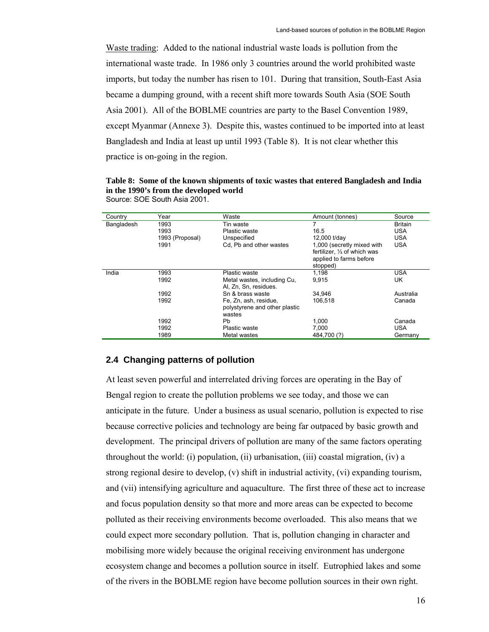Waste trading: Added to the national industrial waste loads is pollution from the international waste trade. In 1986 only 3 countries around the world prohibited waste imports, but today the number has risen to 101. During that transition, South-East Asia became a dumping ground, with a recent shift more towards South Asia (SOE South Asia 2001). All of the BOBLME countries are party to the Basel Convention 1989, except Myanmar (Annexe 3). Despite this, wastes continued to be imported into at least Bangladesh and India at least up until 1993 (Table 8). It is not clear whether this practice is on-going in the region.

**Table 8: Some of the known shipments of toxic wastes that entered Bangladesh and India in the 1990's from the developed world** Source: SOE South Asia 2001.

| Country    | Year            | Waste                         | Amount (tonnes)              | Source         |
|------------|-----------------|-------------------------------|------------------------------|----------------|
| Bangladesh | 1993            | Tin waste                     | 7                            | <b>Britain</b> |
|            | 1993            | Plastic waste                 | 16.5                         | <b>USA</b>     |
|            | 1993 (Proposal) | Unspecified                   | 12,000 t/day                 | <b>USA</b>     |
|            | 1991            | Cd. Pb and other wastes       | 1,000 (secretly mixed with   | <b>USA</b>     |
|            |                 |                               | fertilizer. 1/3 of which was |                |
|            |                 |                               | applied to farms before      |                |
|            |                 |                               | stopped)                     |                |
| India      | 1993            | Plastic waste                 | 1.198                        | <b>USA</b>     |
|            | 1992            | Metal wastes, including Cu,   | 9.915                        | UK             |
|            |                 | Al, Zn, Sn, residues.         |                              |                |
|            | 1992            | Sn & brass waste              | 34.946                       | Australia      |
|            | 1992            | Fe, Zn, ash, residue,         | 106.518                      | Canada         |
|            |                 | polystyrene and other plastic |                              |                |
|            |                 | wastes                        |                              |                |
|            | 1992            | <b>Pb</b>                     | 1,000                        | Canada         |
|            | 1992            | Plastic waste                 | 7.000                        | USA            |
|            | 1989            | Metal wastes                  | 484,700 (?)                  | Germany        |

## **2.4 Changing patterns of pollution**

At least seven powerful and interrelated driving forces are operating in the Bay of Bengal region to create the pollution problems we see today, and those we can anticipate in the future. Under a business as usual scenario, pollution is expected to rise because corrective policies and technology are being far outpaced by basic growth and development. The principal drivers of pollution are many of the same factors operating throughout the world: (i) population, (ii) urbanisation, (iii) coastal migration, (iv) a strong regional desire to develop, (v) shift in industrial activity, (vi) expanding tourism, and (vii) intensifying agriculture and aquaculture. The first three of these act to increase and focus population density so that more and more areas can be expected to become polluted as their receiving environments become overloaded. This also means that we could expect more secondary pollution. That is, pollution changing in character and mobilising more widely because the original receiving environment has undergone ecosystem change and becomes a pollution source in itself. Eutrophied lakes and some of the rivers in the BOBLME region have become pollution sources in their own right.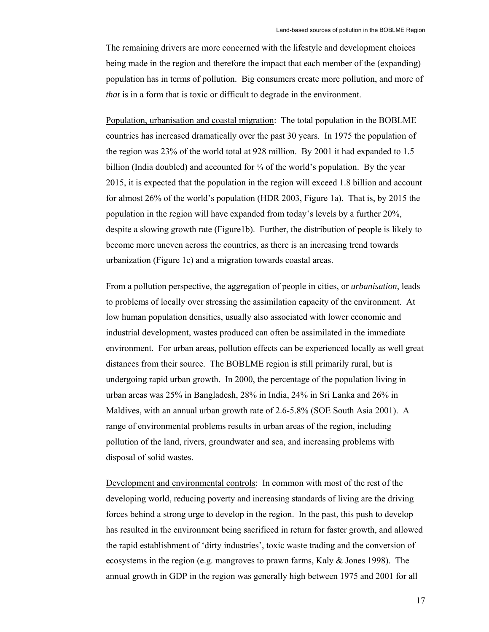The remaining drivers are more concerned with the lifestyle and development choices being made in the region and therefore the impact that each member of the (expanding) population has in terms of pollution. Big consumers create more pollution, and more of *that* is in a form that is toxic or difficult to degrade in the environment.

Population, urbanisation and coastal migration: The total population in the BOBLME countries has increased dramatically over the past 30 years. In 1975 the population of the region was 23% of the world total at 928 million. By 2001 it had expanded to 1.5 billion (India doubled) and accounted for  $\frac{1}{4}$  of the world's population. By the year 2015, it is expected that the population in the region will exceed 1.8 billion and account for almost 26% of the world's population (HDR 2003, Figure 1a). That is, by 2015 the population in the region will have expanded from today's levels by a further 20%, despite a slowing growth rate (Figure1b). Further, the distribution of people is likely to become more uneven across the countries, as there is an increasing trend towards urbanization (Figure 1c) and a migration towards coastal areas.

From a pollution perspective, the aggregation of people in cities, or *urbanisation*, leads to problems of locally over stressing the assimilation capacity of the environment. At low human population densities, usually also associated with lower economic and industrial development, wastes produced can often be assimilated in the immediate environment. For urban areas, pollution effects can be experienced locally as well great distances from their source. The BOBLME region is still primarily rural, but is undergoing rapid urban growth. In 2000, the percentage of the population living in urban areas was 25% in Bangladesh, 28% in India, 24% in Sri Lanka and 26% in Maldives, with an annual urban growth rate of 2.6-5.8% (SOE South Asia 2001). A range of environmental problems results in urban areas of the region, including pollution of the land, rivers, groundwater and sea, and increasing problems with disposal of solid wastes.

Development and environmental controls: In common with most of the rest of the developing world, reducing poverty and increasing standards of living are the driving forces behind a strong urge to develop in the region. In the past, this push to develop has resulted in the environment being sacrificed in return for faster growth, and allowed the rapid establishment of 'dirty industries', toxic waste trading and the conversion of ecosystems in the region (e.g. mangroves to prawn farms, Kaly  $\&$  Jones 1998). The annual growth in GDP in the region was generally high between 1975 and 2001 for all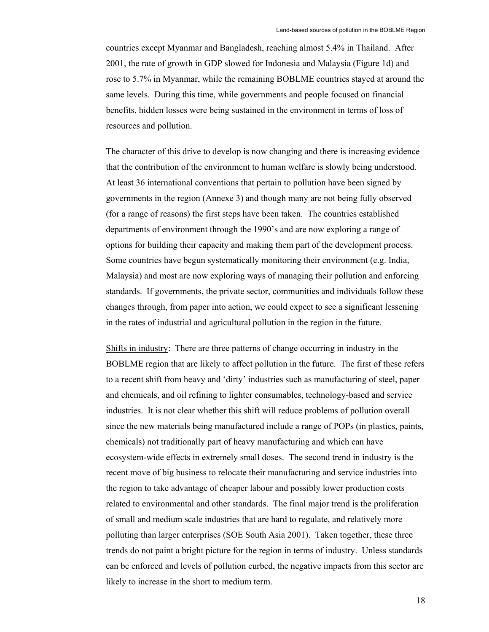countries except Myanmar and Bangladesh, reaching almost 5.4% in Thailand. After 2001, the rate of growth in GDP slowed for Indonesia and Malaysia (Figure 1d) and rose to 5.7% in Myanmar, while the remaining BOBLME countries stayed at around the same levels. During this time, while governments and people focused on financial benefits, hidden losses were being sustained in the environment in terms of loss of resources and pollution.

The character of this drive to develop is now changing and there is increasing evidence that the contribution of the environment to human welfare is slowly being understood. At least 36 international conventions that pertain to pollution have been signed by governments in the region (Annexe 3) and though many are not being fully observed (for a range of reasons) the first steps have been taken. The countries established departments of environment through the 1990's and are now exploring a range of options for building their capacity and making them part of the development process. Some countries have begun systematically monitoring their environment (e.g. India, Malaysia) and most are now exploring ways of managing their pollution and enforcing standards. If governments, the private sector, communities and individuals follow these changes through, from paper into action, we could expect to see a significant lessening in the rates of industrial and agricultural pollution in the region in the future.

Shifts in industry: There are three patterns of change occurring in industry in the BOBLME region that are likely to affect pollution in the future. The first of these refers to a recent shift from heavy and 'dirty' industries such as manufacturing of steel, paper and chemicals, and oil refining to lighter consumables, technology-based and service industries. It is not clear whether this shift will reduce problems of pollution overall since the new materials being manufactured include a range of POPs (in plastics, paints, chemicals) not traditionally part of heavy manufacturing and which can have ecosystem-wide effects in extremely small doses. The second trend in industry is the recent move of big business to relocate their manufacturing and service industries into the region to take advantage of cheaper labour and possibly lower production costs related to environmental and other standards. The final major trend is the proliferation of small and medium scale industries that are hard to regulate, and relatively more polluting than larger enterprises (SOE South Asia 2001). Taken together, these three trends do not paint a bright picture for the region in terms of industry. Unless standards can be enforced and levels of pollution curbed, the negative impacts from this sector are likely to increase in the short to medium term.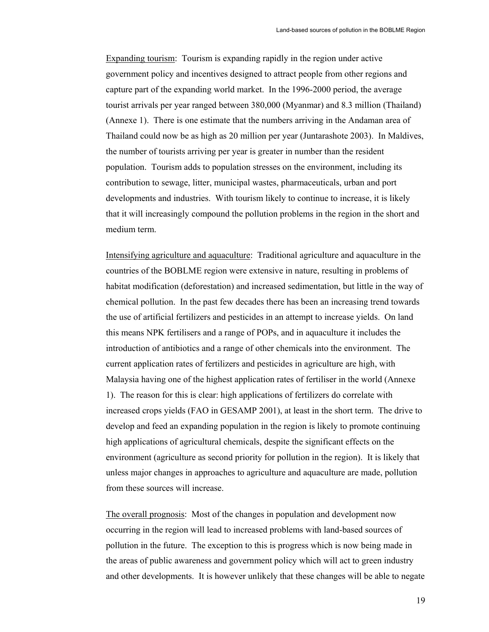Expanding tourism: Tourism is expanding rapidly in the region under active government policy and incentives designed to attract people from other regions and capture part of the expanding world market. In the 1996-2000 period, the average tourist arrivals per year ranged between 380,000 (Myanmar) and 8.3 million (Thailand) (Annexe 1). There is one estimate that the numbers arriving in the Andaman area of Thailand could now be as high as 20 million per year (Juntarashote 2003). In Maldives, the number of tourists arriving per year is greater in number than the resident population. Tourism adds to population stresses on the environment, including its contribution to sewage, litter, municipal wastes, pharmaceuticals, urban and port developments and industries. With tourism likely to continue to increase, it is likely that it will increasingly compound the pollution problems in the region in the short and medium term.

Intensifying agriculture and aquaculture: Traditional agriculture and aquaculture in the countries of the BOBLME region were extensive in nature, resulting in problems of habitat modification (deforestation) and increased sedimentation, but little in the way of chemical pollution. In the past few decades there has been an increasing trend towards the use of artificial fertilizers and pesticides in an attempt to increase yields. On land this means NPK fertilisers and a range of POPs, and in aquaculture it includes the introduction of antibiotics and a range of other chemicals into the environment. The current application rates of fertilizers and pesticides in agriculture are high, with Malaysia having one of the highest application rates of fertiliser in the world (Annexe 1). The reason for this is clear: high applications of fertilizers do correlate with increased crops yields (FAO in GESAMP 2001), at least in the short term. The drive to develop and feed an expanding population in the region is likely to promote continuing high applications of agricultural chemicals, despite the significant effects on the environment (agriculture as second priority for pollution in the region). It is likely that unless major changes in approaches to agriculture and aquaculture are made, pollution from these sources will increase.

The overall prognosis: Most of the changes in population and development now occurring in the region will lead to increased problems with land-based sources of pollution in the future. The exception to this is progress which is now being made in the areas of public awareness and government policy which will act to green industry and other developments. It is however unlikely that these changes will be able to negate

19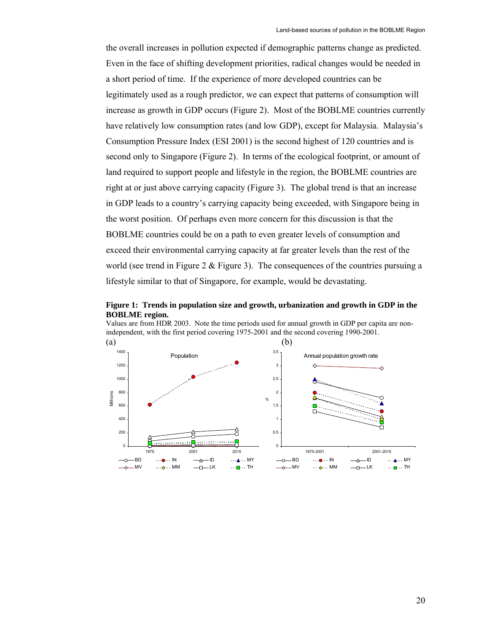the overall increases in pollution expected if demographic patterns change as predicted. Even in the face of shifting development priorities, radical changes would be needed in a short period of time. If the experience of more developed countries can be legitimately used as a rough predictor, we can expect that patterns of consumption will increase as growth in GDP occurs (Figure 2). Most of the BOBLME countries currently have relatively low consumption rates (and low GDP), except for Malaysia. Malaysia's Consumption Pressure Index (ESI 2001) is the second highest of 120 countries and is second only to Singapore (Figure 2). In terms of the ecological footprint, or amount of land required to support people and lifestyle in the region, the BOBLME countries are right at or just above carrying capacity (Figure 3). The global trend is that an increase in GDP leads to a country's carrying capacity being exceeded, with Singapore being in the worst position. Of perhaps even more concern for this discussion is that the BOBLME countries could be on a path to even greater levels of consumption and exceed their environmental carrying capacity at far greater levels than the rest of the world (see trend in Figure 2  $\&$  Figure 3). The consequences of the countries pursuing a lifestyle similar to that of Singapore, for example, would be devastating.



Values are from HDR 2003. Note the time periods used for annual growth in GDP per capita are nonindependent, with the first period covering 1975-2001 and the second covering 1990-2001.

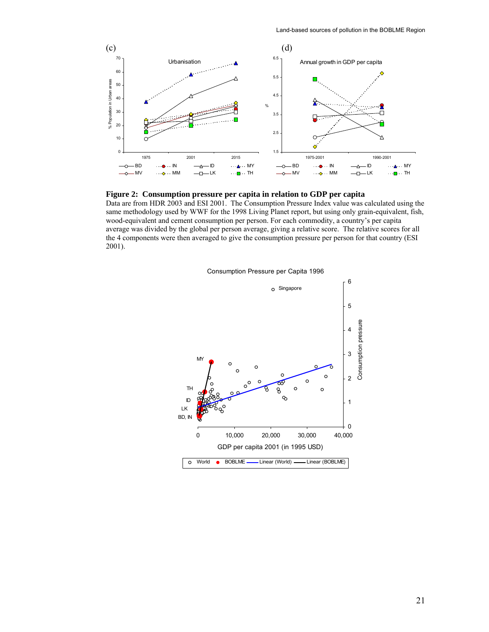



Data are from HDR 2003 and ESI 2001. The Consumption Pressure Index value was calculated using the same methodology used by WWF for the 1998 Living Planet report, but using only grain-equivalent, fish, wood-equivalent and cement consumption per person. For each commodity, a country's per capita average was divided by the global per person average, giving a relative score. The relative scores for all the 4 components were then averaged to give the consumption pressure per person for that country (ESI 2001).



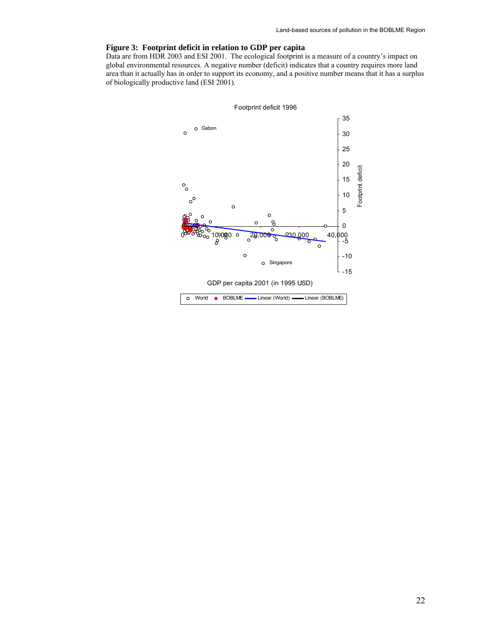#### **Figure 3: Footprint deficit in relation to GDP per capita**

Data are from HDR 2003 and ESI 2001. The ecological footprint is a measure of a country's impact on global environmental resources. A negative number (deficit) indicates that a country requires more land area than it actually has in order to support its economy, and a positive number means that it has a surplus of biologically productive land (ESI 2001).

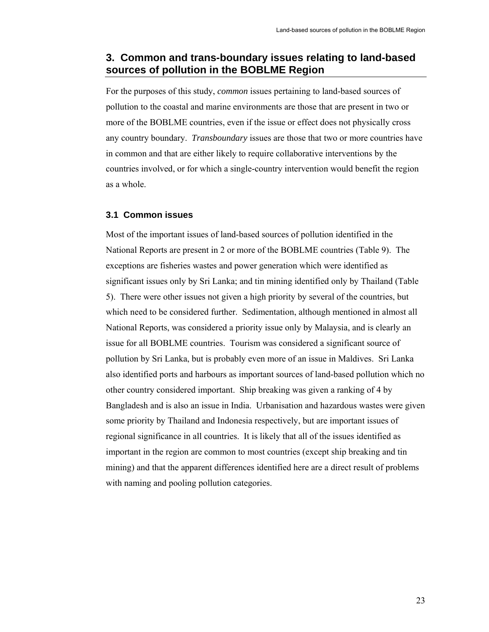## **3. Common and trans-boundary issues relating to land-based sources of pollution in the BOBLME Region**

For the purposes of this study, *common* issues pertaining to land-based sources of pollution to the coastal and marine environments are those that are present in two or more of the BOBLME countries, even if the issue or effect does not physically cross any country boundary. *Transboundary* issues are those that two or more countries have in common and that are either likely to require collaborative interventions by the countries involved, or for which a single-country intervention would benefit the region as a whole.

## **3.1 Common issues**

Most of the important issues of land-based sources of pollution identified in the National Reports are present in 2 or more of the BOBLME countries (Table 9). The exceptions are fisheries wastes and power generation which were identified as significant issues only by Sri Lanka; and tin mining identified only by Thailand (Table 5). There were other issues not given a high priority by several of the countries, but which need to be considered further. Sedimentation, although mentioned in almost all National Reports, was considered a priority issue only by Malaysia, and is clearly an issue for all BOBLME countries. Tourism was considered a significant source of pollution by Sri Lanka, but is probably even more of an issue in Maldives. Sri Lanka also identified ports and harbours as important sources of land-based pollution which no other country considered important. Ship breaking was given a ranking of 4 by Bangladesh and is also an issue in India. Urbanisation and hazardous wastes were given some priority by Thailand and Indonesia respectively, but are important issues of regional significance in all countries. It is likely that all of the issues identified as important in the region are common to most countries (except ship breaking and tin mining) and that the apparent differences identified here are a direct result of problems with naming and pooling pollution categories.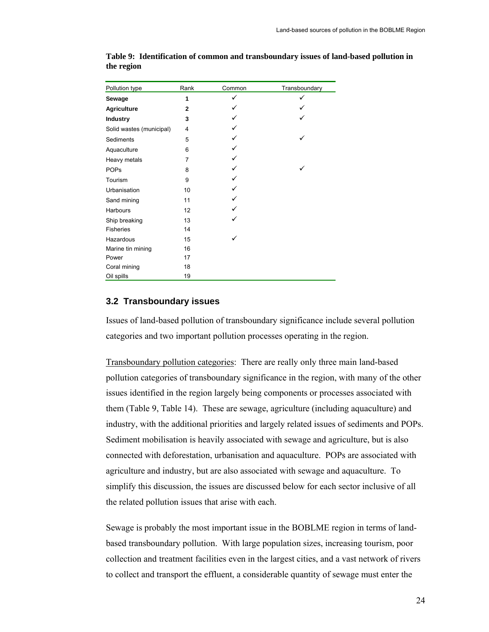| Pollution type           | Rank         | Common       | Transboundary |
|--------------------------|--------------|--------------|---------------|
| Sewage                   | 1            | $\checkmark$ |               |
| <b>Agriculture</b>       | $\mathbf{2}$ |              |               |
| Industry                 | 3            |              |               |
| Solid wastes (municipal) | 4            |              |               |
| Sediments                | 5            |              |               |
| Aquaculture              | 6            |              |               |
| Heavy metals             | 7            |              |               |
| <b>POPs</b>              | 8            |              |               |
| Tourism                  | 9            |              |               |
| Urbanisation             | 10           |              |               |
| Sand mining              | 11           |              |               |
| Harbours                 | 12           |              |               |
| Ship breaking            | 13           |              |               |
| <b>Fisheries</b>         | 14           |              |               |
| Hazardous                | 15           |              |               |
| Marine tin mining        | 16           |              |               |
| Power                    | 17           |              |               |
| Coral mining             | 18           |              |               |
| Oil spills               | 19           |              |               |

**Table 9: Identification of common and transboundary issues of land-based pollution in the region** 

## **3.2 Transboundary issues**

Issues of land-based pollution of transboundary significance include several pollution categories and two important pollution processes operating in the region.

Transboundary pollution categories: There are really only three main land-based pollution categories of transboundary significance in the region, with many of the other issues identified in the region largely being components or processes associated with them (Table 9, Table 14). These are sewage, agriculture (including aquaculture) and industry, with the additional priorities and largely related issues of sediments and POPs. Sediment mobilisation is heavily associated with sewage and agriculture, but is also connected with deforestation, urbanisation and aquaculture. POPs are associated with agriculture and industry, but are also associated with sewage and aquaculture. To simplify this discussion, the issues are discussed below for each sector inclusive of all the related pollution issues that arise with each.

Sewage is probably the most important issue in the BOBLME region in terms of landbased transboundary pollution. With large population sizes, increasing tourism, poor collection and treatment facilities even in the largest cities, and a vast network of rivers to collect and transport the effluent, a considerable quantity of sewage must enter the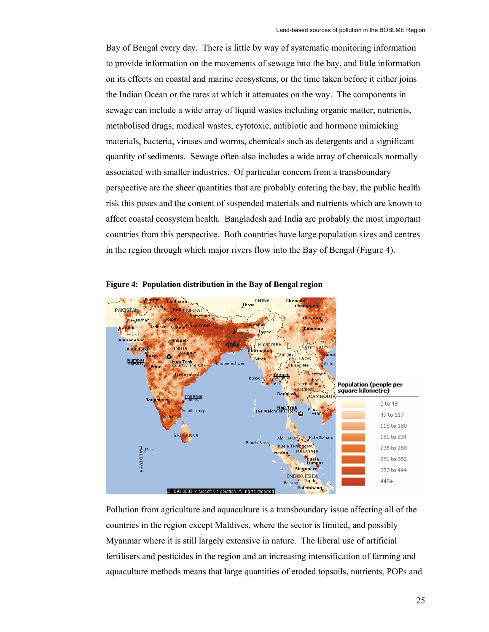Bay of Bengal every day. There is little by way of systematic monitoring information to provide information on the movements of sewage into the bay, and little information on its effects on coastal and marine ecosystems, or the time taken before it either joins the Indian Ocean or the rates at which it attenuates on the way. The components in sewage can include a wide array of liquid wastes including organic matter, nutrients, metabolised drugs, medical wastes, cytotoxic, antibiotic and hormone mimicking materials, bacteria, viruses and worms, chemicals such as detergents and a significant quantity of sediments. Sewage often also includes a wide array of chemicals normally associated with smaller industries. Of particular concern from a transboundary perspective are the sheer quantities that are probably entering the bay, the public health risk this poses and the content of suspended materials and nutrients which are known to affect coastal ecosystem health. Bangladesh and India are probably the most important countries from this perspective. Both countries have large population sizes and centres in the region through which major rivers flow into the Bay of Bengal (Figure 4).



**Figure 4: Population distribution in the Bay of Bengal region** 

Pollution from agriculture and aquaculture is a transboundary issue affecting all of the countries in the region except Maldives, where the sector is limited, and possibly Myanmar where it is still largely extensive in nature. The liberal use of artificial fertilisers and pesticides in the region and an increasing intensification of farming and aquaculture methods means that large quantities of eroded topsoils, nutrients, POPs and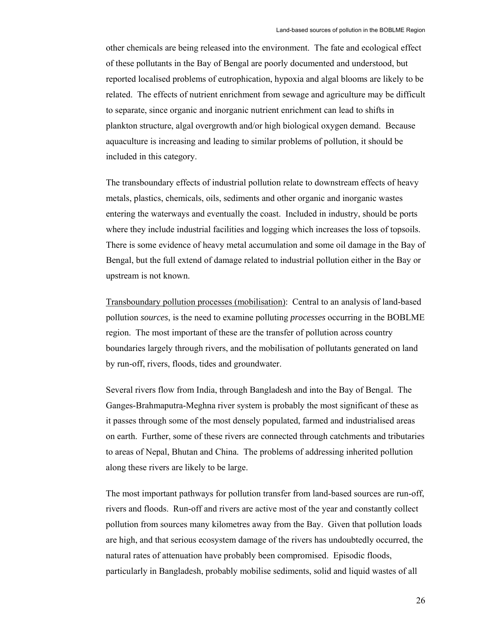other chemicals are being released into the environment. The fate and ecological effect of these pollutants in the Bay of Bengal are poorly documented and understood, but reported localised problems of eutrophication, hypoxia and algal blooms are likely to be related. The effects of nutrient enrichment from sewage and agriculture may be difficult to separate, since organic and inorganic nutrient enrichment can lead to shifts in plankton structure, algal overgrowth and/or high biological oxygen demand. Because aquaculture is increasing and leading to similar problems of pollution, it should be included in this category.

The transboundary effects of industrial pollution relate to downstream effects of heavy metals, plastics, chemicals, oils, sediments and other organic and inorganic wastes entering the waterways and eventually the coast. Included in industry, should be ports where they include industrial facilities and logging which increases the loss of topsoils. There is some evidence of heavy metal accumulation and some oil damage in the Bay of Bengal, but the full extend of damage related to industrial pollution either in the Bay or upstream is not known.

Transboundary pollution processes (mobilisation): Central to an analysis of land-based pollution *sources*, is the need to examine polluting *processes* occurring in the BOBLME region. The most important of these are the transfer of pollution across country boundaries largely through rivers, and the mobilisation of pollutants generated on land by run-off, rivers, floods, tides and groundwater.

Several rivers flow from India, through Bangladesh and into the Bay of Bengal. The Ganges-Brahmaputra-Meghna river system is probably the most significant of these as it passes through some of the most densely populated, farmed and industrialised areas on earth. Further, some of these rivers are connected through catchments and tributaries to areas of Nepal, Bhutan and China. The problems of addressing inherited pollution along these rivers are likely to be large.

The most important pathways for pollution transfer from land-based sources are run-off, rivers and floods. Run-off and rivers are active most of the year and constantly collect pollution from sources many kilometres away from the Bay. Given that pollution loads are high, and that serious ecosystem damage of the rivers has undoubtedly occurred, the natural rates of attenuation have probably been compromised. Episodic floods, particularly in Bangladesh, probably mobilise sediments, solid and liquid wastes of all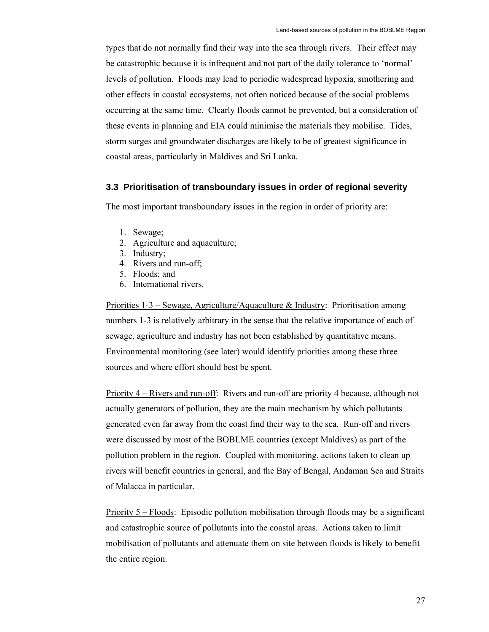types that do not normally find their way into the sea through rivers. Their effect may be catastrophic because it is infrequent and not part of the daily tolerance to 'normal' levels of pollution. Floods may lead to periodic widespread hypoxia, smothering and other effects in coastal ecosystems, not often noticed because of the social problems occurring at the same time. Clearly floods cannot be prevented, but a consideration of these events in planning and EIA could minimise the materials they mobilise. Tides, storm surges and groundwater discharges are likely to be of greatest significance in coastal areas, particularly in Maldives and Sri Lanka.

#### **3.3 Prioritisation of transboundary issues in order of regional severity**

The most important transboundary issues in the region in order of priority are:

- 1. Sewage;
- 2. Agriculture and aquaculture;
- 3. Industry;
- 4. Rivers and run-off;
- 5. Floods; and
- 6. International rivers.

Priorities  $1-3$  – Sewage, Agriculture/Aquaculture & Industry: Prioritisation among numbers 1-3 is relatively arbitrary in the sense that the relative importance of each of sewage, agriculture and industry has not been established by quantitative means. Environmental monitoring (see later) would identify priorities among these three sources and where effort should best be spent.

Priority 4 – Rivers and run-off: Rivers and run-off are priority 4 because, although not actually generators of pollution, they are the main mechanism by which pollutants generated even far away from the coast find their way to the sea. Run-off and rivers were discussed by most of the BOBLME countries (except Maldives) as part of the pollution problem in the region. Coupled with monitoring, actions taken to clean up rivers will benefit countries in general, and the Bay of Bengal, Andaman Sea and Straits of Malacca in particular.

Priority 5 – Floods: Episodic pollution mobilisation through floods may be a significant and catastrophic source of pollutants into the coastal areas. Actions taken to limit mobilisation of pollutants and attenuate them on site between floods is likely to benefit the entire region.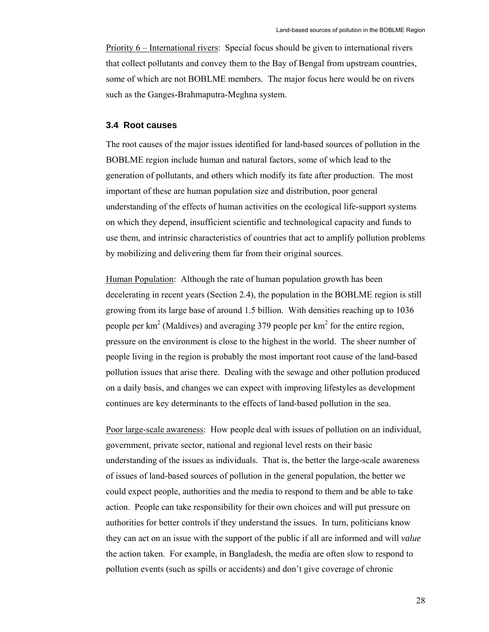Priority 6 – International rivers: Special focus should be given to international rivers that collect pollutants and convey them to the Bay of Bengal from upstream countries, some of which are not BOBLME members. The major focus here would be on rivers such as the Ganges-Brahmaputra-Meghna system.

## **3.4 Root causes**

The root causes of the major issues identified for land-based sources of pollution in the BOBLME region include human and natural factors, some of which lead to the generation of pollutants, and others which modify its fate after production. The most important of these are human population size and distribution, poor general understanding of the effects of human activities on the ecological life-support systems on which they depend, insufficient scientific and technological capacity and funds to use them, and intrinsic characteristics of countries that act to amplify pollution problems by mobilizing and delivering them far from their original sources.

Human Population: Although the rate of human population growth has been decelerating in recent years (Section 2.4), the population in the BOBLME region is still growing from its large base of around 1.5 billion. With densities reaching up to 1036 people per  $\text{km}^2$  (Maldives) and averaging 379 people per  $\text{km}^2$  for the entire region, pressure on the environment is close to the highest in the world. The sheer number of people living in the region is probably the most important root cause of the land-based pollution issues that arise there. Dealing with the sewage and other pollution produced on a daily basis, and changes we can expect with improving lifestyles as development continues are key determinants to the effects of land-based pollution in the sea.

Poor large-scale awareness: How people deal with issues of pollution on an individual, government, private sector, national and regional level rests on their basic understanding of the issues as individuals. That is, the better the large-scale awareness of issues of land-based sources of pollution in the general population, the better we could expect people, authorities and the media to respond to them and be able to take action. People can take responsibility for their own choices and will put pressure on authorities for better controls if they understand the issues. In turn, politicians know they can act on an issue with the support of the public if all are informed and will *value* the action taken. For example, in Bangladesh, the media are often slow to respond to pollution events (such as spills or accidents) and don't give coverage of chronic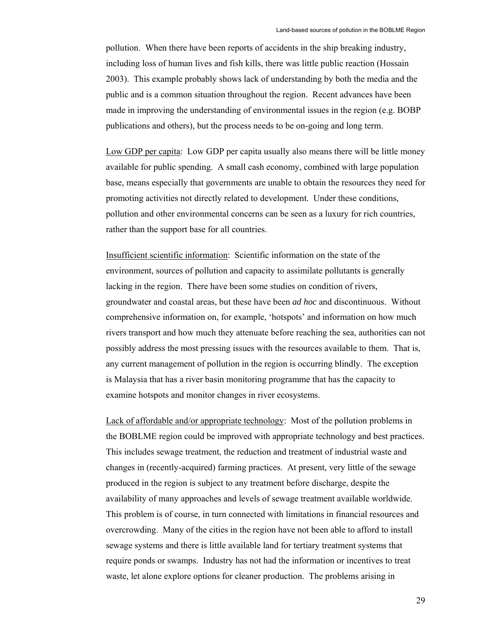pollution. When there have been reports of accidents in the ship breaking industry, including loss of human lives and fish kills, there was little public reaction (Hossain 2003). This example probably shows lack of understanding by both the media and the public and is a common situation throughout the region. Recent advances have been made in improving the understanding of environmental issues in the region (e.g. BOBP publications and others), but the process needs to be on-going and long term.

Low GDP per capita: Low GDP per capita usually also means there will be little money available for public spending. A small cash economy, combined with large population base, means especially that governments are unable to obtain the resources they need for promoting activities not directly related to development. Under these conditions, pollution and other environmental concerns can be seen as a luxury for rich countries, rather than the support base for all countries.

Insufficient scientific information: Scientific information on the state of the environment, sources of pollution and capacity to assimilate pollutants is generally lacking in the region. There have been some studies on condition of rivers, groundwater and coastal areas, but these have been *ad hoc* and discontinuous. Without comprehensive information on, for example, 'hotspots' and information on how much rivers transport and how much they attenuate before reaching the sea, authorities can not possibly address the most pressing issues with the resources available to them. That is, any current management of pollution in the region is occurring blindly. The exception is Malaysia that has a river basin monitoring programme that has the capacity to examine hotspots and monitor changes in river ecosystems.

Lack of affordable and/or appropriate technology: Most of the pollution problems in the BOBLME region could be improved with appropriate technology and best practices. This includes sewage treatment, the reduction and treatment of industrial waste and changes in (recently-acquired) farming practices. At present, very little of the sewage produced in the region is subject to any treatment before discharge, despite the availability of many approaches and levels of sewage treatment available worldwide. This problem is of course, in turn connected with limitations in financial resources and overcrowding. Many of the cities in the region have not been able to afford to install sewage systems and there is little available land for tertiary treatment systems that require ponds or swamps. Industry has not had the information or incentives to treat waste, let alone explore options for cleaner production. The problems arising in

29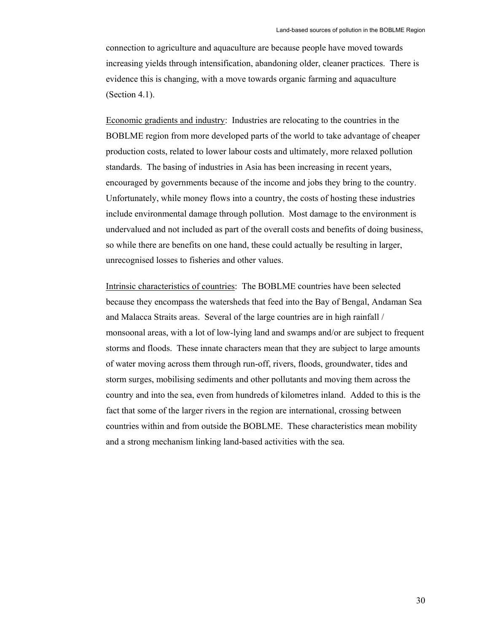connection to agriculture and aquaculture are because people have moved towards increasing yields through intensification, abandoning older, cleaner practices. There is evidence this is changing, with a move towards organic farming and aquaculture (Section 4.1).

Economic gradients and industry: Industries are relocating to the countries in the BOBLME region from more developed parts of the world to take advantage of cheaper production costs, related to lower labour costs and ultimately, more relaxed pollution standards. The basing of industries in Asia has been increasing in recent years, encouraged by governments because of the income and jobs they bring to the country. Unfortunately, while money flows into a country, the costs of hosting these industries include environmental damage through pollution. Most damage to the environment is undervalued and not included as part of the overall costs and benefits of doing business, so while there are benefits on one hand, these could actually be resulting in larger, unrecognised losses to fisheries and other values.

Intrinsic characteristics of countries: The BOBLME countries have been selected because they encompass the watersheds that feed into the Bay of Bengal, Andaman Sea and Malacca Straits areas. Several of the large countries are in high rainfall / monsoonal areas, with a lot of low-lying land and swamps and/or are subject to frequent storms and floods. These innate characters mean that they are subject to large amounts of water moving across them through run-off, rivers, floods, groundwater, tides and storm surges, mobilising sediments and other pollutants and moving them across the country and into the sea, even from hundreds of kilometres inland. Added to this is the fact that some of the larger rivers in the region are international, crossing between countries within and from outside the BOBLME. These characteristics mean mobility and a strong mechanism linking land-based activities with the sea.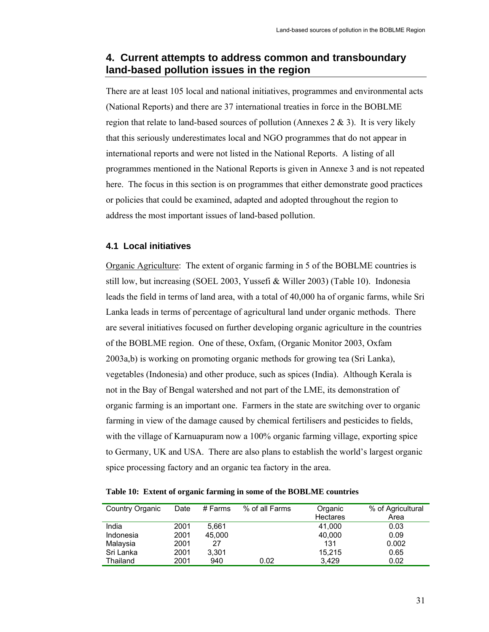## **4. Current attempts to address common and transboundary land-based pollution issues in the region**

There are at least 105 local and national initiatives, programmes and environmental acts (National Reports) and there are 37 international treaties in force in the BOBLME region that relate to land-based sources of pollution (Annexes  $2 \& 3$ ). It is very likely that this seriously underestimates local and NGO programmes that do not appear in international reports and were not listed in the National Reports. A listing of all programmes mentioned in the National Reports is given in Annexe 3 and is not repeated here. The focus in this section is on programmes that either demonstrate good practices or policies that could be examined, adapted and adopted throughout the region to address the most important issues of land-based pollution.

## **4.1 Local initiatives**

Organic Agriculture: The extent of organic farming in 5 of the BOBLME countries is still low, but increasing (SOEL 2003, Yussefi & Willer 2003) (Table 10). Indonesia leads the field in terms of land area, with a total of 40,000 ha of organic farms, while Sri Lanka leads in terms of percentage of agricultural land under organic methods. There are several initiatives focused on further developing organic agriculture in the countries of the BOBLME region. One of these, Oxfam, (Organic Monitor 2003, Oxfam 2003a,b) is working on promoting organic methods for growing tea (Sri Lanka), vegetables (Indonesia) and other produce, such as spices (India). Although Kerala is not in the Bay of Bengal watershed and not part of the LME, its demonstration of organic farming is an important one. Farmers in the state are switching over to organic farming in view of the damage caused by chemical fertilisers and pesticides to fields, with the village of Karnuapuram now a 100% organic farming village, exporting spice to Germany, UK and USA. There are also plans to establish the world's largest organic spice processing factory and an organic tea factory in the area.

| Table 10: Extent of organic farming in some of the BOBLME countries |  |  |  |  |
|---------------------------------------------------------------------|--|--|--|--|
|                                                                     |  |  |  |  |

| Country Organic | Date | # Farms | % of all Farms | Organic         | % of Agricultural |
|-----------------|------|---------|----------------|-----------------|-------------------|
|                 |      |         |                | <b>Hectares</b> | Area              |
| India           | 2001 | 5.661   |                | 41.000          | 0.03              |
| Indonesia       | 2001 | 45,000  |                | 40,000          | 0.09              |
| Malaysia        | 2001 | 27      |                | 131             | 0.002             |
| Sri Lanka       | 2001 | 3,301   |                | 15,215          | 0.65              |
| Thailand        | 2001 | 940     | 0.02           | 3.429           | 0.02              |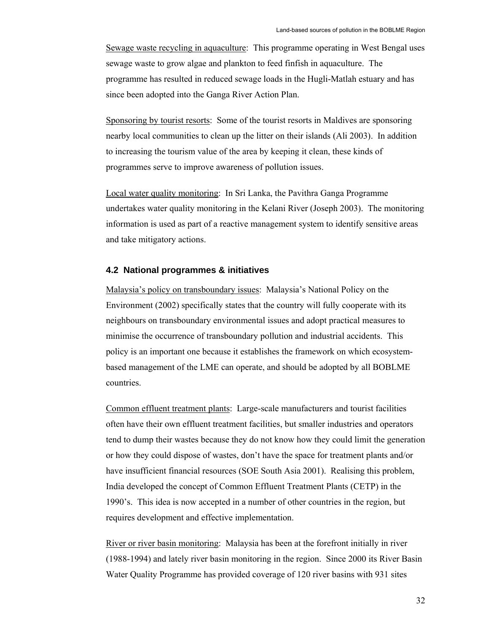Sewage waste recycling in aquaculture: This programme operating in West Bengal uses sewage waste to grow algae and plankton to feed finfish in aquaculture. The programme has resulted in reduced sewage loads in the Hugli-Matlah estuary and has since been adopted into the Ganga River Action Plan.

Sponsoring by tourist resorts: Some of the tourist resorts in Maldives are sponsoring nearby local communities to clean up the litter on their islands (Ali 2003). In addition to increasing the tourism value of the area by keeping it clean, these kinds of programmes serve to improve awareness of pollution issues.

Local water quality monitoring: In Sri Lanka, the Pavithra Ganga Programme undertakes water quality monitoring in the Kelani River (Joseph 2003). The monitoring information is used as part of a reactive management system to identify sensitive areas and take mitigatory actions.

#### **4.2 National programmes & initiatives**

Malaysia's policy on transboundary issues: Malaysia's National Policy on the Environment (2002) specifically states that the country will fully cooperate with its neighbours on transboundary environmental issues and adopt practical measures to minimise the occurrence of transboundary pollution and industrial accidents. This policy is an important one because it establishes the framework on which ecosystembased management of the LME can operate, and should be adopted by all BOBLME countries.

Common effluent treatment plants: Large-scale manufacturers and tourist facilities often have their own effluent treatment facilities, but smaller industries and operators tend to dump their wastes because they do not know how they could limit the generation or how they could dispose of wastes, don't have the space for treatment plants and/or have insufficient financial resources (SOE South Asia 2001). Realising this problem, India developed the concept of Common Effluent Treatment Plants (CETP) in the 1990's. This idea is now accepted in a number of other countries in the region, but requires development and effective implementation.

River or river basin monitoring: Malaysia has been at the forefront initially in river (1988-1994) and lately river basin monitoring in the region. Since 2000 its River Basin Water Quality Programme has provided coverage of 120 river basins with 931 sites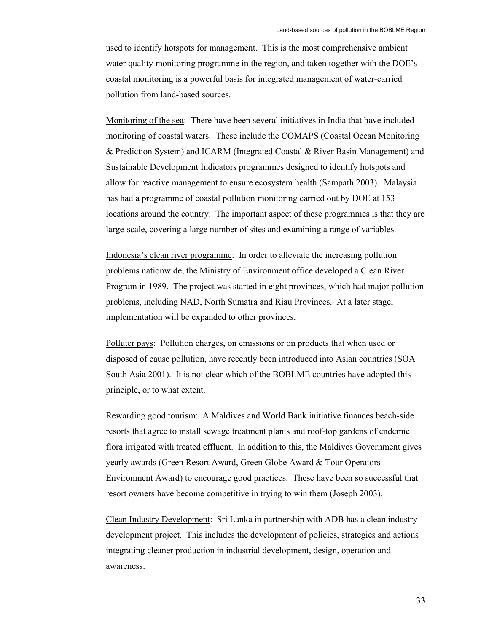used to identify hotspots for management. This is the most comprehensive ambient water quality monitoring programme in the region, and taken together with the DOE's coastal monitoring is a powerful basis for integrated management of water-carried pollution from land-based sources.

Monitoring of the sea: There have been several initiatives in India that have included monitoring of coastal waters. These include the COMAPS (Coastal Ocean Monitoring & Prediction System) and ICARM (Integrated Coastal & River Basin Management) and Sustainable Development Indicators programmes designed to identify hotspots and allow for reactive management to ensure ecosystem health (Sampath 2003). Malaysia has had a programme of coastal pollution monitoring carried out by DOE at 153 locations around the country. The important aspect of these programmes is that they are large-scale, covering a large number of sites and examining a range of variables.

Indonesia's clean river programme: In order to alleviate the increasing pollution problems nationwide, the Ministry of Environment office developed a Clean River Program in 1989. The project was started in eight provinces, which had major pollution problems, including NAD, North Sumatra and Riau Provinces. At a later stage, implementation will be expanded to other provinces.

Polluter pays: Pollution charges, on emissions or on products that when used or disposed of cause pollution, have recently been introduced into Asian countries (SOA South Asia 2001). It is not clear which of the BOBLME countries have adopted this principle, or to what extent.

Rewarding good tourism: A Maldives and World Bank initiative finances beach-side resorts that agree to install sewage treatment plants and roof-top gardens of endemic flora irrigated with treated effluent. In addition to this, the Maldives Government gives yearly awards (Green Resort Award, Green Globe Award & Tour Operators Environment Award) to encourage good practices. These have been so successful that resort owners have become competitive in trying to win them (Joseph 2003).

Clean Industry Development: Sri Lanka in partnership with ADB has a clean industry development project. This includes the development of policies, strategies and actions integrating cleaner production in industrial development, design, operation and awareness.

33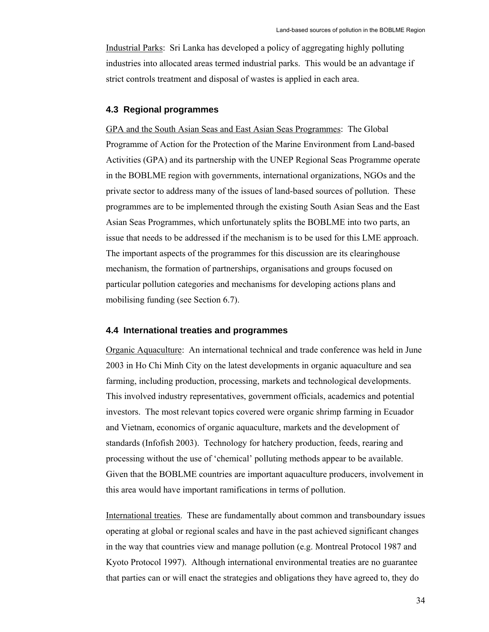Industrial Parks: Sri Lanka has developed a policy of aggregating highly polluting industries into allocated areas termed industrial parks. This would be an advantage if strict controls treatment and disposal of wastes is applied in each area.

## **4.3 Regional programmes**

GPA and the South Asian Seas and East Asian Seas Programmes: The Global Programme of Action for the Protection of the Marine Environment from Land-based Activities (GPA) and its partnership with the UNEP Regional Seas Programme operate in the BOBLME region with governments, international organizations, NGOs and the private sector to address many of the issues of land-based sources of pollution. These programmes are to be implemented through the existing South Asian Seas and the East Asian Seas Programmes, which unfortunately splits the BOBLME into two parts, an issue that needs to be addressed if the mechanism is to be used for this LME approach. The important aspects of the programmes for this discussion are its clearinghouse mechanism, the formation of partnerships, organisations and groups focused on particular pollution categories and mechanisms for developing actions plans and mobilising funding (see Section 6.7).

#### **4.4 International treaties and programmes**

Organic Aquaculture: An international technical and trade conference was held in June 2003 in Ho Chi Minh City on the latest developments in organic aquaculture and sea farming, including production, processing, markets and technological developments. This involved industry representatives, government officials, academics and potential investors. The most relevant topics covered were organic shrimp farming in Ecuador and Vietnam, economics of organic aquaculture, markets and the development of standards (Infofish 2003). Technology for hatchery production, feeds, rearing and processing without the use of 'chemical' polluting methods appear to be available. Given that the BOBLME countries are important aquaculture producers, involvement in this area would have important ramifications in terms of pollution.

International treaties. These are fundamentally about common and transboundary issues operating at global or regional scales and have in the past achieved significant changes in the way that countries view and manage pollution (e.g. Montreal Protocol 1987 and Kyoto Protocol 1997). Although international environmental treaties are no guarantee that parties can or will enact the strategies and obligations they have agreed to, they do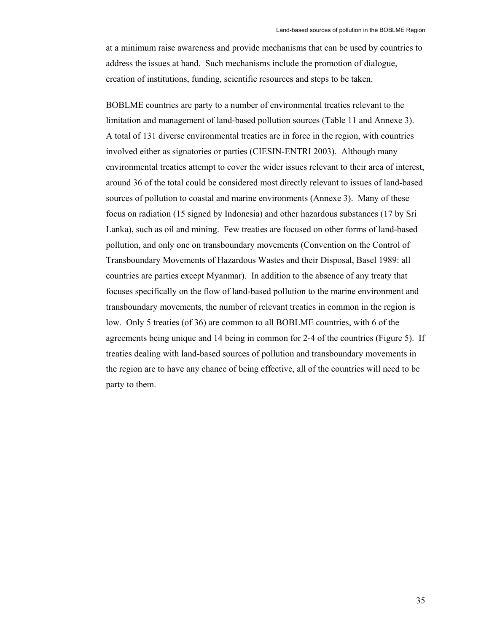at a minimum raise awareness and provide mechanisms that can be used by countries to address the issues at hand. Such mechanisms include the promotion of dialogue, creation of institutions, funding, scientific resources and steps to be taken.

BOBLME countries are party to a number of environmental treaties relevant to the limitation and management of land-based pollution sources (Table 11 and Annexe 3). A total of 131 diverse environmental treaties are in force in the region, with countries involved either as signatories or parties (CIESIN-ENTRI 2003). Although many environmental treaties attempt to cover the wider issues relevant to their area of interest, around 36 of the total could be considered most directly relevant to issues of land-based sources of pollution to coastal and marine environments (Annexe 3). Many of these focus on radiation (15 signed by Indonesia) and other hazardous substances (17 by Sri Lanka), such as oil and mining. Few treaties are focused on other forms of land-based pollution, and only one on transboundary movements (Convention on the Control of Transboundary Movements of Hazardous Wastes and their Disposal, Basel 1989: all countries are parties except Myanmar). In addition to the absence of any treaty that focuses specifically on the flow of land-based pollution to the marine environment and transboundary movements, the number of relevant treaties in common in the region is low. Only 5 treaties (of 36) are common to all BOBLME countries, with 6 of the agreements being unique and 14 being in common for 2-4 of the countries (Figure 5). If treaties dealing with land-based sources of pollution and transboundary movements in the region are to have any chance of being effective, all of the countries will need to be party to them.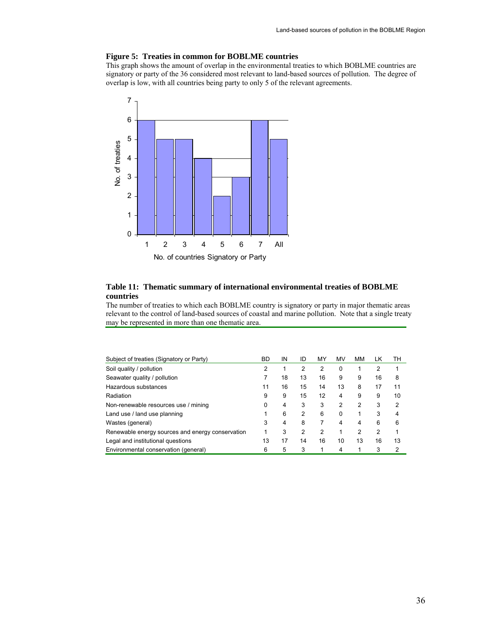#### **Figure 5: Treaties in common for BOBLME countries**

This graph shows the amount of overlap in the environmental treaties to which BOBLME countries are signatory or party of the 36 considered most relevant to land-based sources of pollution. The degree of overlap is low, with all countries being party to only 5 of the relevant agreements.



#### **Table 11: Thematic summary of international environmental treaties of BOBLME countries**

The number of treaties to which each BOBLME country is signatory or party in major thematic areas relevant to the control of land-based sources of coastal and marine pollution. Note that a single treaty may be represented in more than one thematic area.

| Subject of treaties (Signatory or Party)         | <b>BD</b> | IN | ID             | MY | MV       | MМ | LK             | TН |
|--------------------------------------------------|-----------|----|----------------|----|----------|----|----------------|----|
| Soil quality / pollution                         | 2         |    | 2              | 2  | 0        |    | $\overline{2}$ |    |
| Seawater quality / pollution                     |           | 18 | 13             | 16 | 9        | 9  | 16             | 8  |
| Hazardous substances                             | 11        | 16 | 15             | 14 | 13       | 8  | 17             | 11 |
| Radiation                                        | 9         | 9  | 15             | 12 | 4        | 9  | 9              | 10 |
| Non-renewable resources use / mining             | 0         | 4  | 3              | 3  | 2        | 2  | 3              | 2  |
| Land use / land use planning                     |           | 6  | $\overline{2}$ | 6  | $\Omega$ |    | 3              | 4  |
| Wastes (general)                                 | 3         | 4  | 8              |    | 4        | 4  | 6              | 6  |
| Renewable energy sources and energy conservation | 1         | 3  | 2              | 2  |          | 2  | 2              |    |
| Legal and institutional questions                | 13        | 17 | 14             | 16 | 10       | 13 | 16             | 13 |
| Environmental conservation (general)             | 6         | 5  | 3              |    | 4        |    | 3              | 2  |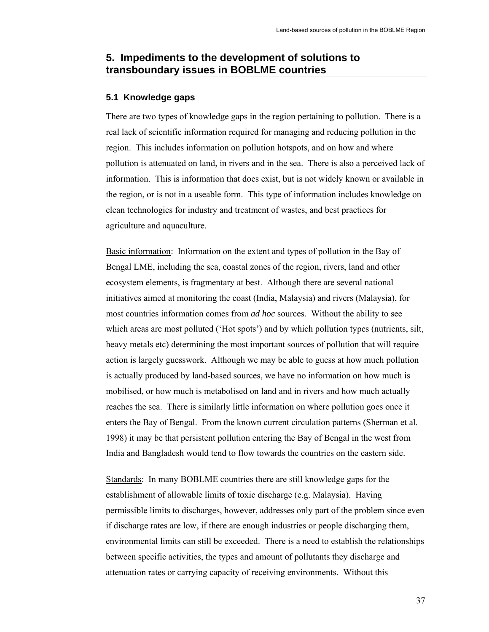## **5. Impediments to the development of solutions to transboundary issues in BOBLME countries**

### **5.1 Knowledge gaps**

There are two types of knowledge gaps in the region pertaining to pollution. There is a real lack of scientific information required for managing and reducing pollution in the region. This includes information on pollution hotspots, and on how and where pollution is attenuated on land, in rivers and in the sea. There is also a perceived lack of information. This is information that does exist, but is not widely known or available in the region, or is not in a useable form. This type of information includes knowledge on clean technologies for industry and treatment of wastes, and best practices for agriculture and aquaculture.

Basic information: Information on the extent and types of pollution in the Bay of Bengal LME, including the sea, coastal zones of the region, rivers, land and other ecosystem elements, is fragmentary at best. Although there are several national initiatives aimed at monitoring the coast (India, Malaysia) and rivers (Malaysia), for most countries information comes from *ad hoc* sources. Without the ability to see which areas are most polluted ('Hot spots') and by which pollution types (nutrients, silt, heavy metals etc) determining the most important sources of pollution that will require action is largely guesswork. Although we may be able to guess at how much pollution is actually produced by land-based sources, we have no information on how much is mobilised, or how much is metabolised on land and in rivers and how much actually reaches the sea. There is similarly little information on where pollution goes once it enters the Bay of Bengal. From the known current circulation patterns (Sherman et al. 1998) it may be that persistent pollution entering the Bay of Bengal in the west from India and Bangladesh would tend to flow towards the countries on the eastern side.

Standards: In many BOBLME countries there are still knowledge gaps for the establishment of allowable limits of toxic discharge (e.g. Malaysia). Having permissible limits to discharges, however, addresses only part of the problem since even if discharge rates are low, if there are enough industries or people discharging them, environmental limits can still be exceeded. There is a need to establish the relationships between specific activities, the types and amount of pollutants they discharge and attenuation rates or carrying capacity of receiving environments. Without this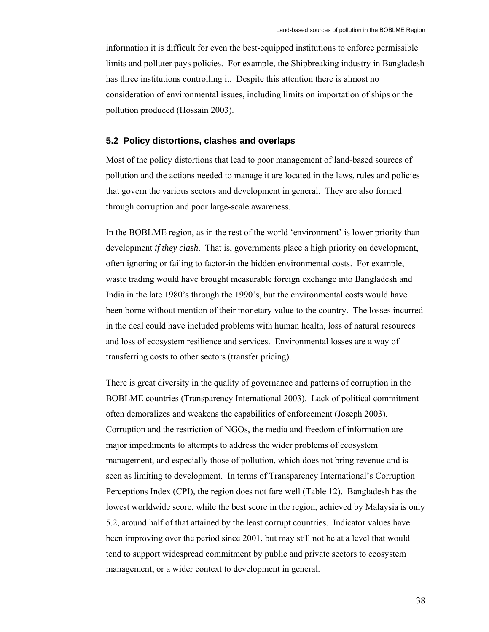information it is difficult for even the best-equipped institutions to enforce permissible limits and polluter pays policies. For example, the Shipbreaking industry in Bangladesh has three institutions controlling it. Despite this attention there is almost no consideration of environmental issues, including limits on importation of ships or the pollution produced (Hossain 2003).

### **5.2 Policy distortions, clashes and overlaps**

Most of the policy distortions that lead to poor management of land-based sources of pollution and the actions needed to manage it are located in the laws, rules and policies that govern the various sectors and development in general. They are also formed through corruption and poor large-scale awareness.

In the BOBLME region, as in the rest of the world 'environment' is lower priority than development *if they clash*. That is, governments place a high priority on development, often ignoring or failing to factor-in the hidden environmental costs. For example, waste trading would have brought measurable foreign exchange into Bangladesh and India in the late 1980's through the 1990's, but the environmental costs would have been borne without mention of their monetary value to the country. The losses incurred in the deal could have included problems with human health, loss of natural resources and loss of ecosystem resilience and services. Environmental losses are a way of transferring costs to other sectors (transfer pricing).

There is great diversity in the quality of governance and patterns of corruption in the BOBLME countries (Transparency International 2003). Lack of political commitment often demoralizes and weakens the capabilities of enforcement (Joseph 2003). Corruption and the restriction of NGOs, the media and freedom of information are major impediments to attempts to address the wider problems of ecosystem management, and especially those of pollution, which does not bring revenue and is seen as limiting to development. In terms of Transparency International's Corruption Perceptions Index (CPI), the region does not fare well (Table 12). Bangladesh has the lowest worldwide score, while the best score in the region, achieved by Malaysia is only 5.2, around half of that attained by the least corrupt countries. Indicator values have been improving over the period since 2001, but may still not be at a level that would tend to support widespread commitment by public and private sectors to ecosystem management, or a wider context to development in general.

38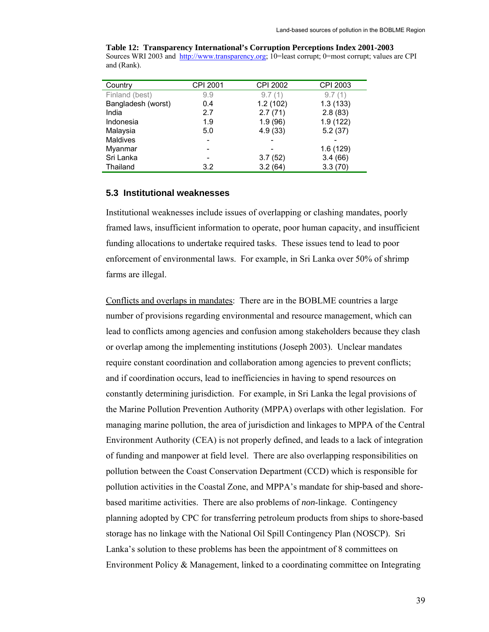|             | Table 12: Transparency International's Corruption Perceptions Index 2001-2003                      |
|-------------|----------------------------------------------------------------------------------------------------|
|             | Sources WRI 2003 and http://www.transparency.org; 10=least corrupt; 0=most corrupt; values are CPI |
| and (Rank). |                                                                                                    |

| Country            | CPI 2001 | <b>CPI 2002</b> | CPI 2003 |
|--------------------|----------|-----------------|----------|
| Finland (best)     | 9.9      | 9.7(1)          | 9.7(1)   |
| Bangladesh (worst) | 0.4      | 1.2(102)        | 1.3(133) |
| India              | 2.7      | 2.7(71)         | 2.8(83)  |
| Indonesia          | 1.9      | 1.9(96)         | 1.9(122) |
| Malaysia           | 5.0      | 4.9(33)         | 5.2(37)  |
| Maldives           |          |                 |          |
| Myanmar            |          |                 | 1.6(129) |
| Sri Lanka          |          | 3.7(52)         | 3.4(66)  |
| Thailand           | 3.2      | 3.2(64)         | 3.3(70)  |

## **5.3 Institutional weaknesses**

Institutional weaknesses include issues of overlapping or clashing mandates, poorly framed laws, insufficient information to operate, poor human capacity, and insufficient funding allocations to undertake required tasks. These issues tend to lead to poor enforcement of environmental laws. For example, in Sri Lanka over 50% of shrimp farms are illegal.

Conflicts and overlaps in mandates: There are in the BOBLME countries a large number of provisions regarding environmental and resource management, which can lead to conflicts among agencies and confusion among stakeholders because they clash or overlap among the implementing institutions (Joseph 2003). Unclear mandates require constant coordination and collaboration among agencies to prevent conflicts; and if coordination occurs, lead to inefficiencies in having to spend resources on constantly determining jurisdiction. For example, in Sri Lanka the legal provisions of the Marine Pollution Prevention Authority (MPPA) overlaps with other legislation. For managing marine pollution, the area of jurisdiction and linkages to MPPA of the Central Environment Authority (CEA) is not properly defined, and leads to a lack of integration of funding and manpower at field level. There are also overlapping responsibilities on pollution between the Coast Conservation Department (CCD) which is responsible for pollution activities in the Coastal Zone, and MPPA's mandate for ship-based and shorebased maritime activities. There are also problems of *non*-linkage. Contingency planning adopted by CPC for transferring petroleum products from ships to shore-based storage has no linkage with the National Oil Spill Contingency Plan (NOSCP). Sri Lanka's solution to these problems has been the appointment of 8 committees on Environment Policy & Management, linked to a coordinating committee on Integrating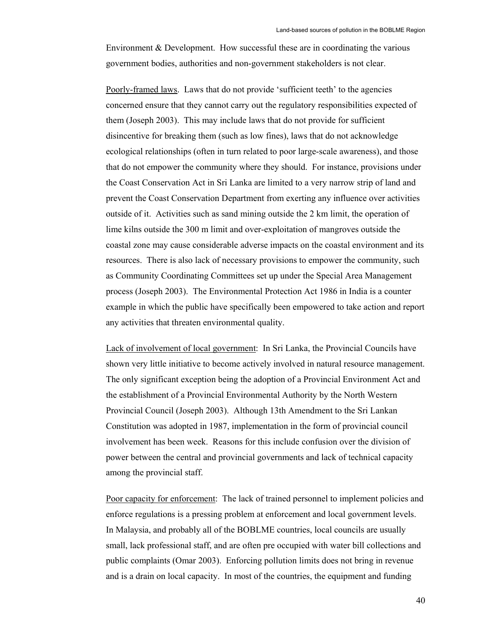Environment & Development. How successful these are in coordinating the various government bodies, authorities and non-government stakeholders is not clear.

Poorly-framed laws. Laws that do not provide 'sufficient teeth' to the agencies concerned ensure that they cannot carry out the regulatory responsibilities expected of them (Joseph 2003). This may include laws that do not provide for sufficient disincentive for breaking them (such as low fines), laws that do not acknowledge ecological relationships (often in turn related to poor large-scale awareness), and those that do not empower the community where they should. For instance, provisions under the Coast Conservation Act in Sri Lanka are limited to a very narrow strip of land and prevent the Coast Conservation Department from exerting any influence over activities outside of it. Activities such as sand mining outside the 2 km limit, the operation of lime kilns outside the 300 m limit and over-exploitation of mangroves outside the coastal zone may cause considerable adverse impacts on the coastal environment and its resources. There is also lack of necessary provisions to empower the community, such as Community Coordinating Committees set up under the Special Area Management process (Joseph 2003). The Environmental Protection Act 1986 in India is a counter example in which the public have specifically been empowered to take action and report any activities that threaten environmental quality.

Lack of involvement of local government: In Sri Lanka, the Provincial Councils have shown very little initiative to become actively involved in natural resource management. The only significant exception being the adoption of a Provincial Environment Act and the establishment of a Provincial Environmental Authority by the North Western Provincial Council (Joseph 2003). Although 13th Amendment to the Sri Lankan Constitution was adopted in 1987, implementation in the form of provincial council involvement has been week. Reasons for this include confusion over the division of power between the central and provincial governments and lack of technical capacity among the provincial staff.

Poor capacity for enforcement: The lack of trained personnel to implement policies and enforce regulations is a pressing problem at enforcement and local government levels. In Malaysia, and probably all of the BOBLME countries, local councils are usually small, lack professional staff, and are often pre occupied with water bill collections and public complaints (Omar 2003). Enforcing pollution limits does not bring in revenue and is a drain on local capacity. In most of the countries, the equipment and funding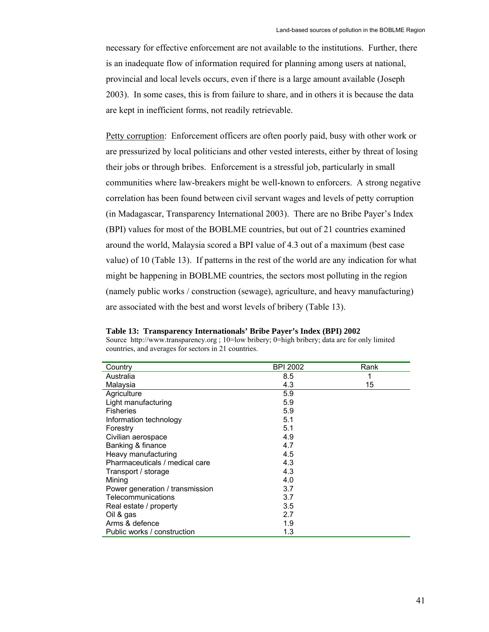necessary for effective enforcement are not available to the institutions. Further, there is an inadequate flow of information required for planning among users at national, provincial and local levels occurs, even if there is a large amount available (Joseph 2003). In some cases, this is from failure to share, and in others it is because the data are kept in inefficient forms, not readily retrievable.

Petty corruption: Enforcement officers are often poorly paid, busy with other work or are pressurized by local politicians and other vested interests, either by threat of losing their jobs or through bribes. Enforcement is a stressful job, particularly in small communities where law-breakers might be well-known to enforcers. A strong negative correlation has been found between civil servant wages and levels of petty corruption (in Madagascar, Transparency International 2003). There are no Bribe Payer's Index (BPI) values for most of the BOBLME countries, but out of 21 countries examined around the world, Malaysia scored a BPI value of 4.3 out of a maximum (best case value) of 10 (Table 13). If patterns in the rest of the world are any indication for what might be happening in BOBLME countries, the sectors most polluting in the region (namely public works / construction (sewage), agriculture, and heavy manufacturing) are associated with the best and worst levels of bribery (Table 13).

**Table 13: Transparency Internationals' Bribe Payer's Index (BPI) 2002**  Source http://www.transparency.org ; 10=low bribery; 0=high bribery; data are for only limited countries, and averages for sectors in 21 countries.

| Country                         | <b>BPI 2002</b> | Rank |
|---------------------------------|-----------------|------|
| Australia                       | 8.5             | 1    |
| Malaysia                        | 4.3             | 15   |
| Agriculture                     | 5.9             |      |
| Light manufacturing             | 5.9             |      |
| Fisheries                       | 5.9             |      |
| Information technology          | 5.1             |      |
| Forestry                        | 5.1             |      |
| Civilian aerospace              | 4.9             |      |
| Banking & finance               | 4.7             |      |
| Heavy manufacturing             | 4.5             |      |
| Pharmaceuticals / medical care  | 4.3             |      |
| Transport / storage             | 4.3             |      |
| Mining                          | 4.0             |      |
| Power generation / transmission | 3.7             |      |
| Telecommunications              | 3.7             |      |
| Real estate / property          | 3.5             |      |
| Oil & gas                       | 2.7             |      |
| Arms & defence                  | 1.9             |      |
| Public works / construction     | 1.3             |      |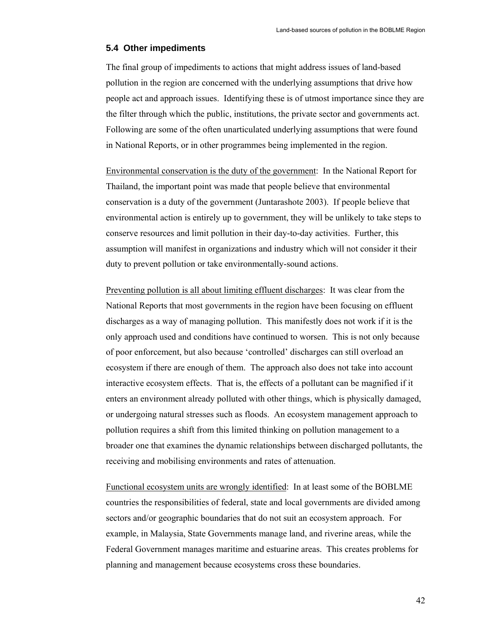### **5.4 Other impediments**

The final group of impediments to actions that might address issues of land-based pollution in the region are concerned with the underlying assumptions that drive how people act and approach issues. Identifying these is of utmost importance since they are the filter through which the public, institutions, the private sector and governments act. Following are some of the often unarticulated underlying assumptions that were found in National Reports, or in other programmes being implemented in the region.

Environmental conservation is the duty of the government: In the National Report for Thailand, the important point was made that people believe that environmental conservation is a duty of the government (Juntarashote 2003). If people believe that environmental action is entirely up to government, they will be unlikely to take steps to conserve resources and limit pollution in their day-to-day activities. Further, this assumption will manifest in organizations and industry which will not consider it their duty to prevent pollution or take environmentally-sound actions.

Preventing pollution is all about limiting effluent discharges: It was clear from the National Reports that most governments in the region have been focusing on effluent discharges as a way of managing pollution. This manifestly does not work if it is the only approach used and conditions have continued to worsen. This is not only because of poor enforcement, but also because 'controlled' discharges can still overload an ecosystem if there are enough of them. The approach also does not take into account interactive ecosystem effects. That is, the effects of a pollutant can be magnified if it enters an environment already polluted with other things, which is physically damaged, or undergoing natural stresses such as floods. An ecosystem management approach to pollution requires a shift from this limited thinking on pollution management to a broader one that examines the dynamic relationships between discharged pollutants, the receiving and mobilising environments and rates of attenuation.

Functional ecosystem units are wrongly identified: In at least some of the BOBLME countries the responsibilities of federal, state and local governments are divided among sectors and/or geographic boundaries that do not suit an ecosystem approach. For example, in Malaysia, State Governments manage land, and riverine areas, while the Federal Government manages maritime and estuarine areas. This creates problems for planning and management because ecosystems cross these boundaries.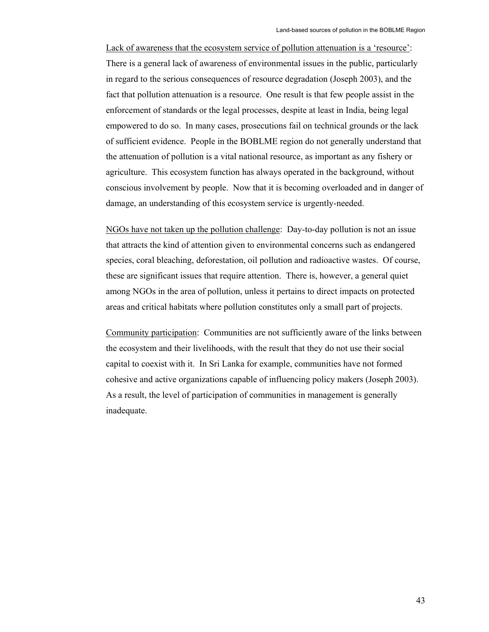Lack of awareness that the ecosystem service of pollution attenuation is a 'resource': There is a general lack of awareness of environmental issues in the public, particularly in regard to the serious consequences of resource degradation (Joseph 2003), and the fact that pollution attenuation is a resource. One result is that few people assist in the enforcement of standards or the legal processes, despite at least in India, being legal empowered to do so. In many cases, prosecutions fail on technical grounds or the lack of sufficient evidence. People in the BOBLME region do not generally understand that the attenuation of pollution is a vital national resource, as important as any fishery or agriculture. This ecosystem function has always operated in the background, without conscious involvement by people. Now that it is becoming overloaded and in danger of damage, an understanding of this ecosystem service is urgently-needed.

NGOs have not taken up the pollution challenge: Day-to-day pollution is not an issue that attracts the kind of attention given to environmental concerns such as endangered species, coral bleaching, deforestation, oil pollution and radioactive wastes. Of course, these are significant issues that require attention. There is, however, a general quiet among NGOs in the area of pollution, unless it pertains to direct impacts on protected areas and critical habitats where pollution constitutes only a small part of projects.

Community participation: Communities are not sufficiently aware of the links between the ecosystem and their livelihoods, with the result that they do not use their social capital to coexist with it. In Sri Lanka for example, communities have not formed cohesive and active organizations capable of influencing policy makers (Joseph 2003). As a result, the level of participation of communities in management is generally inadequate.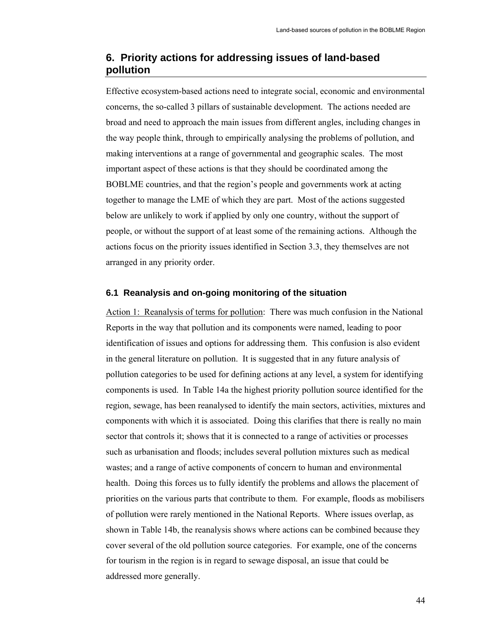## **6. Priority actions for addressing issues of land-based pollution**

Effective ecosystem-based actions need to integrate social, economic and environmental concerns, the so-called 3 pillars of sustainable development. The actions needed are broad and need to approach the main issues from different angles, including changes in the way people think, through to empirically analysing the problems of pollution, and making interventions at a range of governmental and geographic scales. The most important aspect of these actions is that they should be coordinated among the BOBLME countries, and that the region's people and governments work at acting together to manage the LME of which they are part. Most of the actions suggested below are unlikely to work if applied by only one country, without the support of people, or without the support of at least some of the remaining actions. Although the actions focus on the priority issues identified in Section 3.3, they themselves are not arranged in any priority order.

#### **6.1 Reanalysis and on-going monitoring of the situation**

Action 1: Reanalysis of terms for pollution: There was much confusion in the National Reports in the way that pollution and its components were named, leading to poor identification of issues and options for addressing them. This confusion is also evident in the general literature on pollution. It is suggested that in any future analysis of pollution categories to be used for defining actions at any level, a system for identifying components is used. In Table 14a the highest priority pollution source identified for the region, sewage, has been reanalysed to identify the main sectors, activities, mixtures and components with which it is associated. Doing this clarifies that there is really no main sector that controls it; shows that it is connected to a range of activities or processes such as urbanisation and floods; includes several pollution mixtures such as medical wastes; and a range of active components of concern to human and environmental health. Doing this forces us to fully identify the problems and allows the placement of priorities on the various parts that contribute to them. For example, floods as mobilisers of pollution were rarely mentioned in the National Reports. Where issues overlap, as shown in Table 14b, the reanalysis shows where actions can be combined because they cover several of the old pollution source categories. For example, one of the concerns for tourism in the region is in regard to sewage disposal, an issue that could be addressed more generally.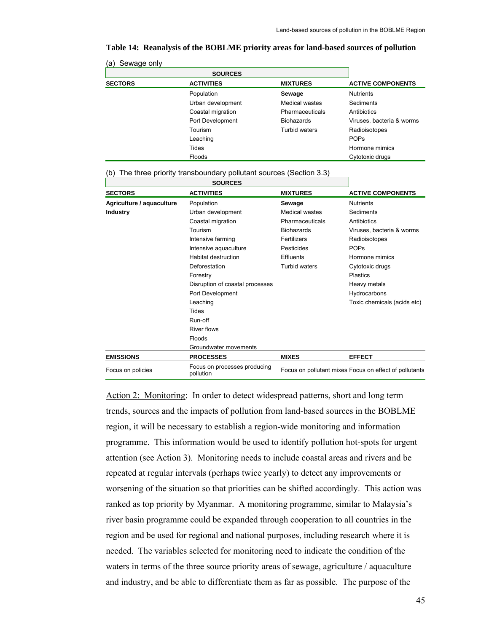Focus on pollutant mixes Focus on effect of pollutants

| Sewage only<br>(a) |                   |                   |                           |
|--------------------|-------------------|-------------------|---------------------------|
|                    | <b>SOURCES</b>    |                   |                           |
| <b>SECTORS</b>     | <b>ACTIVITIES</b> | <b>MIXTURES</b>   | <b>ACTIVE COMPONENTS</b>  |
|                    | Population        | Sewage            | <b>Nutrients</b>          |
|                    | Urban development | Medical wastes    | Sediments                 |
|                    | Coastal migration | Pharmaceuticals   | Antibiotics               |
|                    | Port Development  | <b>Biohazards</b> | Viruses, bacteria & worms |
|                    | Tourism           | Turbid waters     | Radioisotopes             |
|                    | Leaching          |                   | <b>POPs</b>               |
|                    | Tides             |                   | Hormone mimics            |
|                    | Floods            |                   | Cytotoxic drugs           |

|  |  |  |  |  | Table 14: Reanalysis of the BOBLME priority areas for land-based sources of pollution |
|--|--|--|--|--|---------------------------------------------------------------------------------------|
|--|--|--|--|--|---------------------------------------------------------------------------------------|

|                           | <b>SOURCES</b>                  |                       |                                   |  |  |
|---------------------------|---------------------------------|-----------------------|-----------------------------------|--|--|
| <b>SECTORS</b>            | <b>ACTIVITIES</b>               | <b>MIXTURES</b>       | <b>ACTIVE COMPONENTS</b>          |  |  |
| Agriculture / aquaculture | Population                      | Sewage                | <b>Nutrients</b>                  |  |  |
| <b>Industry</b>           | Urban development               | <b>Medical wastes</b> | Sediments                         |  |  |
|                           | Coastal migration               | Pharmaceuticals       | Antibiotics                       |  |  |
|                           | Tourism                         | <b>Biohazards</b>     | Viruses, bacteria & worms         |  |  |
|                           | Intensive farming               | Fertilizers           | Radioisotopes                     |  |  |
|                           | Intensive aquaculture           | Pesticides            | <b>POPs</b>                       |  |  |
|                           | Habitat destruction             | Effluents             | Hormone mimics<br>Cytotoxic drugs |  |  |
|                           | Deforestation                   | Turbid waters         |                                   |  |  |
|                           | Forestry                        |                       | <b>Plastics</b>                   |  |  |
|                           | Disruption of coastal processes |                       | Heavy metals                      |  |  |
|                           | Port Development                |                       | Hydrocarbons                      |  |  |
|                           | Leaching                        |                       | Toxic chemicals (acids etc)       |  |  |
|                           | <b>Tides</b>                    |                       |                                   |  |  |
|                           | Run-off                         |                       |                                   |  |  |
|                           | River flows                     |                       |                                   |  |  |
|                           | Floods                          |                       |                                   |  |  |
|                           | Groundwater movements           |                       |                                   |  |  |
| <b>EMISSIONS</b>          | <b>PROCESSES</b>                | <b>MIXES</b>          | <b>EFFECT</b>                     |  |  |

(b) The three priority transboundary pollutant sources (Section 3.3)

Focus on policies<br>
Focus on policies<br>
pollution

Action 2: Monitoring: In order to detect widespread patterns, short and long term trends, sources and the impacts of pollution from land-based sources in the BOBLME region, it will be necessary to establish a region-wide monitoring and information programme. This information would be used to identify pollution hot-spots for urgent attention (see Action 3). Monitoring needs to include coastal areas and rivers and be repeated at regular intervals (perhaps twice yearly) to detect any improvements or worsening of the situation so that priorities can be shifted accordingly. This action was ranked as top priority by Myanmar. A monitoring programme, similar to Malaysia's river basin programme could be expanded through cooperation to all countries in the region and be used for regional and national purposes, including research where it is needed. The variables selected for monitoring need to indicate the condition of the waters in terms of the three source priority areas of sewage, agriculture / aquaculture and industry, and be able to differentiate them as far as possible. The purpose of the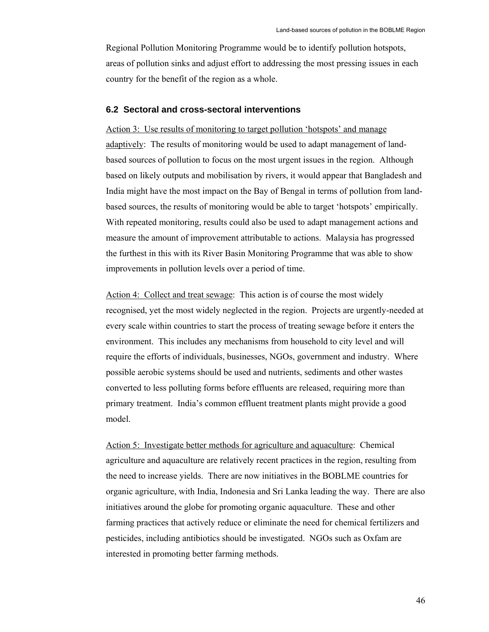Regional Pollution Monitoring Programme would be to identify pollution hotspots, areas of pollution sinks and adjust effort to addressing the most pressing issues in each country for the benefit of the region as a whole.

### **6.2 Sectoral and cross-sectoral interventions**

Action 3: Use results of monitoring to target pollution 'hotspots' and manage adaptively: The results of monitoring would be used to adapt management of landbased sources of pollution to focus on the most urgent issues in the region. Although based on likely outputs and mobilisation by rivers, it would appear that Bangladesh and India might have the most impact on the Bay of Bengal in terms of pollution from landbased sources, the results of monitoring would be able to target 'hotspots' empirically. With repeated monitoring, results could also be used to adapt management actions and measure the amount of improvement attributable to actions. Malaysia has progressed the furthest in this with its River Basin Monitoring Programme that was able to show improvements in pollution levels over a period of time.

Action 4: Collect and treat sewage: This action is of course the most widely recognised, yet the most widely neglected in the region. Projects are urgently-needed at every scale within countries to start the process of treating sewage before it enters the environment. This includes any mechanisms from household to city level and will require the efforts of individuals, businesses, NGOs, government and industry. Where possible aerobic systems should be used and nutrients, sediments and other wastes converted to less polluting forms before effluents are released, requiring more than primary treatment. India's common effluent treatment plants might provide a good model.

Action 5: Investigate better methods for agriculture and aquaculture: Chemical agriculture and aquaculture are relatively recent practices in the region, resulting from the need to increase yields. There are now initiatives in the BOBLME countries for organic agriculture, with India, Indonesia and Sri Lanka leading the way. There are also initiatives around the globe for promoting organic aquaculture. These and other farming practices that actively reduce or eliminate the need for chemical fertilizers and pesticides, including antibiotics should be investigated. NGOs such as Oxfam are interested in promoting better farming methods.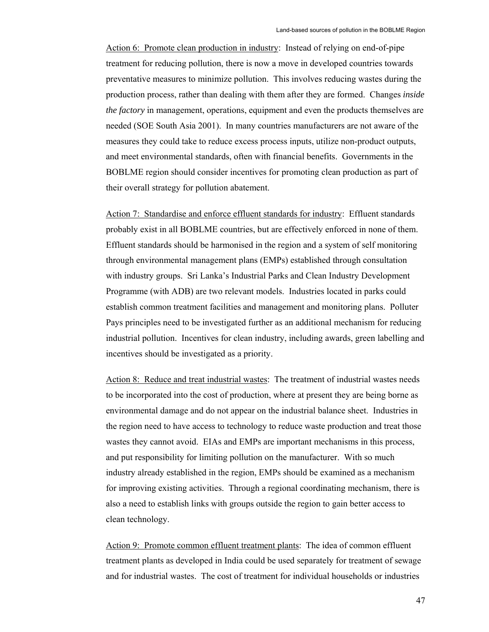Action 6: Promote clean production in industry: Instead of relying on end-of-pipe treatment for reducing pollution, there is now a move in developed countries towards preventative measures to minimize pollution. This involves reducing wastes during the production process, rather than dealing with them after they are formed. Changes *inside the factory* in management, operations, equipment and even the products themselves are needed (SOE South Asia 2001). In many countries manufacturers are not aware of the measures they could take to reduce excess process inputs, utilize non-product outputs, and meet environmental standards, often with financial benefits. Governments in the BOBLME region should consider incentives for promoting clean production as part of their overall strategy for pollution abatement.

Action 7: Standardise and enforce effluent standards for industry: Effluent standards probably exist in all BOBLME countries, but are effectively enforced in none of them. Effluent standards should be harmonised in the region and a system of self monitoring through environmental management plans (EMPs) established through consultation with industry groups. Sri Lanka's Industrial Parks and Clean Industry Development Programme (with ADB) are two relevant models. Industries located in parks could establish common treatment facilities and management and monitoring plans. Polluter Pays principles need to be investigated further as an additional mechanism for reducing industrial pollution. Incentives for clean industry, including awards, green labelling and incentives should be investigated as a priority.

Action 8: Reduce and treat industrial wastes: The treatment of industrial wastes needs to be incorporated into the cost of production, where at present they are being borne as environmental damage and do not appear on the industrial balance sheet. Industries in the region need to have access to technology to reduce waste production and treat those wastes they cannot avoid. EIAs and EMPs are important mechanisms in this process, and put responsibility for limiting pollution on the manufacturer. With so much industry already established in the region, EMPs should be examined as a mechanism for improving existing activities. Through a regional coordinating mechanism, there is also a need to establish links with groups outside the region to gain better access to clean technology.

Action 9: Promote common effluent treatment plants: The idea of common effluent treatment plants as developed in India could be used separately for treatment of sewage and for industrial wastes. The cost of treatment for individual households or industries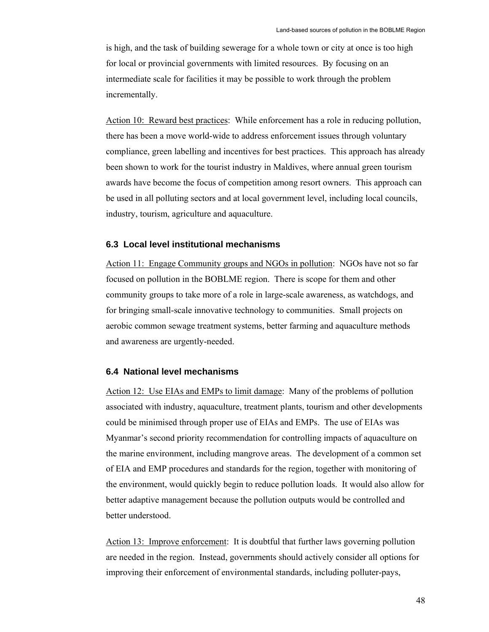is high, and the task of building sewerage for a whole town or city at once is too high for local or provincial governments with limited resources. By focusing on an intermediate scale for facilities it may be possible to work through the problem incrementally.

Action 10: Reward best practices: While enforcement has a role in reducing pollution, there has been a move world-wide to address enforcement issues through voluntary compliance, green labelling and incentives for best practices. This approach has already been shown to work for the tourist industry in Maldives, where annual green tourism awards have become the focus of competition among resort owners. This approach can be used in all polluting sectors and at local government level, including local councils, industry, tourism, agriculture and aquaculture.

#### **6.3 Local level institutional mechanisms**

Action 11: Engage Community groups and NGOs in pollution: NGOs have not so far focused on pollution in the BOBLME region. There is scope for them and other community groups to take more of a role in large-scale awareness, as watchdogs, and for bringing small-scale innovative technology to communities. Small projects on aerobic common sewage treatment systems, better farming and aquaculture methods and awareness are urgently-needed.

#### **6.4 National level mechanisms**

Action 12: Use EIAs and EMPs to limit damage: Many of the problems of pollution associated with industry, aquaculture, treatment plants, tourism and other developments could be minimised through proper use of EIAs and EMPs. The use of EIAs was Myanmar's second priority recommendation for controlling impacts of aquaculture on the marine environment, including mangrove areas. The development of a common set of EIA and EMP procedures and standards for the region, together with monitoring of the environment, would quickly begin to reduce pollution loads. It would also allow for better adaptive management because the pollution outputs would be controlled and better understood.

Action 13: Improve enforcement: It is doubtful that further laws governing pollution are needed in the region. Instead, governments should actively consider all options for improving their enforcement of environmental standards, including polluter-pays,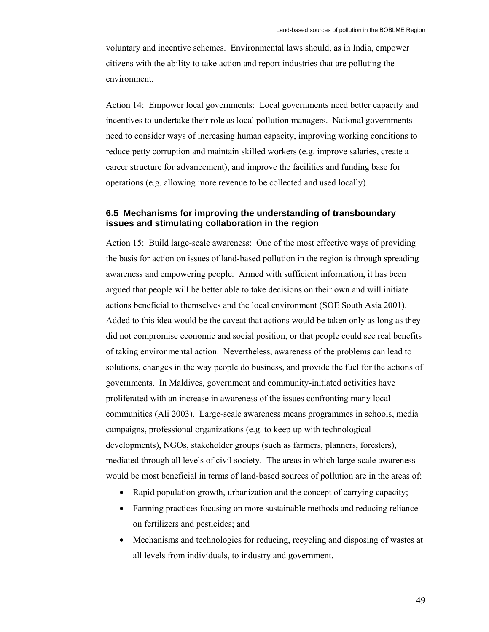voluntary and incentive schemes. Environmental laws should, as in India, empower citizens with the ability to take action and report industries that are polluting the environment.

Action 14: Empower local governments: Local governments need better capacity and incentives to undertake their role as local pollution managers. National governments need to consider ways of increasing human capacity, improving working conditions to reduce petty corruption and maintain skilled workers (e.g. improve salaries, create a career structure for advancement), and improve the facilities and funding base for operations (e.g. allowing more revenue to be collected and used locally).

## **6.5 Mechanisms for improving the understanding of transboundary issues and stimulating collaboration in the region**

Action 15: Build large-scale awareness: One of the most effective ways of providing the basis for action on issues of land-based pollution in the region is through spreading awareness and empowering people. Armed with sufficient information, it has been argued that people will be better able to take decisions on their own and will initiate actions beneficial to themselves and the local environment (SOE South Asia 2001). Added to this idea would be the caveat that actions would be taken only as long as they did not compromise economic and social position, or that people could see real benefits of taking environmental action. Nevertheless, awareness of the problems can lead to solutions, changes in the way people do business, and provide the fuel for the actions of governments. In Maldives, government and community-initiated activities have proliferated with an increase in awareness of the issues confronting many local communities (Ali 2003). Large-scale awareness means programmes in schools, media campaigns, professional organizations (e.g. to keep up with technological developments), NGOs, stakeholder groups (such as farmers, planners, foresters), mediated through all levels of civil society. The areas in which large-scale awareness would be most beneficial in terms of land-based sources of pollution are in the areas of:

- Rapid population growth, urbanization and the concept of carrying capacity;
- Farming practices focusing on more sustainable methods and reducing reliance on fertilizers and pesticides; and
- Mechanisms and technologies for reducing, recycling and disposing of wastes at all levels from individuals, to industry and government.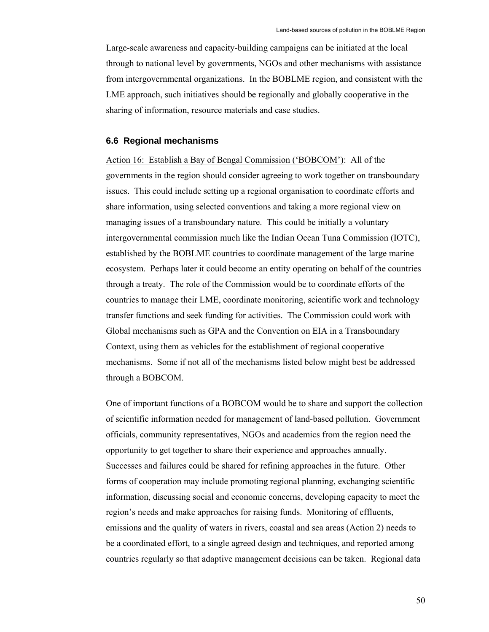Large-scale awareness and capacity-building campaigns can be initiated at the local through to national level by governments, NGOs and other mechanisms with assistance from intergovernmental organizations. In the BOBLME region, and consistent with the LME approach, such initiatives should be regionally and globally cooperative in the sharing of information, resource materials and case studies.

#### **6.6 Regional mechanisms**

Action 16: Establish a Bay of Bengal Commission ('BOBCOM'): All of the governments in the region should consider agreeing to work together on transboundary issues. This could include setting up a regional organisation to coordinate efforts and share information, using selected conventions and taking a more regional view on managing issues of a transboundary nature. This could be initially a voluntary intergovernmental commission much like the Indian Ocean Tuna Commission (IOTC), established by the BOBLME countries to coordinate management of the large marine ecosystem. Perhaps later it could become an entity operating on behalf of the countries through a treaty. The role of the Commission would be to coordinate efforts of the countries to manage their LME, coordinate monitoring, scientific work and technology transfer functions and seek funding for activities. The Commission could work with Global mechanisms such as GPA and the Convention on EIA in a Transboundary Context, using them as vehicles for the establishment of regional cooperative mechanisms. Some if not all of the mechanisms listed below might best be addressed through a BOBCOM.

One of important functions of a BOBCOM would be to share and support the collection of scientific information needed for management of land-based pollution. Government officials, community representatives, NGOs and academics from the region need the opportunity to get together to share their experience and approaches annually. Successes and failures could be shared for refining approaches in the future. Other forms of cooperation may include promoting regional planning, exchanging scientific information, discussing social and economic concerns, developing capacity to meet the region's needs and make approaches for raising funds. Monitoring of effluents, emissions and the quality of waters in rivers, coastal and sea areas (Action 2) needs to be a coordinated effort, to a single agreed design and techniques, and reported among countries regularly so that adaptive management decisions can be taken. Regional data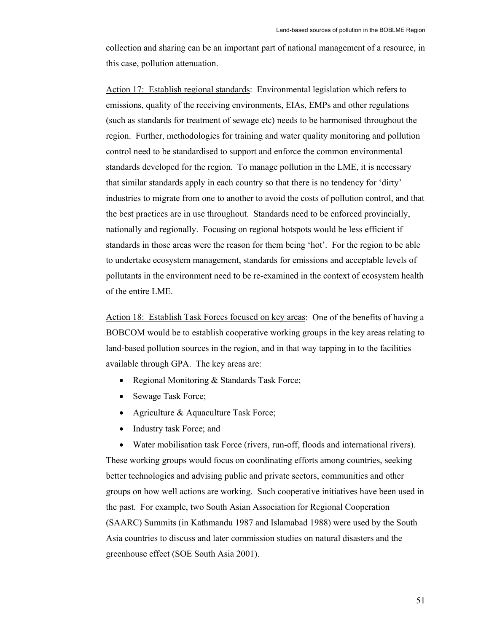collection and sharing can be an important part of national management of a resource, in this case, pollution attenuation.

Action 17: Establish regional standards: Environmental legislation which refers to emissions, quality of the receiving environments, EIAs, EMPs and other regulations (such as standards for treatment of sewage etc) needs to be harmonised throughout the region. Further, methodologies for training and water quality monitoring and pollution control need to be standardised to support and enforce the common environmental standards developed for the region. To manage pollution in the LME, it is necessary that similar standards apply in each country so that there is no tendency for 'dirty' industries to migrate from one to another to avoid the costs of pollution control, and that the best practices are in use throughout. Standards need to be enforced provincially, nationally and regionally. Focusing on regional hotspots would be less efficient if standards in those areas were the reason for them being 'hot'. For the region to be able to undertake ecosystem management, standards for emissions and acceptable levels of pollutants in the environment need to be re-examined in the context of ecosystem health of the entire LME.

Action 18: Establish Task Forces focused on key areas: One of the benefits of having a BOBCOM would be to establish cooperative working groups in the key areas relating to land-based pollution sources in the region, and in that way tapping in to the facilities available through GPA. The key areas are:

- Regional Monitoring & Standards Task Force;
- Sewage Task Force;
- Agriculture & Aquaculture Task Force;
- Industry task Force; and

• Water mobilisation task Force (rivers, run-off, floods and international rivers). These working groups would focus on coordinating efforts among countries, seeking better technologies and advising public and private sectors, communities and other groups on how well actions are working. Such cooperative initiatives have been used in the past. For example, two South Asian Association for Regional Cooperation (SAARC) Summits (in Kathmandu 1987 and Islamabad 1988) were used by the South Asia countries to discuss and later commission studies on natural disasters and the greenhouse effect (SOE South Asia 2001).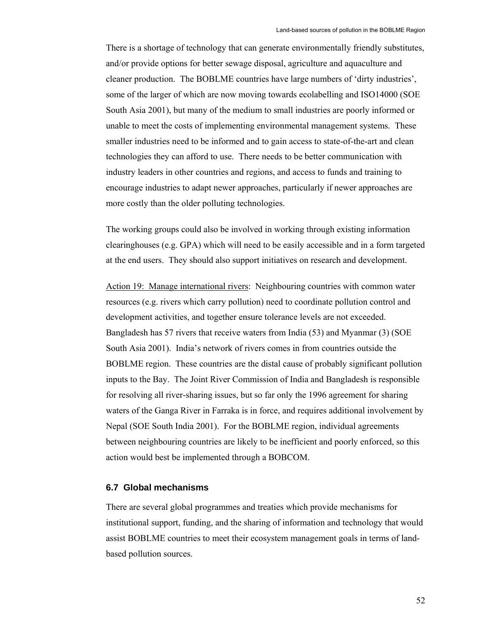There is a shortage of technology that can generate environmentally friendly substitutes, and/or provide options for better sewage disposal, agriculture and aquaculture and cleaner production. The BOBLME countries have large numbers of 'dirty industries', some of the larger of which are now moving towards ecolabelling and ISO14000 (SOE South Asia 2001), but many of the medium to small industries are poorly informed or unable to meet the costs of implementing environmental management systems. These smaller industries need to be informed and to gain access to state-of-the-art and clean technologies they can afford to use. There needs to be better communication with industry leaders in other countries and regions, and access to funds and training to encourage industries to adapt newer approaches, particularly if newer approaches are more costly than the older polluting technologies.

The working groups could also be involved in working through existing information clearinghouses (e.g. GPA) which will need to be easily accessible and in a form targeted at the end users. They should also support initiatives on research and development.

Action 19: Manage international rivers: Neighbouring countries with common water resources (e.g. rivers which carry pollution) need to coordinate pollution control and development activities, and together ensure tolerance levels are not exceeded. Bangladesh has 57 rivers that receive waters from India (53) and Myanmar (3) (SOE South Asia 2001). India's network of rivers comes in from countries outside the BOBLME region. These countries are the distal cause of probably significant pollution inputs to the Bay. The Joint River Commission of India and Bangladesh is responsible for resolving all river-sharing issues, but so far only the 1996 agreement for sharing waters of the Ganga River in Farraka is in force, and requires additional involvement by Nepal (SOE South India 2001). For the BOBLME region, individual agreements between neighbouring countries are likely to be inefficient and poorly enforced, so this action would best be implemented through a BOBCOM.

#### **6.7 Global mechanisms**

There are several global programmes and treaties which provide mechanisms for institutional support, funding, and the sharing of information and technology that would assist BOBLME countries to meet their ecosystem management goals in terms of landbased pollution sources.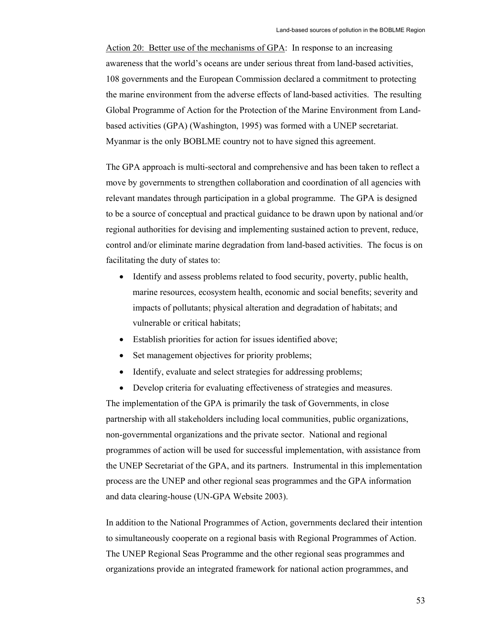Action 20: Better use of the mechanisms of GPA: In response to an increasing awareness that the world's oceans are under serious threat from land-based activities, 108 governments and the European Commission declared a commitment to protecting the marine environment from the adverse effects of land-based activities. The resulting Global Programme of Action for the Protection of the Marine Environment from Landbased activities (GPA) (Washington, 1995) was formed with a UNEP secretariat. Myanmar is the only BOBLME country not to have signed this agreement.

The GPA approach is multi-sectoral and comprehensive and has been taken to reflect a move by governments to strengthen collaboration and coordination of all agencies with relevant mandates through participation in a global programme. The GPA is designed to be a source of conceptual and practical guidance to be drawn upon by national and/or regional authorities for devising and implementing sustained action to prevent, reduce, control and/or eliminate marine degradation from land-based activities. The focus is on facilitating the duty of states to:

- Identify and assess problems related to food security, poverty, public health, marine resources, ecosystem health, economic and social benefits; severity and impacts of pollutants; physical alteration and degradation of habitats; and vulnerable or critical habitats;
- Establish priorities for action for issues identified above;
- Set management objectives for priority problems;
- Identify, evaluate and select strategies for addressing problems;
- Develop criteria for evaluating effectiveness of strategies and measures.

The implementation of the GPA is primarily the task of Governments, in close partnership with all stakeholders including local communities, public organizations, non-governmental organizations and the private sector. National and regional programmes of action will be used for successful implementation, with assistance from the UNEP Secretariat of the GPA, and its partners. Instrumental in this implementation process are the UNEP and other regional seas programmes and the GPA information and data clearing-house (UN-GPA Website 2003).

In addition to the National Programmes of Action, governments declared their intention to simultaneously cooperate on a regional basis with Regional Programmes of Action. The UNEP Regional Seas Programme and the other regional seas programmes and organizations provide an integrated framework for national action programmes, and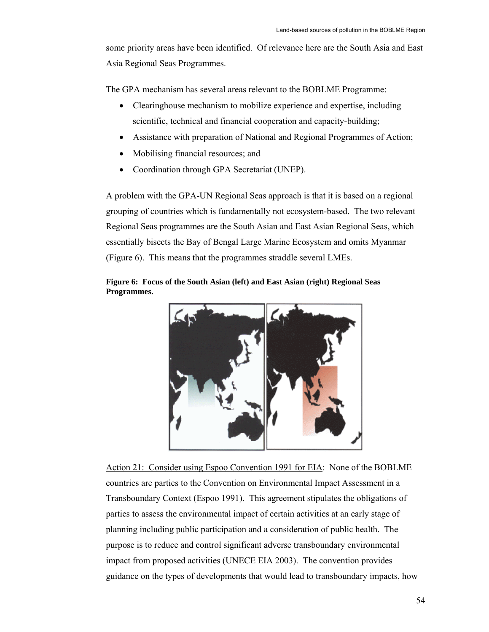some priority areas have been identified. Of relevance here are the South Asia and East Asia Regional Seas Programmes.

The GPA mechanism has several areas relevant to the BOBLME Programme:

- Clearinghouse mechanism to mobilize experience and expertise, including scientific, technical and financial cooperation and capacity-building;
- Assistance with preparation of National and Regional Programmes of Action;
- Mobilising financial resources; and
- Coordination through GPA Secretariat (UNEP).

A problem with the GPA-UN Regional Seas approach is that it is based on a regional grouping of countries which is fundamentally not ecosystem-based. The two relevant Regional Seas programmes are the South Asian and East Asian Regional Seas, which essentially bisects the Bay of Bengal Large Marine Ecosystem and omits Myanmar (Figure 6). This means that the programmes straddle several LMEs.

**Figure 6: Focus of the South Asian (left) and East Asian (right) Regional Seas Programmes.** 



Action 21: Consider using Espoo Convention 1991 for EIA: None of the BOBLME countries are parties to the Convention on Environmental Impact Assessment in a Transboundary Context (Espoo 1991). This agreement stipulates the obligations of parties to assess the environmental impact of certain activities at an early stage of planning including public participation and a consideration of public health. The purpose is to reduce and control significant adverse transboundary environmental impact from proposed activities (UNECE EIA 2003). The convention provides guidance on the types of developments that would lead to transboundary impacts, how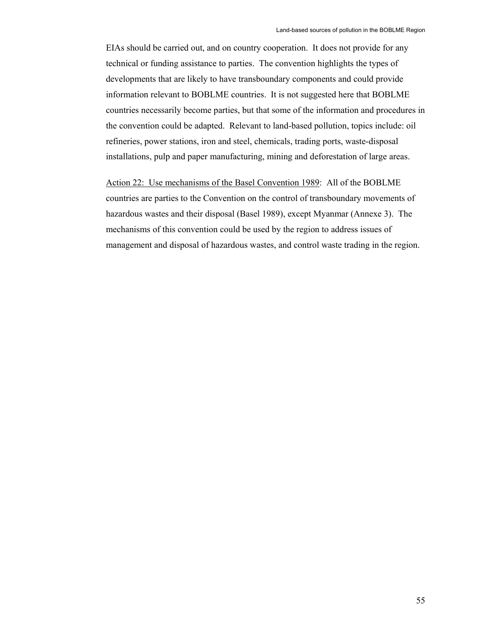EIAs should be carried out, and on country cooperation. It does not provide for any technical or funding assistance to parties. The convention highlights the types of developments that are likely to have transboundary components and could provide information relevant to BOBLME countries. It is not suggested here that BOBLME countries necessarily become parties, but that some of the information and procedures in the convention could be adapted. Relevant to land-based pollution, topics include: oil refineries, power stations, iron and steel, chemicals, trading ports, waste-disposal installations, pulp and paper manufacturing, mining and deforestation of large areas.

Action 22: Use mechanisms of the Basel Convention 1989: All of the BOBLME countries are parties to the Convention on the control of transboundary movements of hazardous wastes and their disposal (Basel 1989), except Myanmar (Annexe 3). The mechanisms of this convention could be used by the region to address issues of management and disposal of hazardous wastes, and control waste trading in the region.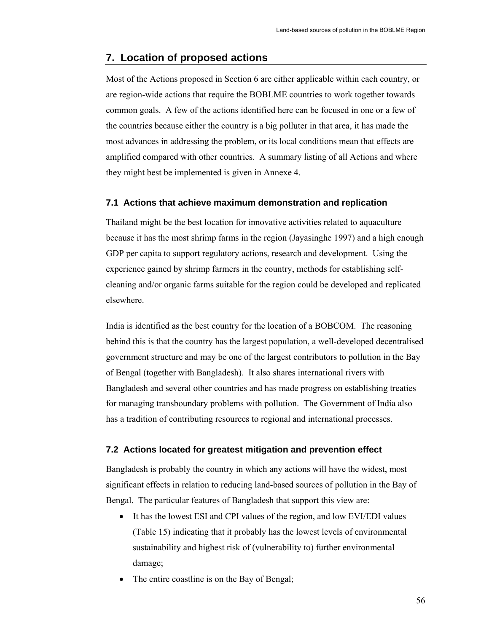## **7. Location of proposed actions**

Most of the Actions proposed in Section 6 are either applicable within each country, or are region-wide actions that require the BOBLME countries to work together towards common goals. A few of the actions identified here can be focused in one or a few of the countries because either the country is a big polluter in that area, it has made the most advances in addressing the problem, or its local conditions mean that effects are amplified compared with other countries. A summary listing of all Actions and where they might best be implemented is given in Annexe 4.

#### **7.1 Actions that achieve maximum demonstration and replication**

Thailand might be the best location for innovative activities related to aquaculture because it has the most shrimp farms in the region (Jayasinghe 1997) and a high enough GDP per capita to support regulatory actions, research and development. Using the experience gained by shrimp farmers in the country, methods for establishing selfcleaning and/or organic farms suitable for the region could be developed and replicated elsewhere.

India is identified as the best country for the location of a BOBCOM. The reasoning behind this is that the country has the largest population, a well-developed decentralised government structure and may be one of the largest contributors to pollution in the Bay of Bengal (together with Bangladesh). It also shares international rivers with Bangladesh and several other countries and has made progress on establishing treaties for managing transboundary problems with pollution. The Government of India also has a tradition of contributing resources to regional and international processes.

#### **7.2 Actions located for greatest mitigation and prevention effect**

Bangladesh is probably the country in which any actions will have the widest, most significant effects in relation to reducing land-based sources of pollution in the Bay of Bengal. The particular features of Bangladesh that support this view are:

- It has the lowest ESI and CPI values of the region, and low EVI/EDI values (Table 15) indicating that it probably has the lowest levels of environmental sustainability and highest risk of (vulnerability to) further environmental damage;
- The entire coastline is on the Bay of Bengal;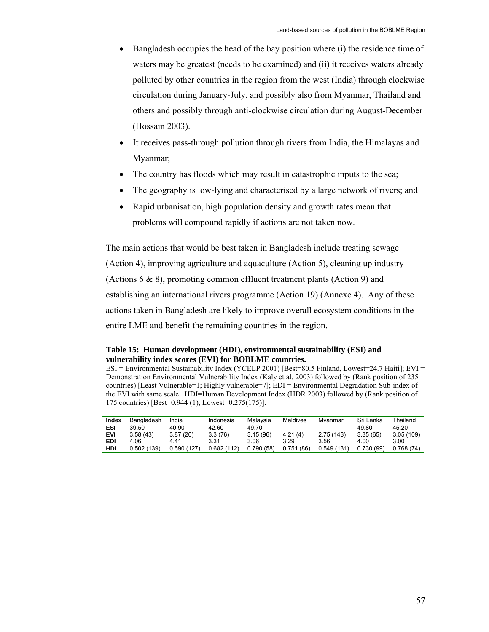- Bangladesh occupies the head of the bay position where (i) the residence time of waters may be greatest (needs to be examined) and (ii) it receives waters already polluted by other countries in the region from the west (India) through clockwise circulation during January-July, and possibly also from Myanmar, Thailand and others and possibly through anti-clockwise circulation during August-December (Hossain 2003).
- It receives pass-through pollution through rivers from India, the Himalayas and Myanmar;
- The country has floods which may result in catastrophic inputs to the sea;
- The geography is low-lying and characterised by a large network of rivers; and
- Rapid urbanisation, high population density and growth rates mean that problems will compound rapidly if actions are not taken now.

The main actions that would be best taken in Bangladesh include treating sewage (Action 4), improving agriculture and aquaculture (Action 5), cleaning up industry (Actions 6 & 8), promoting common effluent treatment plants (Action 9) and establishing an international rivers programme (Action 19) (Annexe 4). Any of these actions taken in Bangladesh are likely to improve overall ecosystem conditions in the entire LME and benefit the remaining countries in the region.

**Table 15: Human development (HDI), environmental sustainability (ESI) and vulnerability index scores (EVI) for BOBLME countries.** 

ESI = Environmental Sustainability Index (YCELP 2001) [Best=80.5 Finland, Lowest=24.7 Haiti]; EVI = Demonstration Environmental Vulnerability Index (Kaly et al. 2003) followed by (Rank position of 235 countries) [Least Vulnerable=1; Highly vulnerable=7]; EDI = Environmental Degradation Sub-index of the EVI with same scale. HDI=Human Development Index (HDR 2003) followed by (Rank position of 175 countries) [Best=0.944 (1), Lowest=0.275(175)].

| Index      | Bangladesh | India       | Indonesia   | Malavsia  | Maldives                 | Mvanmar                  | Sri Lanka | Thailand  |
|------------|------------|-------------|-------------|-----------|--------------------------|--------------------------|-----------|-----------|
| ESI        | 39.50      | 40.90       | 42.60       | 49.70     | $\overline{\phantom{a}}$ | $\overline{\phantom{0}}$ | 49.80     | 45.20     |
| <b>EVI</b> | 3.58(43)   | 3.87(20)    | 3.3(76)     | 3.15(96)  | 4.21(4)                  | 2.75(143)                | 3.35(65)  | 3.05(109) |
| <b>EDI</b> | 4.06       | 441         | 3.31        | 3.06      | 3.29                     | 3.56                     | 4.00      | 3.00      |
| HDI        | 0.502(139) | 0.590 (127) | 0.682 (112) | 0.790(58) | 0.751<br>(86)            | 0.549(131)               | 0.730(99) | 0.768(74) |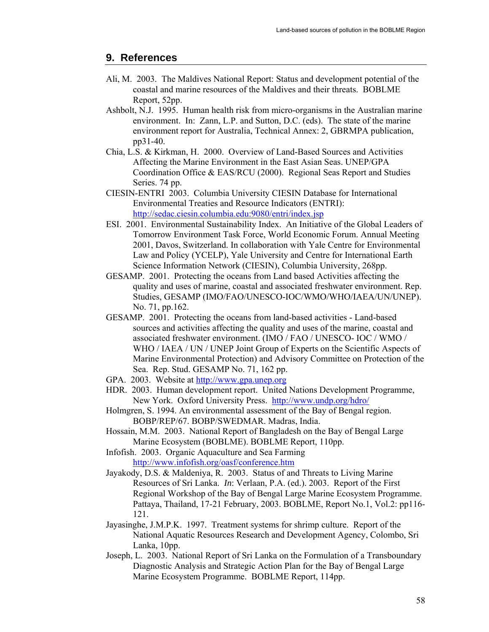## **9. References**

- Ali, M. 2003. The Maldives National Report: Status and development potential of the coastal and marine resources of the Maldives and their threats. BOBLME Report, 52pp.
- Ashbolt, N.J. 1995. Human health risk from micro-organisms in the Australian marine environment. In: Zann, L.P. and Sutton, D.C. (eds). The state of the marine environment report for Australia, Technical Annex: 2, GBRMPA publication, pp31-40.
- Chia, L.S. & Kirkman, H. 2000. Overview of Land-Based Sources and Activities Affecting the Marine Environment in the East Asian Seas. UNEP/GPA Coordination Office & EAS/RCU (2000). Regional Seas Report and Studies Series. 74 pp.
- CIESIN-ENTRI 2003. Columbia University CIESIN Database for International Environmental Treaties and Resource Indicators (ENTRI): http://sedac.ciesin.columbia.edu:9080/entri/index.jsp
- ESI. 2001. Environmental Sustainability Index. An Initiative of the Global Leaders of Tomorrow Environment Task Force, World Economic Forum. Annual Meeting 2001, Davos, Switzerland. In collaboration with Yale Centre for Environmental Law and Policy (YCELP), Yale University and Centre for International Earth Science Information Network (CIESIN), Columbia University, 268pp.
- GESAMP. 2001. Protecting the oceans from Land based Activities affecting the quality and uses of marine, coastal and associated freshwater environment. Rep. Studies, GESAMP (IMO/FAO/UNESCO-IOC/WMO/WHO/IAEA/UN/UNEP). No. 71, pp.162.
- GESAMP. 2001. Protecting the oceans from land-based activities Land-based sources and activities affecting the quality and uses of the marine, coastal and associated freshwater environment. (IMO / FAO / UNESCO- IOC / WMO / WHO / IAEA / UN / UNEP Joint Group of Experts on the Scientific Aspects of Marine Environmental Protection) and Advisory Committee on Protection of the Sea. Rep. Stud. GESAMP No. 71, 162 pp.
- GPA. 2003. Website at http://www.gpa.unep.org
- HDR. 2003. Human development report. United Nations Development Programme, New York. Oxford University Press. http://www.undp.org/hdro/
- Holmgren, S. 1994. An environmental assessment of the Bay of Bengal region. BOBP/REP/67. BOBP/SWEDMAR. Madras, India.
- Hossain, M.M. 2003. National Report of Bangladesh on the Bay of Bengal Large Marine Ecosystem (BOBLME). BOBLME Report, 110pp.
- Infofish. 2003. Organic Aquaculture and Sea Farming http://www.infofish.org/oasf/conference.htm
- Jayakody, D.S. & Maldeniya, R. 2003. Status of and Threats to Living Marine Resources of Sri Lanka. *In*: Verlaan, P.A. (ed.). 2003. Report of the First Regional Workshop of the Bay of Bengal Large Marine Ecosystem Programme. Pattaya, Thailand, 17-21 February, 2003. BOBLME, Report No.1, Vol.2: pp116- 121.
- Jayasinghe, J.M.P.K. 1997. Treatment systems for shrimp culture. Report of the National Aquatic Resources Research and Development Agency, Colombo, Sri Lanka, 10pp.
- Joseph, L. 2003. National Report of Sri Lanka on the Formulation of a Transboundary Diagnostic Analysis and Strategic Action Plan for the Bay of Bengal Large Marine Ecosystem Programme. BOBLME Report, 114pp.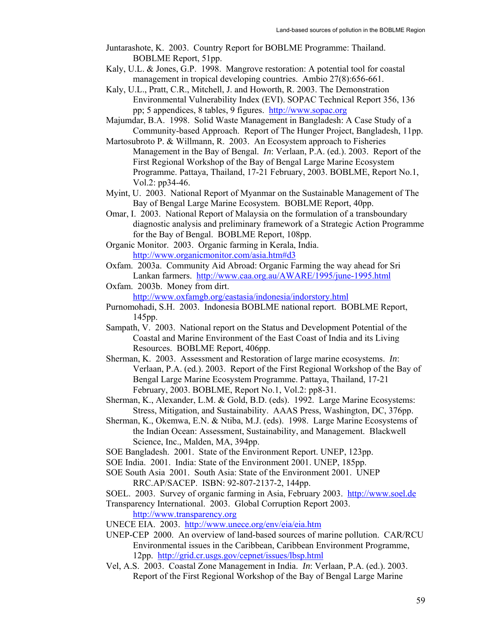- Juntarashote, K. 2003. Country Report for BOBLME Programme: Thailand. BOBLME Report, 51pp.
- Kaly, U.L. & Jones, G.P. 1998. Mangrove restoration: A potential tool for coastal management in tropical developing countries. Ambio 27(8):656-661.
- Kaly, U.L., Pratt, C.R., Mitchell, J. and Howorth, R. 2003. The Demonstration Environmental Vulnerability Index (EVI). SOPAC Technical Report 356, 136 pp; 5 appendices, 8 tables, 9 figures. http://www.sopac.org
- Majumdar, B.A. 1998. Solid Waste Management in Bangladesh: A Case Study of a Community-based Approach. Report of The Hunger Project, Bangladesh, 11pp.
- Martosubroto P. & Willmann, R. 2003. An Ecosystem approach to Fisheries Management in the Bay of Bengal. *In*: Verlaan, P.A. (ed.). 2003. Report of the First Regional Workshop of the Bay of Bengal Large Marine Ecosystem Programme. Pattaya, Thailand, 17-21 February, 2003. BOBLME, Report No.1, Vol.2: pp34-46.
- Myint, U. 2003. National Report of Myanmar on the Sustainable Management of The Bay of Bengal Large Marine Ecosystem. BOBLME Report, 40pp.
- Omar, I. 2003. National Report of Malaysia on the formulation of a transboundary diagnostic analysis and preliminary framework of a Strategic Action Programme for the Bay of Bengal. BOBLME Report, 108pp.
- Organic Monitor. 2003. Organic farming in Kerala, India. http://www.organicmonitor.com/asia.htm#d3
- Oxfam. 2003a. Community Aid Abroad: Organic Farming the way ahead for Sri Lankan farmers. http://www.caa.org.au/AWARE/1995/june-1995.html

Oxfam. 2003b. Money from dirt. http://www.oxfamgb.org/eastasia/indonesia/indorstory.html

- Purnomohadi, S.H. 2003. Indonesia BOBLME national report. BOBLME Report, 145pp.
- Sampath, V. 2003. National report on the Status and Development Potential of the Coastal and Marine Environment of the East Coast of India and its Living Resources. BOBLME Report, 406pp.
- Sherman, K. 2003. Assessment and Restoration of large marine ecosystems. *In*: Verlaan, P.A. (ed.). 2003. Report of the First Regional Workshop of the Bay of Bengal Large Marine Ecosystem Programme. Pattaya, Thailand, 17-21 February, 2003. BOBLME, Report No.1, Vol.2: pp8-31.
- Sherman, K., Alexander, L.M. & Gold, B.D. (eds). 1992. Large Marine Ecosystems: Stress, Mitigation, and Sustainability. AAAS Press, Washington, DC, 376pp.
- Sherman, K., Okemwa, E.N. & Ntiba, M.J. (eds). 1998. Large Marine Ecosystems of the Indian Ocean: Assessment, Sustainability, and Management. Blackwell Science, Inc., Malden, MA, 394pp.
- SOE Bangladesh. 2001. State of the Environment Report. UNEP, 123pp.
- SOE India. 2001. India: State of the Environment 2001. UNEP, 185pp.
- SOE South Asia 2001. South Asia: State of the Environment 2001. UNEP RRC.AP/SACEP. ISBN: 92-807-2137-2, 144pp.

SOEL. 2003. Survey of organic farming in Asia, February 2003. http://www.soel.de Transparency International. 2003. Global Corruption Report 2003.

http://www.transparency.org

- UNECE EIA. 2003. http://www.unece.org/env/eia/eia.htm
- UNEP-CEP 2000. An overview of land-based sources of marine pollution. CAR/RCU Environmental issues in the Caribbean, Caribbean Environment Programme, 12pp. http://grid.cr.usgs.gov/cepnet/issues/lbsp.html
- Vel, A.S. 2003. Coastal Zone Management in India. *In*: Verlaan, P.A. (ed.). 2003. Report of the First Regional Workshop of the Bay of Bengal Large Marine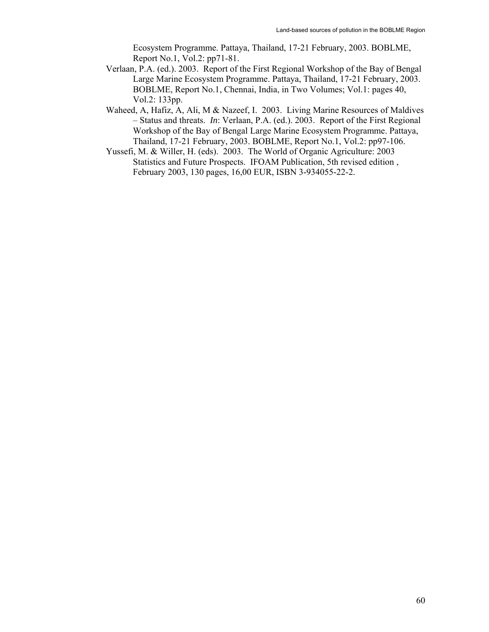Ecosystem Programme. Pattaya, Thailand, 17-21 February, 2003. BOBLME, Report No.1, Vol.2: pp71-81.

- Verlaan, P.A. (ed.). 2003. Report of the First Regional Workshop of the Bay of Bengal Large Marine Ecosystem Programme. Pattaya, Thailand, 17-21 February, 2003. BOBLME, Report No.1, Chennai, India, in Two Volumes; Vol.1: pages 40, Vol.2: 133pp.
- Waheed, A, Hafiz, A, Ali, M & Nazeef, I. 2003. Living Marine Resources of Maldives – Status and threats. *In*: Verlaan, P.A. (ed.). 2003. Report of the First Regional Workshop of the Bay of Bengal Large Marine Ecosystem Programme. Pattaya, Thailand, 17-21 February, 2003. BOBLME, Report No.1, Vol.2: pp97-106.
- Yussefi, M. & Willer, H. (eds). 2003. The World of Organic Agriculture: 2003 Statistics and Future Prospects. IFOAM Publication, 5th revised edition , February 2003, 130 pages, 16,00 EUR, ISBN 3-934055-22-2.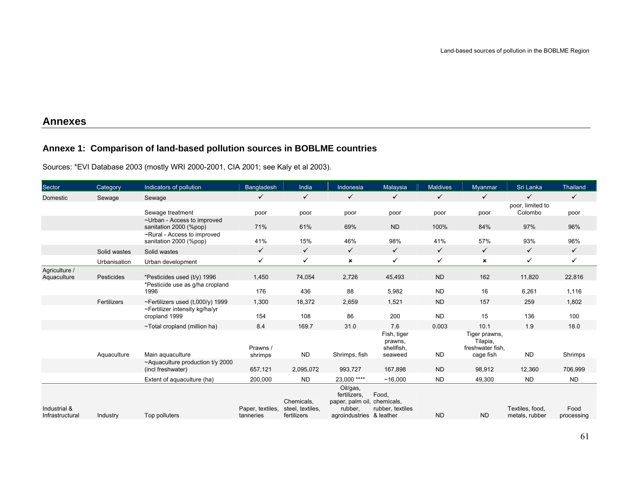## **Annexes**

## **Annexe 1: Comparison of land-based pollution sources in BOBLME countries**

Sources: \*EVI Database 2003 (mostly WRI 2000-2001, CIA 2001; see Kaly et al 2003).

| Sector                          | Category     | Indicators of pollution                                        | <b>Bangladesh</b>             | India                                         | Indonesia                                                                           | Malaysia                                        | <b>Maldives</b> | <b>Myanmar</b>                                             | Sri Lanka                         | <b>Thailand</b>    |
|---------------------------------|--------------|----------------------------------------------------------------|-------------------------------|-----------------------------------------------|-------------------------------------------------------------------------------------|-------------------------------------------------|-----------------|------------------------------------------------------------|-----------------------------------|--------------------|
| Domestic                        | Sewage       | Sewage                                                         | $\checkmark$                  | $\checkmark$                                  | $\checkmark$                                                                        | $\checkmark$                                    | $\checkmark$    | $\checkmark$                                               | $\checkmark$                      | $\checkmark$       |
|                                 |              | Sewage treatment                                               | poor                          | poor                                          | poor                                                                                | poor                                            | poor            | poor                                                       | poor, limited to<br>Colombo       | poor               |
|                                 |              | ~Urban - Access to improved<br>sanitation 2000 (%pop)          | 71%                           | 61%                                           | 69%                                                                                 | <b>ND</b>                                       | 100%            | 84%                                                        | 97%                               | 96%                |
|                                 |              | ~Rural - Access to improved<br>sanitation 2000 (%pop)          | 41%                           | 15%                                           | 46%                                                                                 | 98%                                             | 41%             | 57%                                                        | 93%                               | 96%                |
|                                 | Solid wastes | Solid wastes                                                   | $\checkmark$                  | $\checkmark$                                  | $\checkmark$                                                                        | $\checkmark$                                    | $\checkmark$    | $\checkmark$                                               | $\checkmark$                      | $\checkmark$       |
|                                 | Urbanisation | Urban development                                              | $\checkmark$                  | $\checkmark$                                  | $\pmb{\times}$                                                                      | $\checkmark$                                    | $\checkmark$    | ×                                                          | $\checkmark$                      | $\checkmark$       |
| Agriculture /<br>Aquaculture    | Pesticides   | *Pesticides used (t/y) 1996<br>*Pesticide use as g/ha cropland | 1,450                         | 74,054                                        | 2,726                                                                               | 45,493                                          | <b>ND</b>       | 162                                                        | 11,820                            | 22,816             |
|                                 |              | 1996                                                           | 176                           | 436                                           | 88                                                                                  | 5,982                                           | <b>ND</b>       | 16                                                         | 6,261                             | 1,116              |
|                                 | Fertilizers  | ~Fertilizers used $(t,000/\gamma)$ 1999                        | 1,300                         | 18,372                                        | 2,659                                                                               | 1,521                                           | <b>ND</b>       | 157                                                        | 259                               | 1,802              |
|                                 |              | ~Fertilizer intensity kg/ha/yr<br>cropland 1999                | 154                           | 108                                           | 86                                                                                  | 200                                             | <b>ND</b>       | 15                                                         | 136                               | 100                |
|                                 |              | ~Total cropland (million ha)                                   | 8.4                           | 169.7                                         | 31.0                                                                                | 7.6                                             | 0.003           | 10.1                                                       | 1.9                               | 18.0               |
|                                 | Aquaculture  | Main aquaculture                                               | Prawns /<br>shrimps           | <b>ND</b>                                     | Shrimps, fish                                                                       | Fish, tiger<br>prawns,<br>shellfish,<br>seaweed | <b>ND</b>       | Tiger prawns,<br>Tilapia,<br>freshwater fish,<br>cage fish | <b>ND</b>                         | Shrimps            |
|                                 |              | ~Aquaculture production t/y 2000<br>(incl freshwater)          | 657,121                       | 2,095,072                                     | 993,727                                                                             | 167,898                                         | <b>ND</b>       | 98,912                                                     | 12,360                            | 706,999            |
|                                 |              | Extent of aguaculture (ha)                                     | 200,000                       | <b>ND</b>                                     | 23.000 ****                                                                         | ~16.000                                         | <b>ND</b>       | 49,300                                                     | <b>ND</b>                         | <b>ND</b>          |
| Industrial &<br>Infrastructural | Industry     | Top polluters                                                  | Paper, textiles,<br>tanneries | Chemicals,<br>steel, textiles,<br>fertilizers | Oil/gas,<br>fertilizers.<br>paper, palm oil,<br>rubber.<br>agroindustries & leather | Food,<br>chemicals,<br>rubber, textiles         | <b>ND</b>       | <b>ND</b>                                                  | Textiles, food,<br>metals, rubber | Food<br>processing |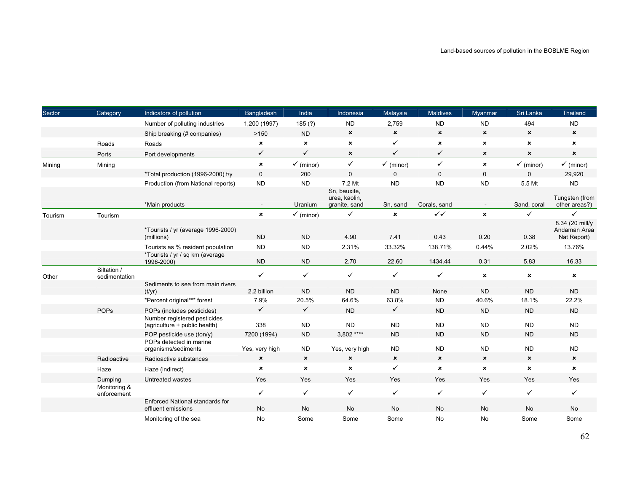| Sector  | Category                     | Indicators of pollution                                       | Bangladesh                | India                     | Indonesia                                      | Malaysia                  | <b>Maldives</b>           | Myanmar                   | Sri Lanka                 | Thailand                                       |
|---------|------------------------------|---------------------------------------------------------------|---------------------------|---------------------------|------------------------------------------------|---------------------------|---------------------------|---------------------------|---------------------------|------------------------------------------------|
|         |                              | Number of polluting industries                                | 1,200 (1997)              | 185(?)                    | <b>ND</b>                                      | 2,759                     | <b>ND</b>                 | <b>ND</b>                 | 494                       | <b>ND</b>                                      |
|         |                              | Ship breaking (# companies)                                   | >150                      | <b>ND</b>                 | $\pmb{\times}$                                 | $\boldsymbol{\mathsf{x}}$ | $\mathbf x$               | $\boldsymbol{\mathsf{x}}$ | $\pmb{\times}$            | $\pmb{\times}$                                 |
|         | Roads                        | Roads                                                         | $\pmb{\times}$            | $\pmb{\times}$            | $\pmb{\times}$                                 | $\checkmark$              | ×                         | $\pmb{\times}$            | $\pmb{\times}$            | $\mathbf x$                                    |
|         | Ports                        | Port developments                                             | $\checkmark$              | ✓                         | $\boldsymbol{\mathsf{x}}$                      | ✓                         | ✓                         | $\pmb{\times}$            | ×                         | $\pmb{\times}$                                 |
| Mining  | Mining                       |                                                               | $\pmb{\times}$            | $\checkmark$ (minor)      | $\checkmark$                                   | $\checkmark$ (minor)      | $\checkmark$              | $\pmb{\times}$            | $\checkmark$ (minor)      | $\checkmark$ (minor)                           |
|         |                              | *Total production (1996-2000) t/y                             | $\mathbf 0$               | 200                       | $\mathbf 0$                                    | $\Omega$                  | $\Omega$                  | $\mathbf 0$               | $\Omega$                  | 29,920                                         |
|         |                              | Production (from National reports)                            | <b>ND</b>                 | <b>ND</b>                 | 7.2 Mt                                         | <b>ND</b>                 | <b>ND</b>                 | <b>ND</b>                 | 5.5 Mt                    | <b>ND</b>                                      |
|         |                              | *Main products                                                |                           | Uranium                   | Sn, bauxite,<br>urea, kaolin,<br>granite, sand | Sn, sand                  | Corals, sand              |                           | Sand, coral               | Tungsten (from<br>other areas?)                |
| Tourism | Tourism                      |                                                               | $\pmb{\times}$            | $\checkmark$ (minor)      | $\checkmark$                                   | ×                         | $\checkmark$              | $\pmb{\times}$            | $\checkmark$              | ✓                                              |
|         |                              | *Tourists / yr (average 1996-2000)<br>(millions)              | <b>ND</b>                 | <b>ND</b>                 | 4.90                                           | 7.41                      | 0.43                      | 0.20                      | 0.38                      | 8.34 (20 mill/y<br>Andaman Area<br>Nat Report) |
|         |                              | Tourists as % resident population                             | <b>ND</b>                 | <b>ND</b>                 | 2.31%                                          | 33.32%                    | 138.71%                   | 0.44%                     | 2.02%                     | 13.76%                                         |
|         |                              | *Tourists / yr / sq km (average<br>1996-2000)                 | <b>ND</b>                 | <b>ND</b>                 | 2.70                                           | 22.60                     | 1434.44                   | 0.31                      | 5.83                      | 16.33                                          |
| Other   | Siltation /<br>sedimentation |                                                               | $\checkmark$              | $\checkmark$              | $\checkmark$                                   | $\checkmark$              | $\checkmark$              | $\pmb{\times}$            | $\pmb{\times}$            | $\boldsymbol{\mathsf{x}}$                      |
|         |                              | Sediments to sea from main rivers<br>(t/yr)                   | 2.2 billion               | <b>ND</b>                 | <b>ND</b>                                      | <b>ND</b>                 | None                      | <b>ND</b>                 | <b>ND</b>                 | <b>ND</b>                                      |
|         |                              | *Percent original*** forest                                   | 7.9%                      | 20.5%                     | 64.6%                                          | 63.8%                     | <b>ND</b>                 | 40.6%                     | 18.1%                     | 22.2%                                          |
|         | <b>POPs</b>                  | POPs (includes pesticides)                                    | $\checkmark$              | $\checkmark$              | <b>ND</b>                                      | $\checkmark$              | <b>ND</b>                 | <b>ND</b>                 | <b>ND</b>                 | <b>ND</b>                                      |
|         |                              | Number registered pesticides<br>(agriculture + public health) | 338                       | <b>ND</b>                 | <b>ND</b>                                      | <b>ND</b>                 | <b>ND</b>                 | <b>ND</b>                 | <b>ND</b>                 | <b>ND</b>                                      |
|         |                              | POP pesticide use (ton/y)                                     | 7200 (1994)               | <b>ND</b>                 | 3.802 ****                                     | <b>ND</b>                 | <b>ND</b>                 | <b>ND</b>                 | <b>ND</b>                 | ${\sf ND}$                                     |
|         |                              | POPs detected in marine<br>organisms/sediments                | Yes, very high            | <b>ND</b>                 | Yes, very high                                 | <b>ND</b>                 | <b>ND</b>                 | <b>ND</b>                 | <b>ND</b>                 | <b>ND</b>                                      |
|         | Radioactive                  | Radioactive substances                                        | $\boldsymbol{\mathsf{x}}$ | $\boldsymbol{\mathsf{x}}$ | $\boldsymbol{\mathsf{x}}$                      | $\boldsymbol{\mathsf{x}}$ | $\boldsymbol{\mathsf{x}}$ | $\boldsymbol{\mathsf{x}}$ | $\boldsymbol{\mathsf{x}}$ | $\boldsymbol{\mathsf{x}}$                      |
|         | Haze                         | Haze (indirect)                                               | $\pmb{\times}$            | $\pmb{\times}$            | $\pmb{\times}$                                 | $\checkmark$              | $\pmb{\times}$            | $\pmb{\times}$            | $\pmb{\times}$            | $\mathbf x$                                    |
|         | Dumping                      | Untreated wastes                                              | Yes                       | Yes                       | Yes                                            | Yes                       | Yes                       | Yes                       | Yes                       | Yes                                            |
|         | Monitoring &<br>enforcement  |                                                               | $\checkmark$              | $\checkmark$              | $\checkmark$                                   | $\checkmark$              | $\checkmark$              | $\checkmark$              | $\checkmark$              | $\checkmark$                                   |
|         |                              | Enforced National standards for<br>effluent emissions         | No                        | No                        | <b>No</b>                                      | <b>No</b>                 | <b>No</b>                 | <b>No</b>                 | <b>No</b>                 | No                                             |
|         |                              | Monitoring of the sea                                         | No                        | Some                      | Some                                           | Some                      | No                        | No                        | Some                      | Some                                           |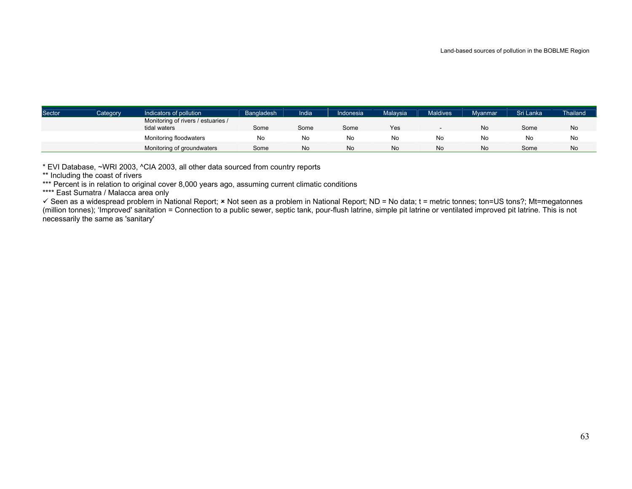| Sector | Category | Indicators of pollution                            | Bangladesh | India | Indonesia | Malaysia | <b>Maldives</b> | <b>Myanmar</b> | Sri Lanka | <b>Thailand</b> |
|--------|----------|----------------------------------------------------|------------|-------|-----------|----------|-----------------|----------------|-----------|-----------------|
|        |          | Monitoring of rivers / estuaries /<br>tidal waters | Some       | Some  | Some      | Yes      |                 | <b>No</b>      | Some      | No              |
|        |          | Monitoring floodwaters                             | No         | No    | No        | No       | No              | No             | No        | No              |
|        |          | Monitoring of groundwaters                         | Some       | N0    | No.       | No       | No              | <b>No</b>      | Some      | No              |

\* EVI Database, ~WRI 2003, ^CIA 2003, all other data sourced from country reports

\*\* Including the coast of rivers

\*\*\* Percent is in relation to original cover 8,000 years ago, assuming current climatic conditions

\*\*\*\* East Sumatra / Malacca area only

 $≤$  Seen as a widespread problem in National Report;  $×$  Not seen as a problem in National Report; ND = No data; t = metric tonnes; ton=US tons?; Mt=megatonnes (million tonnes); 'Improved' sanitation = Connection to a public sewer, septic tank, pour-flush latrine, simple pit latrine or ventilated improved pit latrine. This is not necessarily the same as 'sanitary'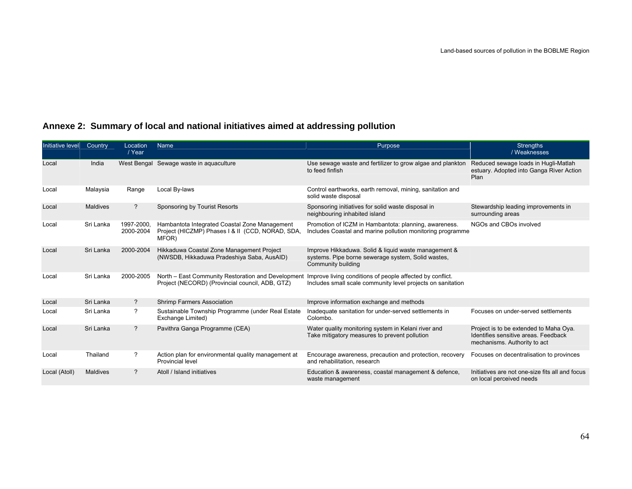| Initiative level | Country         | Location<br>/ Year      | Name                                                                                                       | Purpose                                                                                                                          | <b>Strengths</b><br>/ Weaknesses                                                                               |
|------------------|-----------------|-------------------------|------------------------------------------------------------------------------------------------------------|----------------------------------------------------------------------------------------------------------------------------------|----------------------------------------------------------------------------------------------------------------|
| Local            | India           |                         | West Bengal Sewage waste in aguaculture                                                                    | Use sewage waste and fertilizer to grow algae and plankton<br>to feed finfish                                                    | Reduced sewage loads in Hugli-Matlah<br>estuary. Adopted into Ganga River Action<br>Plan                       |
| Local            | Malaysia        | Range                   | Local By-laws                                                                                              | Control earthworks, earth removal, mining, sanitation and<br>solid waste disposal                                                |                                                                                                                |
| Local            | <b>Maldives</b> | $\overline{?}$          | Sponsoring by Tourist Resorts                                                                              | Sponsoring initiatives for solid waste disposal in<br>neighbouring inhabited island                                              | Stewardship leading improvements in<br>surrounding areas                                                       |
| Local            | Sri Lanka       | 1997-2000,<br>2000-2004 | Hambantota Integrated Coastal Zone Management<br>Project (HICZMP) Phases   & II (CCD, NORAD, SDA,<br>MFOR) | Promotion of ICZM in Hambantota: planning, awareness.<br>Includes Coastal and marine pollution monitoring programme              | NGOs and CBOs involved                                                                                         |
| Local            | Sri Lanka       | 2000-2004               | Hikkaduwa Coastal Zone Management Project<br>(NWSDB, Hikkaduwa Pradeshiya Saba, AusAID)                    | Improve Hikkaduwa. Solid & liquid waste management &<br>systems. Pipe borne sewerage system, Solid wastes,<br>Community building |                                                                                                                |
| Local            | Sri Lanka       | 2000-2005               | North - East Community Restoration and Development<br>Project (NECORD) (Provincial council, ADB, GTZ)      | Improve living conditions of people affected by conflict.<br>Includes small scale community level projects on sanitation         |                                                                                                                |
| Local            | Sri Lanka       | $\overline{?}$          | <b>Shrimp Farmers Association</b>                                                                          | Improve information exchange and methods                                                                                         |                                                                                                                |
| Local            | Sri Lanka       | ?                       | Sustainable Township Programme (under Real Estate<br>Exchange Limited)                                     | Inadequate sanitation for under-served settlements in<br>Colombo.                                                                | Focuses on under-served settlements                                                                            |
| Local            | Sri Lanka       | $\overline{?}$          | Pavithra Ganga Programme (CEA)                                                                             | Water quality monitoring system in Kelani river and<br>Take mitigatory measures to prevent pollution                             | Project is to be extended to Maha Oya.<br>Identifies sensitive areas. Feedback<br>mechanisms. Authority to act |
| Local            | Thailand        | ?                       | Action plan for environmental quality management at<br><b>Provincial level</b>                             | Encourage awareness, precaution and protection, recovery<br>and rehabilitation, research                                         | Focuses on decentralisation to provinces                                                                       |
| Local (Atoll)    | Maldives        | ?                       | Atoll / Island initiatives                                                                                 | Education & awareness, coastal management & defence,<br>waste management                                                         | Initiatives are not one-size fits all and focus<br>on local perceived needs                                    |

# **Annexe 2: Summary of local and national initiatives aimed at addressing pollution**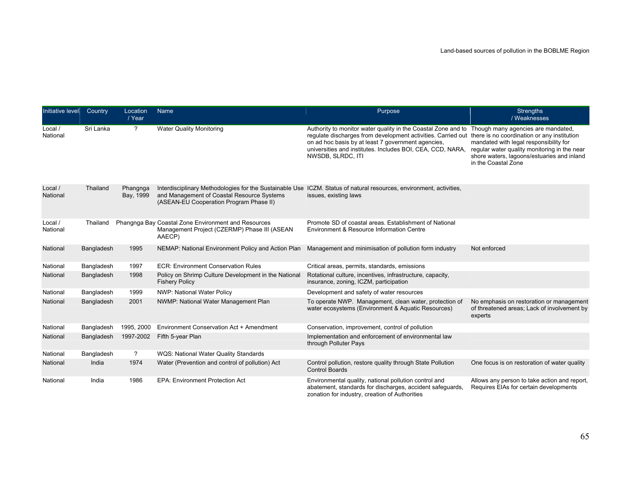| Initiative level    | Country    | Location<br>/ Year    | Name                                                                                                          | Purpose                                                                                                                                                                                                                                                                | <b>Strengths</b><br>/ Weaknesses                                                                                                                                                                                                                 |
|---------------------|------------|-----------------------|---------------------------------------------------------------------------------------------------------------|------------------------------------------------------------------------------------------------------------------------------------------------------------------------------------------------------------------------------------------------------------------------|--------------------------------------------------------------------------------------------------------------------------------------------------------------------------------------------------------------------------------------------------|
| Local /<br>National | Sri Lanka  | $\gamma$              | <b>Water Quality Monitoring</b>                                                                               | Authority to monitor water quality in the Coastal Zone and to<br>requlate discharges from development activities. Carried out<br>on ad hoc basis by at least 7 government agencies,<br>universities and institutes. Includes BOI, CEA, CCD, NARA,<br>NWSDB, SLRDC, ITI | Though many agencies are mandated,<br>there is no coordination or any institution<br>mandated with legal responsibility for<br>regular water quality monitoring in the near<br>shore waters, lagoons/estuaries and inland<br>in the Coastal Zone |
| Local /<br>National | Thailand   | Phangnga<br>Bay, 1999 | and Management of Coastal Resource Systems<br>(ASEAN-EU Cooperation Program Phase II)                         | Interdisciplinary Methodologies for the Sustainable Use ICZM. Status of natural resources, environment, activities,<br>issues, existing laws                                                                                                                           |                                                                                                                                                                                                                                                  |
| Local /<br>National | Thailand   |                       | Phangnga Bay Coastal Zone Environment and Resources<br>Management Project (CZERMP) Phase III (ASEAN<br>AAECP) | Promote SD of coastal areas. Establishment of National<br>Environment & Resource Information Centre                                                                                                                                                                    |                                                                                                                                                                                                                                                  |
| National            | Bangladesh | 1995                  | NEMAP: National Environment Policy and Action Plan                                                            | Management and minimisation of pollution form industry                                                                                                                                                                                                                 | Not enforced                                                                                                                                                                                                                                     |
| National            | Bangladesh | 1997                  | <b>ECR: Environment Conservation Rules</b>                                                                    | Critical areas, permits, standards, emissions                                                                                                                                                                                                                          |                                                                                                                                                                                                                                                  |
| National            | Bangladesh | 1998                  | Policy on Shrimp Culture Development in the National<br><b>Fishery Policy</b>                                 | Rotational culture, incentives, infrastructure, capacity,<br>insurance, zoning, ICZM, participation                                                                                                                                                                    |                                                                                                                                                                                                                                                  |
| National            | Bangladesh | 1999                  | NWP: National Water Policy                                                                                    | Development and safety of water resources                                                                                                                                                                                                                              |                                                                                                                                                                                                                                                  |
| National            | Bangladesh | 2001                  | NWMP: National Water Management Plan                                                                          | To operate NWP. Management, clean water, protection of<br>water ecosystems (Environment & Aquatic Resources)                                                                                                                                                           | No emphasis on restoration or management<br>of threatened areas; Lack of involvement by<br>experts                                                                                                                                               |
| National            | Bangladesh | 1995, 2000            | Environment Conservation Act + Amendment                                                                      | Conservation, improvement, control of pollution                                                                                                                                                                                                                        |                                                                                                                                                                                                                                                  |
| National            | Bangladesh | 1997-2002             | Fifth 5-year Plan                                                                                             | Implementation and enforcement of environmental law<br>through Polluter Pays                                                                                                                                                                                           |                                                                                                                                                                                                                                                  |
| National            | Bangladesh | $\overline{?}$        | WQS: National Water Quality Standards                                                                         |                                                                                                                                                                                                                                                                        |                                                                                                                                                                                                                                                  |
| National            | India      | 1974                  | Water (Prevention and control of pollution) Act                                                               | Control pollution, restore quality through State Pollution<br><b>Control Boards</b>                                                                                                                                                                                    | One focus is on restoration of water quality                                                                                                                                                                                                     |
| National            | India      | 1986                  | <b>EPA: Environment Protection Act</b>                                                                        | Environmental quality, national pollution control and<br>abatement, standards for discharges, accident safeguards,<br>zonation for industry, creation of Authorities                                                                                                   | Allows any person to take action and report,<br>Requires EIAs for certain developments                                                                                                                                                           |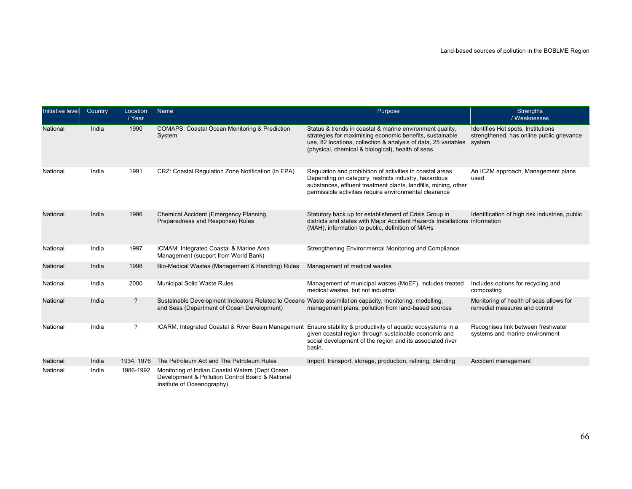| Initiative level | Country | Location<br>/ Year | Name                                                                                                                                                   | Purpose                                                                                                                                                                                                                                         | <b>Strengths</b><br>/ Weaknesses                                                          |
|------------------|---------|--------------------|--------------------------------------------------------------------------------------------------------------------------------------------------------|-------------------------------------------------------------------------------------------------------------------------------------------------------------------------------------------------------------------------------------------------|-------------------------------------------------------------------------------------------|
| National         | India   | 1990               | <b>COMAPS: Coastal Ocean Monitoring &amp; Prediction</b><br>System                                                                                     | Status & trends in coastal & marine environment quality,<br>strategies for maximising economic benefits, sustainable<br>use, 82 locations, collection & analysis of data, 25 variables<br>(physical, chemical & biological), health of seas     | Identifies Hot spots, Institutions<br>strengthened, has online public grievance<br>system |
| National         | India   | 1991               | CRZ: Coastal Regulation Zone Notification (in EPA)                                                                                                     | Regulation and prohibition of activities in coastal areas.<br>Depending on category, restricts industry, hazardous<br>substances, effluent treatment plants, landfills, mining, other<br>permissible activities require environmental clearance | An ICZM approach, Management plans<br>used                                                |
| National         | India   | 1996               | Chemical Accident (Emergency Planning,<br>Preparedness and Response) Rules                                                                             | Statutory back up for establishment of Crisis Group in<br>districts and states with Major Accident Hazards Installations information<br>(MAH), information to public, definition of MAHs                                                        | Identification of high risk industries, public                                            |
| National         | India   | 1997               | ICMAM: Integrated Coastal & Marine Area<br>Management (support from World Bank)                                                                        | Strengthening Environmental Monitoring and Compliance                                                                                                                                                                                           |                                                                                           |
| National         | India   | 1998               | Bio-Medical Wastes (Management & Handling) Rules                                                                                                       | Management of medical wastes                                                                                                                                                                                                                    |                                                                                           |
| National         | India   | 2000               | Municipal Solid Waste Rules                                                                                                                            | Management of municipal wastes (MoEF), includes treated<br>medical wastes, but not industrial                                                                                                                                                   | Includes options for recycling and<br>composting                                          |
| National         | India   | $\overline{?}$     | Sustainable Development Indicators Related to Oceans Waste assimilation capacity, monitoring, modelling,<br>and Seas (Department of Ocean Development) | management plans, pollution from land-based sources                                                                                                                                                                                             | Monitoring of health of seas allows for<br>remedial measures and control                  |
| National         | India   | $\overline{?}$     | ICARM: Integrated Coastal & River Basin Management                                                                                                     | Ensure stability & productivity of aquatic ecosystems in a<br>given coastal region through sustainable economic and<br>social development of the region and its associated river<br>basin.                                                      | Recognises link between freshwater<br>systems and marine environment                      |
| National         | India   | 1934, 1976         | The Petroleum Act and The Petroleum Rules                                                                                                              | Import, transport, storage, production, refining, blending                                                                                                                                                                                      | Accident management                                                                       |
| National         | India   | 1986-1992          | Monitoring of Indian Coastal Waters (Dept Ocean<br>Development & Pollution Control Board & National<br>Institute of Oceanography)                      |                                                                                                                                                                                                                                                 |                                                                                           |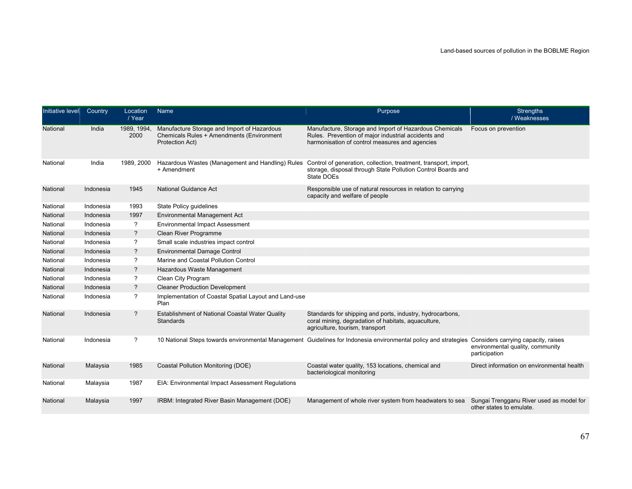| Initiative level | Country   | Location<br>/ Year       | Name                                                                                                        | Purpose                                                                                                                                                         | <b>Strengths</b><br>/ Weaknesses                                     |
|------------------|-----------|--------------------------|-------------------------------------------------------------------------------------------------------------|-----------------------------------------------------------------------------------------------------------------------------------------------------------------|----------------------------------------------------------------------|
| National         | India     | 1989, 1994,<br>2000      | Manufacture Storage and Import of Hazardous<br>Chemicals Rules + Amendments (Environment<br>Protection Act) | Manufacture, Storage and Import of Hazardous Chemicals<br>Rules. Prevention of major industrial accidents and<br>harmonisation of control measures and agencies | Focus on prevention                                                  |
| National         | India     | 1989, 2000               | Hazardous Wastes (Management and Handling) Rules<br>+ Amendment                                             | Control of generation, collection, treatment, transport, import,<br>storage, disposal through State Pollution Control Boards and<br>State DOEs                  |                                                                      |
| National         | Indonesia | 1945                     | <b>National Guidance Act</b>                                                                                | Responsible use of natural resources in relation to carrying<br>capacity and welfare of people                                                                  |                                                                      |
| National         | Indonesia | 1993                     | State Policy guidelines                                                                                     |                                                                                                                                                                 |                                                                      |
| National         | Indonesia | 1997                     | Environmental Management Act                                                                                |                                                                                                                                                                 |                                                                      |
| National         | Indonesia | ?                        | <b>Environmental Impact Assessment</b>                                                                      |                                                                                                                                                                 |                                                                      |
| National         | Indonesia | ?                        | Clean River Programme                                                                                       |                                                                                                                                                                 |                                                                      |
| National         | Indonesia | ?                        | Small scale industries impact control                                                                       |                                                                                                                                                                 |                                                                      |
| National         | Indonesia | ?                        | Environmental Damage Control                                                                                |                                                                                                                                                                 |                                                                      |
| National         | Indonesia | ?                        | Marine and Coastal Pollution Control                                                                        |                                                                                                                                                                 |                                                                      |
| National         | Indonesia | $\overline{\phantom{a}}$ | Hazardous Waste Management                                                                                  |                                                                                                                                                                 |                                                                      |
| National         | Indonesia | ?                        | Clean City Program                                                                                          |                                                                                                                                                                 |                                                                      |
| National         | Indonesia | ?                        | <b>Cleaner Production Development</b>                                                                       |                                                                                                                                                                 |                                                                      |
| National         | Indonesia | ?                        | Implementation of Coastal Spatial Layout and Land-use<br>Plan                                               |                                                                                                                                                                 |                                                                      |
| National         | Indonesia | $\overline{?}$           | Establishment of National Coastal Water Quality<br>Standards                                                | Standards for shipping and ports, industry, hydrocarbons,<br>coral mining, degradation of habitats, aquaculture,<br>agriculture, tourism, transport             |                                                                      |
| National         | Indonesia | $\overline{?}$           |                                                                                                             | 10 National Steps towards environmental Management Guidelines for Indonesia environmental policy and strategies Considers carrying capacity, raises             | environmental quality, community<br>participation                    |
| National         | Malaysia  | 1985                     | Coastal Pollution Monitoring (DOE)                                                                          | Coastal water quality, 153 locations, chemical and<br>bacteriological monitoring                                                                                | Direct information on environmental health                           |
| National         | Malaysia  | 1987                     | EIA: Environmental Impact Assessment Regulations                                                            |                                                                                                                                                                 |                                                                      |
| National         | Malaysia  | 1997                     | IRBM: Integrated River Basin Management (DOE)                                                               | Management of whole river system from headwaters to sea                                                                                                         | Sungai Trengganu River used as model for<br>other states to emulate. |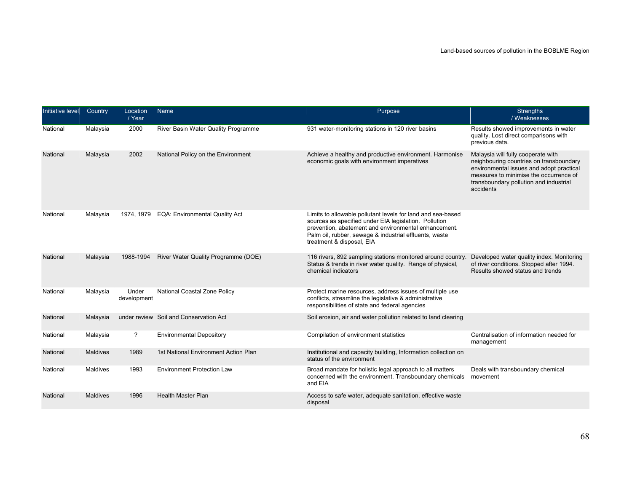| Initiative level | Country         | Location<br>/ Year   | Name                                   | Purpose                                                                                                                                                                                                                                                             | <b>Strengths</b><br>/ Weaknesses                                                                                                                                                                                           |
|------------------|-----------------|----------------------|----------------------------------------|---------------------------------------------------------------------------------------------------------------------------------------------------------------------------------------------------------------------------------------------------------------------|----------------------------------------------------------------------------------------------------------------------------------------------------------------------------------------------------------------------------|
| National         | Malaysia        | 2000                 | River Basin Water Quality Programme    | 931 water-monitoring stations in 120 river basins                                                                                                                                                                                                                   | Results showed improvements in water<br>quality. Lost direct comparisons with<br>previous data.                                                                                                                            |
| National         | Malaysia        | 2002                 | National Policy on the Environment     | Achieve a healthy and productive environment. Harmonise<br>economic goals with environment imperatives                                                                                                                                                              | Malaysia will fully cooperate with<br>neighbouring countries on transboundary<br>environmental issues and adopt practical<br>measures to minimise the occurrence of<br>transboundary pollution and industrial<br>accidents |
| National         | Malaysia        | 1974, 1979           | <b>EQA: Environmental Quality Act</b>  | Limits to allowable pollutant levels for land and sea-based<br>sources as specified under EIA legislation. Pollution<br>prevention, abatement and environmental enhancement.<br>Palm oil, rubber, sewage & industrial effluents, waste<br>treatment & disposal, EIA |                                                                                                                                                                                                                            |
| National         | Malaysia        | 1988-1994            | River Water Quality Programme (DOE)    | 116 rivers, 892 sampling stations monitored around country.<br>Status & trends in river water quality. Range of physical,<br>chemical indicators                                                                                                                    | Developed water quality index. Monitoring<br>of river conditions. Stopped after 1994.<br>Results showed status and trends                                                                                                  |
| National         | Malaysia        | Under<br>development | National Coastal Zone Policy           | Protect marine resources, address issues of multiple use<br>conflicts, streamline the legislative & administrative<br>responsibilities of state and federal agencies                                                                                                |                                                                                                                                                                                                                            |
| National         | Malaysia        |                      | under review Soil and Conservation Act | Soil erosion, air and water pollution related to land clearing                                                                                                                                                                                                      |                                                                                                                                                                                                                            |
| National         | Malaysia        | $\tilde{?}$          | <b>Environmental Depository</b>        | Compilation of environment statistics                                                                                                                                                                                                                               | Centralisation of information needed for<br>management                                                                                                                                                                     |
| National         | <b>Maldives</b> | 1989                 | 1st National Environment Action Plan   | Institutional and capacity building, Information collection on<br>status of the environment                                                                                                                                                                         |                                                                                                                                                                                                                            |
| National         | Maldives        | 1993                 | <b>Environment Protection Law</b>      | Broad mandate for holistic legal approach to all matters<br>concerned with the environment. Transboundary chemicals<br>and EIA                                                                                                                                      | Deals with transboundary chemical<br>movement                                                                                                                                                                              |
| National         | <b>Maldives</b> | 1996                 | <b>Health Master Plan</b>              | Access to safe water, adequate sanitation, effective waste<br>disposal                                                                                                                                                                                              |                                                                                                                                                                                                                            |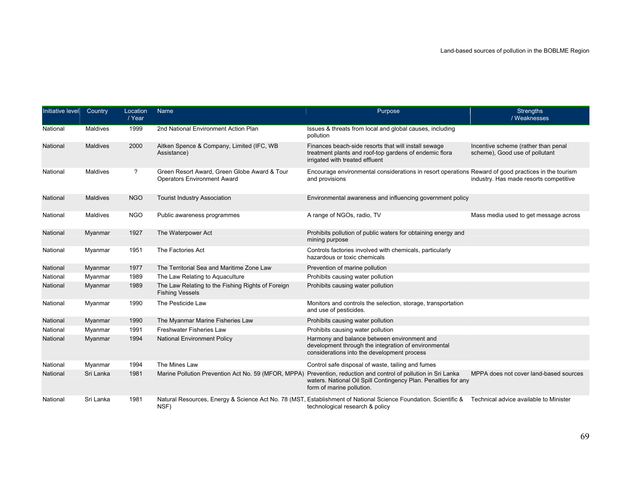| Initiative level | Country         | Location<br>/ Year | Name                                                                               | Purpose                                                                                                                                                                                   | <b>Strengths</b><br>/ Weaknesses                                      |
|------------------|-----------------|--------------------|------------------------------------------------------------------------------------|-------------------------------------------------------------------------------------------------------------------------------------------------------------------------------------------|-----------------------------------------------------------------------|
| National         | Maldives        | 1999               | 2nd National Environment Action Plan                                               | Issues & threats from local and global causes, including<br>pollution                                                                                                                     |                                                                       |
| National         | <b>Maldives</b> | 2000               | Aitken Spence & Company, Limited (IFC, WB<br>Assistance)                           | Finances beach-side resorts that will install sewage<br>treatment plants and roof-top gardens of endemic flora<br>irrigated with treated effluent                                         | Incentive scheme (rather than penal<br>scheme), Good use of pollutant |
| National         | Maldives        | ?                  | Green Resort Award, Green Globe Award & Tour<br><b>Operators Environment Award</b> | Encourage environmental considerations in resort operations Reward of good practices in the tourism<br>and provisions                                                                     | industry. Has made resorts competitive                                |
| National         | <b>Maldives</b> | <b>NGO</b>         | <b>Tourist Industry Association</b>                                                | Environmental awareness and influencing government policy                                                                                                                                 |                                                                       |
| National         | Maldives        | <b>NGO</b>         | Public awareness programmes                                                        | A range of NGOs, radio, TV                                                                                                                                                                | Mass media used to get message across                                 |
| National         | Myanmar         | 1927               | The Waterpower Act                                                                 | Prohibits pollution of public waters for obtaining energy and<br>mining purpose                                                                                                           |                                                                       |
| National         | Myanmar         | 1951               | The Factories Act                                                                  | Controls factories involved with chemicals, particularly<br>hazardous or toxic chemicals                                                                                                  |                                                                       |
| National         | Myanmar         | 1977               | The Territorial Sea and Maritime Zone Law                                          | Prevention of marine pollution                                                                                                                                                            |                                                                       |
| National         | Myanmar         | 1989               | The Law Relating to Aquaculture                                                    | Prohibits causing water pollution                                                                                                                                                         |                                                                       |
| National         | Myanmar         | 1989               | The Law Relating to the Fishing Rights of Foreign<br><b>Fishing Vessels</b>        | Prohibits causing water pollution                                                                                                                                                         |                                                                       |
| National         | Myanmar         | 1990               | The Pesticide Law                                                                  | Monitors and controls the selection, storage, transportation<br>and use of pesticides.                                                                                                    |                                                                       |
| National         | Myanmar         | 1990               | The Myanmar Marine Fisheries Law                                                   | Prohibits causing water pollution                                                                                                                                                         |                                                                       |
| National         | Myanmar         | 1991               | <b>Freshwater Fisheries Law</b>                                                    | Prohibits causing water pollution                                                                                                                                                         |                                                                       |
| National         | Myanmar         | 1994               | <b>National Environment Policy</b>                                                 | Harmony and balance between environment and<br>development through the integration of environmental<br>considerations into the development process                                        |                                                                       |
| National         | Myanmar         | 1994               | The Mines Law                                                                      | Control safe disposal of waste, tailing and fumes                                                                                                                                         |                                                                       |
| National         | Sri Lanka       | 1981               | Marine Pollution Prevention Act No. 59 (MFOR, MPPA)                                | Prevention, reduction and control of pollution in Sri Lanka<br>waters. National Oil Spill Contingency Plan. Penalties for any<br>form of marine pollution.                                | MPPA does not cover land-based sources                                |
| National         | Sri Lanka       | 1981               | NSF)                                                                               | Natural Resources, Energy & Science Act No. 78 (MST, Establishment of National Science Foundation. Scientific & Technical advice available to Minister<br>technological research & policy |                                                                       |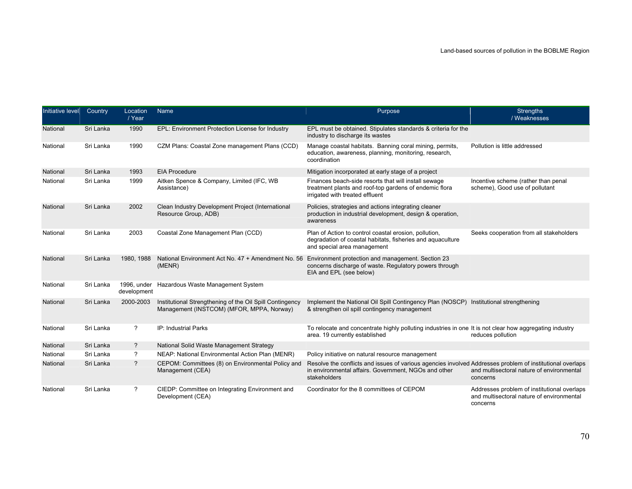| Initiative level | Country   | Location<br>/ Year       | Name                                                                                                           | Purpose                                                                                                                                                                           | <b>Strengths</b><br>/ Weaknesses                                                                     |
|------------------|-----------|--------------------------|----------------------------------------------------------------------------------------------------------------|-----------------------------------------------------------------------------------------------------------------------------------------------------------------------------------|------------------------------------------------------------------------------------------------------|
| National         | Sri Lanka | 1990                     | EPL: Environment Protection License for Industry                                                               | EPL must be obtained. Stipulates standards & criteria for the<br>industry to discharge its wastes                                                                                 |                                                                                                      |
| National         | Sri Lanka | 1990                     | CZM Plans: Coastal Zone management Plans (CCD)                                                                 | Manage coastal habitats. Banning coral mining, permits,<br>education, awareness, planning, monitoring, research,<br>coordination                                                  | Pollution is little addressed                                                                        |
| National         | Sri Lanka | 1993                     | <b>EIA Procedure</b>                                                                                           | Mitigation incorporated at early stage of a project                                                                                                                               |                                                                                                      |
| National         | Sri Lanka | 1999                     | Aitken Spence & Company, Limited (IFC, WB<br>Assistance)                                                       | Finances beach-side resorts that will install sewage<br>treatment plants and roof-top gardens of endemic flora<br>irrigated with treated effluent                                 | Incentive scheme (rather than penal<br>scheme), Good use of pollutant                                |
| National         | Sri Lanka | 2002                     | Clean Industry Development Project (International<br>Resource Group, ADB)                                      | Policies, strategies and actions integrating cleaner<br>production in industrial development, design & operation,<br>awareness                                                    |                                                                                                      |
| National         | Sri Lanka | 2003                     | Coastal Zone Management Plan (CCD)                                                                             | Plan of Action to control coastal erosion, pollution,<br>degradation of coastal habitats, fisheries and aquaculture<br>and special area management                                | Seeks cooperation from all stakeholders                                                              |
| National         | Sri Lanka | 1980, 1988               | National Environment Act No. 47 + Amendment No. 56 Environment protection and management. Section 23<br>(MENR) | concerns discharge of waste. Regulatory powers through<br>EIA and EPL (see below)                                                                                                 |                                                                                                      |
| National         | Sri Lanka | development              | 1996, under Hazardous Waste Management System                                                                  |                                                                                                                                                                                   |                                                                                                      |
| National         | Sri Lanka | 2000-2003                | Institutional Strengthening of the Oil Spill Contingency<br>Management (INSTCOM) (MFOR, MPPA, Norway)          | Implement the National Oil Spill Contingency Plan (NOSCP) Institutional strengthening<br>& strengthen oil spill contingency management                                            |                                                                                                      |
| National         | Sri Lanka | $\overline{?}$           | IP: Industrial Parks                                                                                           | To relocate and concentrate highly polluting industries in one It is not clear how aggregating industry<br>area. 19 currently established                                         | reduces pollution                                                                                    |
| National         | Sri Lanka | ?                        | National Solid Waste Management Strategy                                                                       |                                                                                                                                                                                   |                                                                                                      |
| National         | Sri Lanka | ?                        | NEAP: National Environmental Action Plan (MENR)                                                                | Policy initiative on natural resource management                                                                                                                                  |                                                                                                      |
| National         | Sri Lanka | $\overline{\phantom{a}}$ | CEPOM: Committees (8) on Environmental Policy and<br>Management (CEA)                                          | Resolve the conflicts and issues of various agencies involved Addresses problem of institutional overlaps<br>in environmental affairs. Government, NGOs and other<br>stakeholders | and multisectoral nature of environmental<br>concerns                                                |
| National         | Sri Lanka | ?                        | CIEDP: Committee on Integrating Environment and<br>Development (CEA)                                           | Coordinator for the 8 committees of CEPOM                                                                                                                                         | Addresses problem of institutional overlaps<br>and multisectoral nature of environmental<br>concerns |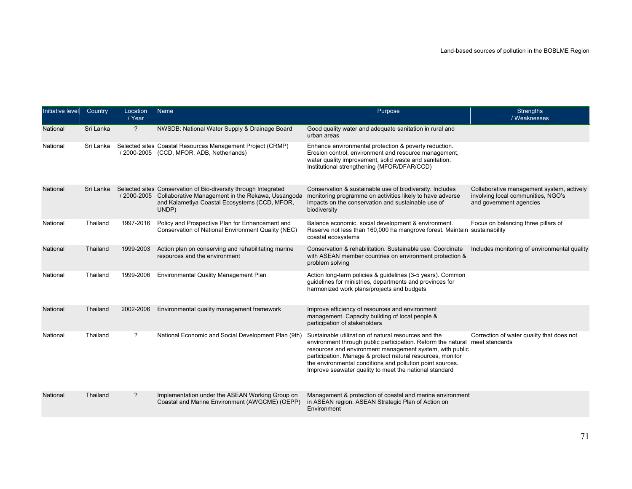| Initiative level | Country   | Location<br>/ Year | Name                                                                                                                                                                                       | Purpose                                                                                                                                                                                                                                                                                                                                                               | <b>Strengths</b><br>/ Weaknesses                                                                           |
|------------------|-----------|--------------------|--------------------------------------------------------------------------------------------------------------------------------------------------------------------------------------------|-----------------------------------------------------------------------------------------------------------------------------------------------------------------------------------------------------------------------------------------------------------------------------------------------------------------------------------------------------------------------|------------------------------------------------------------------------------------------------------------|
| National         | Sri Lanka | $\overline{?}$     | NWSDB: National Water Supply & Drainage Board                                                                                                                                              | Good quality water and adequate sanitation in rural and<br>urban areas                                                                                                                                                                                                                                                                                                |                                                                                                            |
| National         | Sri Lanka |                    | Selected sites Coastal Resources Management Project (CRMP)<br>/2000-2005 (CCD, MFOR, ADB, Netherlands)                                                                                     | Enhance environmental protection & poverty reduction.<br>Erosion control, environment and resource management,<br>water quality improvement, solid waste and sanitation.<br>Institutional strengthening (MFOR/DFAR/CCD)                                                                                                                                               |                                                                                                            |
| National         | Sri Lanka |                    | Selected sites Conservation of Bio-diversity through Integrated<br>/ 2000-2005 Collaborative Management in the Rekawa, Ussangoda<br>and Kalametiya Coastal Ecosystems (CCD, MFOR,<br>UNDP) | Conservation & sustainable use of biodiversity. Includes<br>monitoring programme on activities likely to have adverse<br>impacts on the conservation and sustainable use of<br>biodiversity                                                                                                                                                                           | Collaborative management system, actively<br>involving local communities, NGO's<br>and government agencies |
| National         | Thailand  | 1997-2016          | Policy and Prospective Plan for Enhancement and<br>Conservation of National Environment Quality (NEC)                                                                                      | Balance economic, social development & environment.<br>Reserve not less than 160,000 ha mangrove forest. Maintain sustainability<br>coastal ecosystems                                                                                                                                                                                                                | Focus on balancing three pillars of                                                                        |
| National         | Thailand  | 1999-2003          | Action plan on conserving and rehabilitating marine<br>resources and the environment                                                                                                       | Conservation & rehabilitation. Sustainable use, Coordinate<br>with ASEAN member countries on environment protection &<br>problem solving                                                                                                                                                                                                                              | Includes monitoring of environmental quality                                                               |
| National         | Thailand  | 1999-2006          | Environmental Quality Management Plan                                                                                                                                                      | Action long-term policies & guidelines (3-5 years). Common<br>guidelines for ministries, departments and provinces for<br>harmonized work plans/projects and budgets                                                                                                                                                                                                  |                                                                                                            |
| National         | Thailand  | 2002-2006          | Environmental quality management framework                                                                                                                                                 | Improve efficiency of resources and environment<br>management. Capacity building of local people &<br>participation of stakeholders                                                                                                                                                                                                                                   |                                                                                                            |
| National         | Thailand  | ?                  | National Economic and Social Development Plan (9th)                                                                                                                                        | Sustainable utilization of natural resources and the<br>environment through public participation. Reform the natural<br>resources and environment management system, with public<br>participation. Manage & protect natural resources, monitor<br>the environmental conditions and pollution point sources.<br>Improve seawater quality to meet the national standard | Correction of water quality that does not<br>meet standards                                                |
| National         | Thailand  | ?                  | Implementation under the ASEAN Working Group on<br>Coastal and Marine Environment (AWGCME) (OEPP)                                                                                          | Management & protection of coastal and marine environment<br>in ASEAN region. ASEAN Strategic Plan of Action on<br>Environment                                                                                                                                                                                                                                        |                                                                                                            |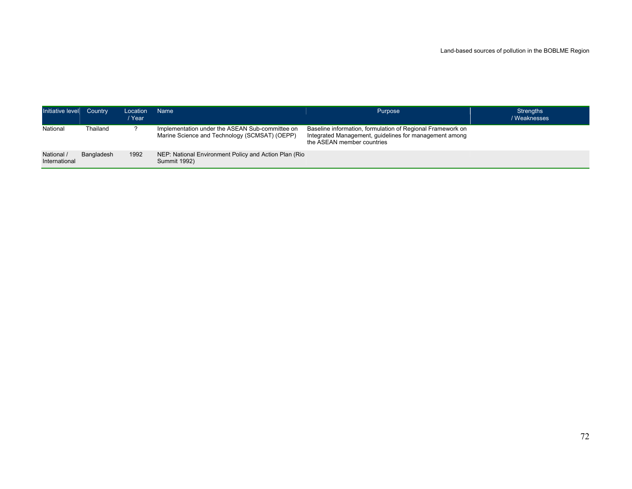| Initiative level Country    |            | Location<br>/ Year | Name <sup>1</sup>                                                                                | Purpose                                                                                                                                            | <b>Strengths</b><br>/ Weaknesses |
|-----------------------------|------------|--------------------|--------------------------------------------------------------------------------------------------|----------------------------------------------------------------------------------------------------------------------------------------------------|----------------------------------|
| National                    | Thailand   |                    | Implementation under the ASEAN Sub-committee on<br>Marine Science and Technology (SCMSAT) (OEPP) | Baseline information, formulation of Regional Framework on<br>Integrated Management, guidelines for management among<br>the ASEAN member countries |                                  |
| National /<br>International | Bangladesh | 1992               | NEP: National Environment Policy and Action Plan (Rio<br><b>Summit 1992)</b>                     |                                                                                                                                                    |                                  |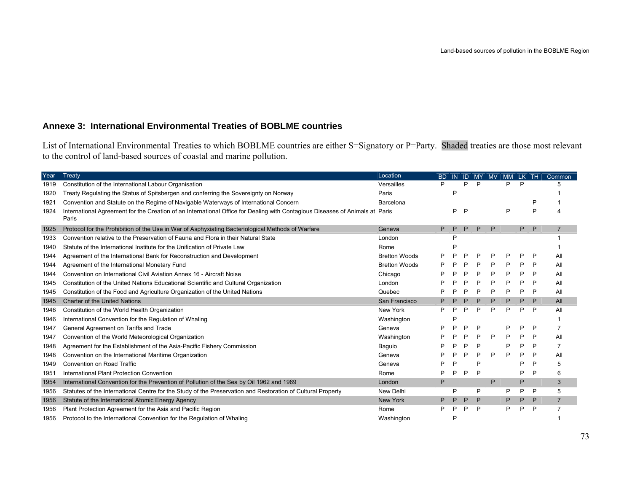# **Annexe 3: International Environmental Treaties of BOBLME countries**

List of International Environmental Treaties to which BOBLME countries are either S=Signatory or P=Party. Shaded treaties are those most relevant to the control of land-based sources of coastal and marine pollution.

| Year | Treaty                                                                                                                                | Location             | <b>BD</b> | <b>IN</b> |   |   | ID MY MV | MM LK TH |    |              | Common         |
|------|---------------------------------------------------------------------------------------------------------------------------------------|----------------------|-----------|-----------|---|---|----------|----------|----|--------------|----------------|
| 1919 | Constitution of the International Labour Organisation                                                                                 | Versailles           | P         |           | D | P |          | P        | P  |              |                |
| 1920 | Treaty Regulating the Status of Spitsbergen and conferring the Sovereignty on Norway                                                  | Paris                |           | P         |   |   |          |          |    |              |                |
| 1921 | Convention and Statute on the Regime of Navigable Waterways of International Concern                                                  | Barcelona            |           |           |   |   |          |          |    | P            |                |
| 1924 | International Agreement for the Creation of an International Office for Dealing with Contagious Diseases of Animals at Paris<br>Paris |                      |           | P         | P |   |          | P        |    | P            |                |
| 1925 | Protocol for the Prohibition of the Use in War of Asphyxiating Bacteriological Methods of Warfare                                     | Geneva               | P         | P         | P | P | P        |          | P. | $\mathsf{P}$ | $\overline{7}$ |
| 1933 | Convention relative to the Preservation of Fauna and Flora in their Natural State                                                     | London               |           | P         |   |   |          |          |    |              |                |
| 1940 | Statute of the International Institute for the Unification of Private Law                                                             | Rome                 |           | D         |   |   |          |          |    |              |                |
| 1944 | Agreement of the International Bank for Reconstruction and Development                                                                | <b>Bretton Woods</b> | P         | ₽         | P | P | P        | P        | P  | P            | All            |
| 1944 | Agreement of the International Monetary Fund                                                                                          | <b>Bretton Woods</b> | P         | ▫         | P | P | P        | P        | P  | P            | All            |
| 1944 | Convention on International Civil Aviation Annex 16 - Aircraft Noise                                                                  | Chicago              | P         | □         | P | P | P        | P        | P  | P            | All            |
| 1945 | Constitution of the United Nations Educational Scientific and Cultural Organization                                                   | London               | P         | ₽         | P | P | P        | P        | P  | P            | All            |
| 1945 | Constitution of the Food and Agriculture Organization of the United Nations                                                           | Quebec               | P         | D         | P | P | P        | P        | P  | P            | All            |
| 1945 | <b>Charter of the United Nations</b>                                                                                                  | San Francisco        | P         |           | P | P | P        | P        | P  | P            | All            |
| 1946 | Constitution of the World Health Organization                                                                                         | New York             | P         | P         | P | P | P        | P        | P  | P            | All            |
| 1946 | International Convention for the Regulation of Whaling                                                                                | Washington           |           | P         |   |   |          |          |    |              |                |
| 1947 | General Agreement on Tariffs and Trade                                                                                                | Geneva               | P         | □         | P | P |          | P        | P  | P            | $\overline{7}$ |
| 1947 | Convention of the World Meteorological Organization                                                                                   | Washington           | Þ         | P         | P | P | P        | P        | P  | P            | All            |
| 1948 | Agreement for the Establishment of the Asia-Pacific Fishery Commission                                                                | Baguio               | P         | D         | P | P |          | P        | P  | P            | 7              |
| 1948 | Convention on the International Maritime Organization                                                                                 | Geneva               | P         | P         | P | P | P        | P        | P  | P            | All            |
| 1949 | Convention on Road Traffic                                                                                                            | Geneva               | P         | P         |   | P |          |          | P  | P            | 5              |
| 1951 | International Plant Protection Convention                                                                                             | Rome                 | P         | P         | P | P |          |          | P  | P            | 6              |
| 1954 | International Convention for the Prevention of Pollution of the Sea by Oil 1962 and 1969                                              | London               | P         |           |   |   | P        |          | P  |              | 3              |
| 1956 | Statutes of the International Centre for the Study of the Preservation and Restoration of Cultural Property                           | New Delhi            |           | P         |   | P |          | P        | P  | P            | 5              |
| 1956 | Statute of the International Atomic Energy Agency                                                                                     | <b>New York</b>      | P         | P         | P | P |          | P        | P  | P            | $\overline{7}$ |
| 1956 | Plant Protection Agreement for the Asia and Pacific Region                                                                            | Rome                 | P         | ▫         | P | P |          | P        | P  | P            |                |
| 1956 | Protocol to the International Convention for the Regulation of Whaling                                                                | Washington           |           | D         |   |   |          |          |    |              |                |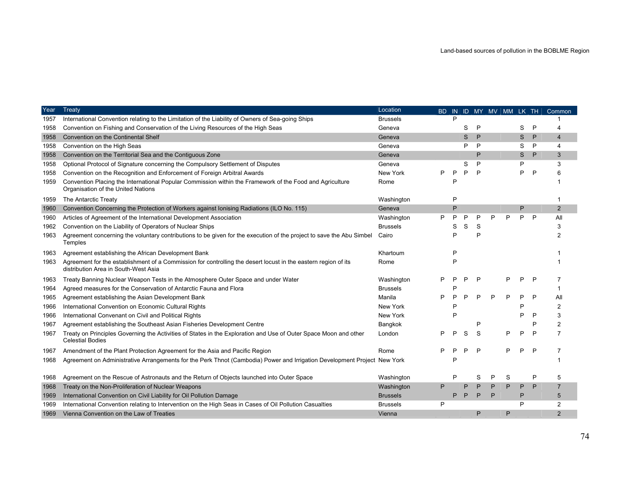| Year | Treaty                                                                                                                                                 | Location        | BD. |   |   |   |   |   |    |   | IN ID MY MV MM LK TH Common |
|------|--------------------------------------------------------------------------------------------------------------------------------------------------------|-----------------|-----|---|---|---|---|---|----|---|-----------------------------|
| 1957 | International Convention relating to the Limitation of the Liability of Owners of Sea-going Ships                                                      | <b>Brussels</b> |     | D |   |   |   |   |    |   |                             |
| 1958 | Convention on Fishing and Conservation of the Living Resources of the High Seas                                                                        | Geneva          |     |   | S | P |   |   | S  | P |                             |
| 1958 | Convention on the Continental Shelf                                                                                                                    | Geneva          |     |   | S | P |   |   | S. | P | 4                           |
| 1958 | Convention on the High Seas                                                                                                                            | Geneva          |     |   | P | P |   |   | S  | P | 4                           |
| 1958 | Convention on the Territorial Sea and the Contiguous Zone                                                                                              | Geneva          |     |   |   | P |   |   | S. | P | 3                           |
| 1958 | Optional Protocol of Signature concerning the Compulsory Settlement of Disputes                                                                        | Geneva          |     |   | S | P |   |   | P  |   | 3                           |
| 1958 | Convention on the Recognition and Enforcement of Foreign Arbitral Awards                                                                               | New York        | Þ   | D | P | P |   |   | P  | P | 6                           |
| 1959 | Convention Placing the International Popular Commission within the Framework of the Food and Agriculture<br>Organisation of the United Nations         | Rome            |     |   |   |   |   |   |    |   |                             |
| 1959 | The Antarctic Treaty                                                                                                                                   | Washington      |     | P |   |   |   |   |    |   |                             |
| 1960 | Convention Concerning the Protection of Workers against lonising Radiations (ILO No. 115)                                                              | Geneva          |     | P |   |   |   |   | P  |   | $\overline{2}$              |
| 1960 | Articles of Agreement of the International Development Association                                                                                     | Washington      | P   | D | P | P | P | P | P  | P | All                         |
| 1962 | Convention on the Liability of Operators of Nuclear Ships                                                                                              | <b>Brussels</b> |     | S | S | S |   |   |    |   | 3                           |
| 1963 | Agreement concerning the voluntary contributions to be given for the execution of the project to save the Abu Simbel<br>Temples                        | Cairo           |     | P |   | P |   |   |    |   |                             |
| 1963 | Agreement establishing the African Development Bank                                                                                                    | Khartoum        |     | P |   |   |   |   |    |   |                             |
| 1963 | Agreement for the establishment of a Commission for controlling the desert locust in the eastern region of its<br>distribution Area in South-West Asia | Rome            |     | P |   |   |   |   |    |   |                             |
| 1963 | Treaty Banning Nuclear Weapon Tests in the Atmosphere Outer Space and under Water                                                                      | Washington      | P   | D | D | P |   | P | P  | P |                             |
| 1964 | Agreed measures for the Conservation of Antarctic Fauna and Flora                                                                                      | <b>Brussels</b> |     | E |   |   |   |   |    |   |                             |
| 1965 | Agreement establishing the Asian Development Bank                                                                                                      | Manila          | D   |   |   | P |   | P | P  | P | All                         |
| 1966 | International Convention on Economic Cultural Rights                                                                                                   | New York        |     |   |   |   |   |   | Р  |   | $\overline{2}$              |
| 1966 | International Convenant on Civil and Political Rights                                                                                                  | New York        |     | ₽ |   |   |   |   | P  | P |                             |
| 1967 | Agreement establishing the Southeast Asian Fisheries Development Centre                                                                                | Bangkok         |     |   |   | P |   |   |    |   | 2                           |
| 1967 | Treaty on Principles Governing the Activities of States in the Exploration and Use of Outer Space Moon and other<br><b>Celestial Bodies</b>            | London          | P   | P | S | S |   | P | P  | P | 7                           |
| 1967 | Amendment of the Plant Protection Agreement for the Asia and Pacific Region                                                                            | Rome            |     |   |   | P |   | P | P  | P |                             |
| 1968 | Agreement on Administrative Arrangements for the Perk Thnot (Cambodia) Power and Irrigation Development Project New York                               |                 |     |   |   |   |   |   |    |   |                             |
| 1968 | Agreement on the Rescue of Astronauts and the Return of Objects launched into Outer Space                                                              | Washington      |     | P |   | S | P | S |    | P | 5                           |
| 1968 | Treaty on the Non-Proliferation of Nuclear Weapons                                                                                                     | Washington      | P   |   | P | P | P | P | P  | P | $\overline{7}$              |
| 1969 | International Convention on Civil Liability for Oil Pollution Damage                                                                                   | <b>Brussels</b> |     | P | P | P | P |   | P  |   | 5                           |
| 1969 | International Convention relating to Intervention on the High Seas in Cases of Oil Pollution Casualties                                                | <b>Brussels</b> | P   |   |   |   |   |   | P  |   | $\overline{2}$              |
| 1969 | Vienna Convention on the Law of Treaties                                                                                                               | Vienna          |     |   |   | P |   | P |    |   | 2                           |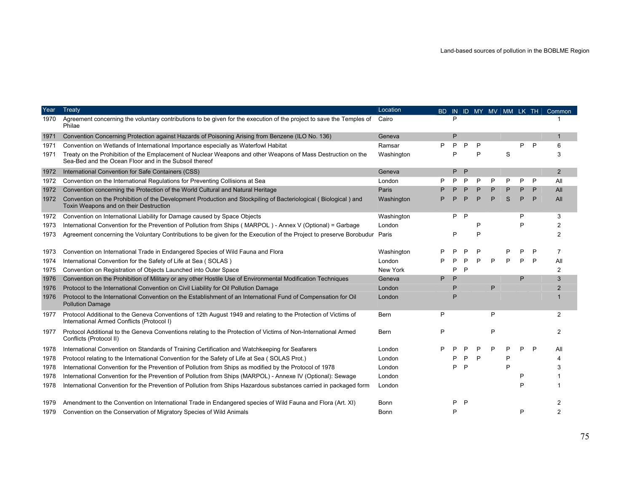| Year | Treaty                                                                                                                                                                 | Location   |   |   |   |   |   |   |   |   | BD IN ID MY MV MM LK TH Common |
|------|------------------------------------------------------------------------------------------------------------------------------------------------------------------------|------------|---|---|---|---|---|---|---|---|--------------------------------|
| 1970 | Agreement concerning the voluntary contributions to be given for the execution of the project to save the Temples of<br>Philae                                         | Cairo      |   |   |   |   |   |   |   |   |                                |
| 1971 | Convention Concerning Protection against Hazards of Poisoning Arising from Benzene (ILO No. 136)                                                                       | Geneva     |   | P |   |   |   |   |   |   | 1                              |
| 1971 | Convention on Wetlands of International Importance especially as Waterfowl Habitat                                                                                     | Ramsar     | P | P | P | P |   |   | P | P | 6                              |
| 1971 | Treaty on the Prohibition of the Emplacement of Nuclear Weapons and other Weapons of Mass Destruction on the<br>Sea-Bed and the Ocean Floor and in the Subsoil thereof | Washington |   |   |   | P |   | S |   |   | 3                              |
| 1972 | International Convention for Safe Containers (CSS)                                                                                                                     | Geneva     |   | P | P |   |   |   |   |   | 2                              |
| 1972 | Convention on the International Regulations for Preventing Collisions at Sea                                                                                           | London     |   | P | P | P | P | P | P | P | All                            |
| 1972 | Convention concerning the Protection of the World Cultural and Natural Heritage                                                                                        | Paris      |   |   |   | P | P | P | P | P | All                            |
| 1972 | Convention on the Prohibition of the Development Production and Stockpiling of Bacteriological (Biological) and<br>Toxin Weapons and on their Destruction              | Washington |   |   | D | P | P | S | P | P | All                            |
| 1972 | Convention on International Liability for Damage caused by Space Objects                                                                                               | Washington |   | P | P |   |   |   | P |   | 3                              |
| 1973 | International Convention for the Prevention of Pollution from Ships (MARPOL) - Annex V (Optional) = Garbage                                                            | London     |   |   |   |   |   |   | P |   | 2                              |
| 1973 | Agreement concerning the Voluntary Contributions to be given for the Execution of the Project to preserve Borobudur Paris                                              |            |   | P |   | P |   |   |   |   | $\overline{c}$                 |
| 1973 | Convention on International Trade in Endangered Species of Wild Fauna and Flora                                                                                        | Washington |   |   |   | Р |   | D | P | P | 7                              |
| 1974 | International Convention for the Safety of Life at Sea (SOLAS)                                                                                                         | London     |   |   | ₽ | P | P | P | P | P | All                            |
| 1975 | Convention on Registration of Objects Launched into Outer Space                                                                                                        | New York   |   | P | P |   |   |   |   |   | 2                              |
| 1976 | Convention on the Prohibition of Military or any other Hostile Use of Environmental Modification Techniques                                                            | Geneva     | P | P |   |   |   |   | P |   | 3                              |
| 1976 | Protocol to the International Convention on Civil Liability for Oil Pollution Damage                                                                                   | London     |   |   |   |   | P |   |   |   | $\overline{2}$                 |
| 1976 | Protocol to the International Convention on the Establishment of an International Fund of Compensation for Oil<br><b>Pollution Damage</b>                              | London     |   |   |   |   |   |   |   |   |                                |
| 1977 | Protocol Additional to the Geneva Conventions of 12th August 1949 and relating to the Protection of Victims of<br>International Armed Conflicts (Protocol I)           | Bern       | P |   |   |   | P |   |   |   | 2                              |
| 1977 | Protocol Additional to the Geneva Conventions relating to the Protection of Victims of Non-International Armed<br>Conflicts (Protocol II)                              | Bern       | P |   |   |   | P |   |   |   | 2                              |
| 1978 | International Convention on Standards of Training Certification and Watchkeeping for Seafarers                                                                         | London     |   |   |   | Р | P |   | P | P | All                            |
| 1978 | Protocol relating to the International Convention for the Safety of Life at Sea (SOLAS Prot.)                                                                          | London     |   |   |   | P |   |   |   |   |                                |
| 1978 | International Convention for the Prevention of Pollution from Ships as modified by the Protocol of 1978                                                                | London     |   |   |   |   |   | P |   |   |                                |
| 1978 | International Convention for the Prevention of Pollution from Ships (MARPOL) - Annexe IV (Optional): Sewage                                                            | London     |   |   |   |   |   |   | P |   |                                |
| 1978 | International Convention for the Prevention of Pollution from Ships Hazardous substances carried in packaged form                                                      | London     |   |   |   |   |   |   | P |   |                                |
| 1979 | Amendment to the Convention on International Trade in Endangered species of Wild Fauna and Flora (Art. XI)                                                             | Bonn       |   |   | P |   |   |   |   |   |                                |
| 1979 | Convention on the Conservation of Migratory Species of Wild Animals                                                                                                    | Bonn       |   | P |   |   |   |   | P |   |                                |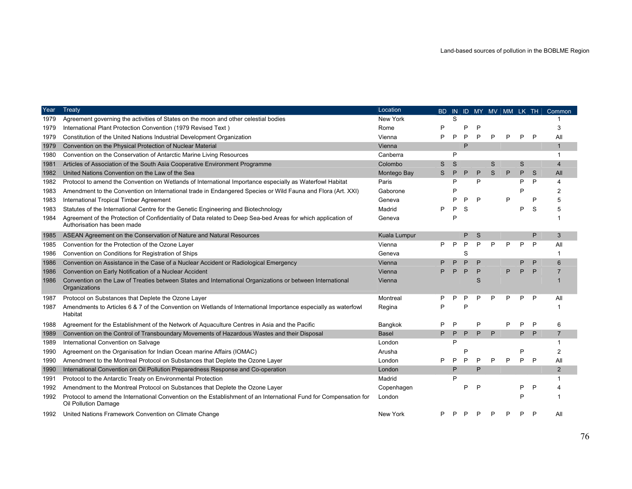| Year | Treaty                                                                                                                                       | Location     | BD. |   |   |   |   |   |   |   | IN ID MY MV MM LK TH Common |
|------|----------------------------------------------------------------------------------------------------------------------------------------------|--------------|-----|---|---|---|---|---|---|---|-----------------------------|
| 1979 | Agreement governing the activities of States on the moon and other celestial bodies                                                          | New York     |     | S |   |   |   |   |   |   |                             |
| 1979 | International Plant Protection Convention (1979 Revised Text)                                                                                | Rome         | P   |   |   |   |   |   |   |   | 3                           |
| 1979 | Constitution of the United Nations Industrial Development Organization                                                                       | Vienna       | P   | P | P | P | P | P | P | P | All                         |
| 1979 | Convention on the Physical Protection of Nuclear Material                                                                                    | Vienna       |     |   | P |   |   |   |   |   | 1                           |
| 1980 | Convention on the Conservation of Antarctic Marine Living Resources                                                                          | Canberra     |     | P |   |   |   |   |   |   | 1                           |
| 1981 | Articles of Association of the South Asia Cooperative Environment Programme                                                                  | Colombo      | S   | S |   |   | S |   | S |   | 4                           |
| 1982 | United Nations Convention on the Law of the Sea                                                                                              | Montego Bay  | S   | P | P | P | S | P | P | S | All                         |
| 1982 | Protocol to amend the Convention on Wetlands of International Importance especially as Waterfowl Habitat                                     | Paris        |     | P |   | P |   |   | P | P | 4                           |
| 1983 | Amendment to the Convention on International trade in Endangered Species or Wild Fauna and Flora (Art. XXI)                                  | Gaborone     |     |   |   |   |   |   | P |   |                             |
| 1983 | International Tropical Timber Agreement                                                                                                      | Geneva       |     |   | P | P |   | P |   |   |                             |
| 1983 | Statutes of the International Centre for the Genetic Engineering and Biotechnology                                                           | Madrid       | P   |   | S |   |   |   | P | S |                             |
| 1984 | Agreement of the Protection of Confidentiality of Data related to Deep Sea-bed Areas for which application of<br>Authorisation has been made | Geneva       |     | P |   |   |   |   |   |   |                             |
| 1985 | ASEAN Agreement on the Conservation of Nature and Natural Resources                                                                          | Kuala Lumpur |     |   | P | S |   |   |   | P | 3                           |
| 1985 | Convention for the Protection of the Ozone Layer                                                                                             | Vienna       | Þ   | P | P | P | P | P | P | P | All                         |
| 1986 | Convention on Conditions for Registration of Ships                                                                                           | Geneva       |     |   | S |   |   |   |   |   | 1                           |
| 1986 | Convention on Assistance in the Case of a Nuclear Accident or Radiological Emergency                                                         | Vienna       | P   |   |   | P |   |   | P | P | 6                           |
| 1986 | Convention on Early Notification of a Nuclear Accident                                                                                       | Vienna       |     |   | P | P |   | P | P | P |                             |
| 1986 | Convention on the Law of Treaties between States and International Organizations or between International<br>Organizations                   | Vienna       |     |   |   | S |   |   |   |   |                             |
| 1987 | Protocol on Substances that Deplete the Ozone Layer                                                                                          | Montreal     |     |   |   |   |   | D | P | P | All                         |
| 1987 | Amendments to Articles 6 & 7 of the Convention on Wetlands of International Importance especially as waterfowl<br>Habitat                    | Regina       | P   |   |   |   |   |   |   |   |                             |
| 1988 | Agreement for the Establishment of the Network of Aguaculture Centres in Asia and the Pacific                                                | Bangkok      | P   |   |   | P |   | P | P | P | 6                           |
| 1989 | Convention on the Control of Transboundary Movements of Hazardous Wastes and their Disposal                                                  | Basel        | P   | P | P | P | P |   | P | P | $\overline{7}$              |
| 1989 | International Convention on Salvage                                                                                                          | London       |     | P |   |   |   |   |   |   | 1                           |
| 1990 | Agreement on the Organisation for Indian Ocean marine Affairs (IOMAC)                                                                        | Arusha       |     |   |   |   |   |   | P |   | $\overline{2}$              |
| 1990 | Amendment to the Montreal Protocol on Substances that Deplete the Ozone Layer                                                                | London       | P   | P | P | P | P | P | P | P | All                         |
| 1990 | International Convention on Oil Pollution Preparedness Response and Co-operation                                                             | London       |     | P |   | P |   |   |   |   | 2                           |
| 1991 | Protocol to the Antarctic Treaty on Environmental Protection                                                                                 | Madrid       |     | P |   |   |   |   |   |   | 1                           |
| 1992 | Amendment to the Montreal Protocol on Substances that Deplete the Ozone Layer                                                                | Copenhagen   |     |   | P | P |   |   | P |   |                             |
| 1992 | Protocol to amend the International Convention on the Establishment of an International Fund for Compensation for<br>Oil Pollution Damage    | London       |     |   |   |   |   |   | P |   |                             |
| 1992 | United Nations Framework Convention on Climate Change                                                                                        | New York     |     |   |   |   |   |   |   |   | All                         |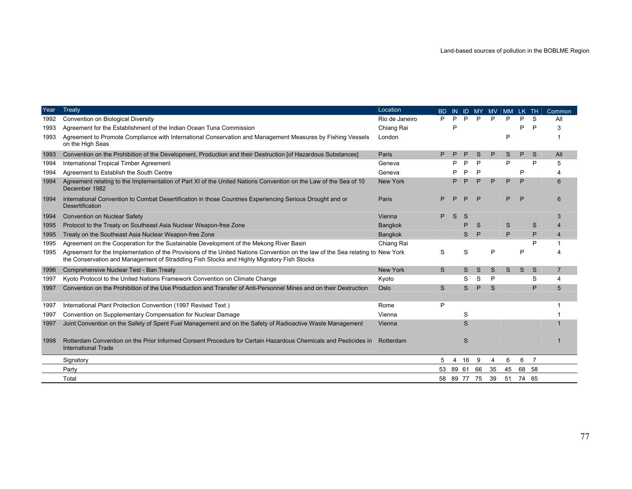| Year | Treaty                                                                                                                                                                                                                       | Location        | BD. |       |              |             | IN ID MY MV MM LK TH |          |       |    | Common         |
|------|------------------------------------------------------------------------------------------------------------------------------------------------------------------------------------------------------------------------------|-----------------|-----|-------|--------------|-------------|----------------------|----------|-------|----|----------------|
| 1992 | Convention on Biological Diversity                                                                                                                                                                                           | Rio de Janeiro  | P   | P     | P            | P           | P                    | P        | P     | S. | All            |
| 1993 | Agreement for the Establishment of the Indian Ocean Tuna Commission                                                                                                                                                          | Chiang Rai      |     | P     |              |             |                      |          | P     | P  | 3              |
| 1993 | Agreement to Promote Compliance with International Conservation and Management Measures by Fishing Vessels<br>on the High Seas                                                                                               | London          |     |       |              |             |                      | P        |       |    |                |
| 1993 | Convention on the Prohibition of the Development, Production and their Destruction [of Hazardous Substances]                                                                                                                 | Paris           |     |       |              | S           | P                    | S.       | P     | S  | All            |
| 1994 | International Tropical Timber Agreement                                                                                                                                                                                      | Geneva          |     | D     | P            | P           |                      | P        |       | P  | 5              |
| 1994 | Agreement to Establish the South Centre                                                                                                                                                                                      | Geneva          |     |       | P            | P           |                      |          | P     |    |                |
| 1994 | Agreement relating to the Implementation of Part XI of the United Nations Convention on the Law of the Sea of 10<br>December 1982                                                                                            | <b>New York</b> |     | Þ     | P            | P           | P                    | P        | P     |    | 6              |
| 1994 | International Convention to Combat Desertification in those Countries Experiencing Serious Drought and or<br><b>Desertification</b>                                                                                          | Paris           |     |       | D            | P           |                      | P        | P     |    | 6              |
| 1994 | <b>Convention on Nuclear Safety</b>                                                                                                                                                                                          | Vienna          | Þ   | S     | <sub>S</sub> |             |                      |          |       |    |                |
| 1995 | Protocol to the Treaty on Southeast Asia Nuclear Weapon-free Zone                                                                                                                                                            | <b>Bangkok</b>  |     |       | P            | S           |                      | S        |       | S  |                |
| 1995 | Treaty on the Southeast Asia Nuclear Weapon-free Zone                                                                                                                                                                        | Bangkok         |     |       | S            | P           |                      | P        |       | P  | 4              |
| 1995 | Agreement on the Cooperation for the Sustainable Development of the Mekong River Basin                                                                                                                                       | Chiang Rai      |     |       |              |             |                      |          |       |    |                |
| 1995 | Agreement for the Implementation of the Provisions of the United Nations Convention on the law of the Sea relating to New York<br>the Conservation and Management of Straddling Fish Stocks and Highly Migratory Fish Stocks |                 | S   |       | S            |             | P                    |          | P     |    |                |
| 1996 | Comprehensive Nuclear Test - Ban Treaty                                                                                                                                                                                      | New York        | S   |       | S            | S           | S                    | S        | S     | S  | $\overline{7}$ |
| 1997 | Kyoto Protocol to the United Nations Framework Convention on Climate Change                                                                                                                                                  | Kyoto           |     |       | S            | S           | P                    |          |       | S  | 4              |
| 1997 | Convention on the Prohibition of the Use Production and Transfer of Anti-Personnel Mines and on their Destruction                                                                                                            | Oslo            | S   |       | S            | P           | S                    |          |       | P  | 5              |
| 1997 | International Plant Protection Convention (1997 Revised Text)                                                                                                                                                                | Rome            | P   |       |              |             |                      |          |       |    |                |
| 1997 | Convention on Supplementary Compensation for Nuclear Damage                                                                                                                                                                  | Vienna          |     |       | S            |             |                      |          |       |    |                |
| 1997 | Joint Convention on the Safety of Spent Fuel Management and on the Safety of Radioactive Waste Management                                                                                                                    | Vienna          |     |       | S            |             |                      |          |       |    |                |
| 1998 | Rotterdam Convention on the Prior Informed Consent Procedure for Certain Hazardous Chemicals and Pesticides in Rotterdam<br><b>International Trade</b>                                                                       |                 |     |       | S            |             |                      |          |       |    |                |
|      | Signatory                                                                                                                                                                                                                    |                 | 5   | 4     | 16           | 9           | 4                    | 6        | 6     | 7  |                |
|      | Party                                                                                                                                                                                                                        |                 | 53  | 89 61 |              | 66          | 35                   | 45       | 68 58 |    |                |
|      | Total                                                                                                                                                                                                                        |                 |     |       |              | 58 89 77 75 | 39                   | 51 74 65 |       |    |                |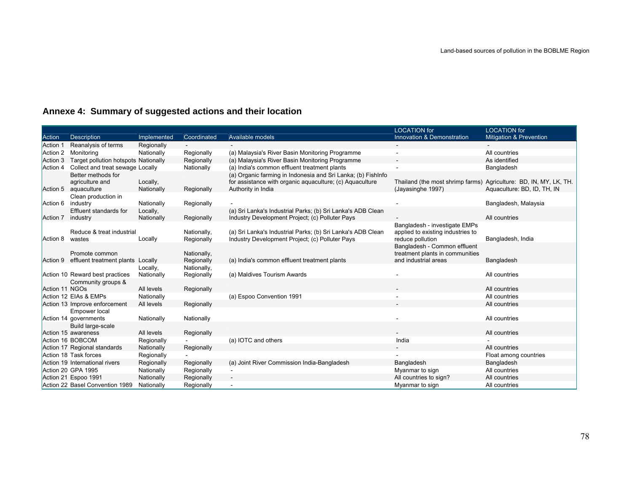# **Annexe 4: Summary of suggested actions and their location**

|                |                                            |             |                           |                                                              | <b>LOCATION</b> for                                                | <b>LOCATION</b> for         |
|----------------|--------------------------------------------|-------------|---------------------------|--------------------------------------------------------------|--------------------------------------------------------------------|-----------------------------|
| Action         | Description                                | Implemented | Coordinated               | Available models                                             | Innovation & Demonstration                                         | Mitigation & Prevention     |
| Action 1       | Reanalysis of terms                        | Regionally  |                           |                                                              |                                                                    |                             |
| Action 2       | Monitoring                                 | Nationally  | Regionally                | (a) Malaysia's River Basin Monitoring Programme              |                                                                    | All countries               |
| Action 3       | Target pollution hotspots Nationally       |             | Regionally                | (a) Malaysia's River Basin Monitoring Programme              |                                                                    | As identified               |
| Action 4       | Collect and treat sewage Locally           |             | Nationally                | (a) India's common effluent treatment plants                 |                                                                    | Bangladesh                  |
|                | Better methods for                         |             |                           | (a) Organic farming in Indonesia and Sri Lanka; (b) FishInfo |                                                                    |                             |
|                | agriculture and                            | Locally,    |                           | for assistance with organic aquaculture; (c) Aquaculture     | Thailand (the most shrimp farms) Agriculture: BD, IN, MY, LK, TH.  |                             |
|                | Action 5 aquaculture                       | Nationally  | Regionally                | Authority in India                                           | (Jayasinghe 1997)                                                  | Aquaculture: BD, ID, TH, IN |
|                | Clean production in                        |             |                           |                                                              |                                                                    |                             |
| Action 6       | industry                                   | Nationally  | Regionally                |                                                              |                                                                    | Bangladesh, Malaysia        |
|                | Effluent standards for                     | Locally,    |                           | (a) Sri Lanka's Industrial Parks; (b) Sri Lanka's ADB Clean  |                                                                    |                             |
| Action 7       | industry                                   | Nationally  | Regionally                | Industry Development Project; (c) Polluter Pays              |                                                                    | All countries               |
|                | Reduce & treat industrial                  |             |                           | (a) Sri Lanka's Industrial Parks; (b) Sri Lanka's ADB Clean  | Bangladesh - investigate EMPs<br>applied to existing industries to |                             |
| Action 8       | wastes                                     | Locally     | Nationally,<br>Regionally | Industry Development Project; (c) Polluter Pays              | reduce pollution                                                   | Bangladesh, India           |
|                |                                            |             |                           |                                                              | Bangladesh - Common effluent                                       |                             |
|                | Promote common                             |             | Nationally,               |                                                              | treatment plants in communities                                    |                             |
|                | Action 9 effluent treatment plants Locally |             | Regionally                | (a) India's common effluent treatment plants                 | and industrial areas                                               | Bangladesh                  |
|                |                                            | Locally,    | Nationally,               |                                                              |                                                                    |                             |
|                | Action 10 Reward best practices            | Nationally  | Regionally                | (a) Maldives Tourism Awards                                  |                                                                    | All countries               |
|                | Community groups &                         |             |                           |                                                              |                                                                    |                             |
| Action 11 NGOs |                                            | All levels  | Regionally                |                                                              |                                                                    | All countries               |
|                | Action 12 EIAs & EMPs                      | Nationally  |                           | (a) Espoo Convention 1991                                    |                                                                    | All countries               |
|                | Action 13 Improve enforcement              | All levels  | Regionally                |                                                              |                                                                    | All countries               |
|                | Empower local                              |             |                           |                                                              |                                                                    |                             |
|                | Action 14 governments                      | Nationally  | Nationally                |                                                              |                                                                    | All countries               |
|                | Build large-scale                          |             |                           |                                                              |                                                                    |                             |
|                | Action 15 awareness                        | All levels  | Regionally                |                                                              |                                                                    | All countries               |
|                | Action 16 BOBCOM                           | Regionally  |                           | (a) IOTC and others                                          | India                                                              |                             |
|                | Action 17 Regional standards               | Nationally  | Regionally                |                                                              |                                                                    | All countries               |
|                | Action 18 Task forces                      | Regionally  |                           |                                                              |                                                                    | Float among countries       |
|                | Action 19 International rivers             | Regionally  | Regionally                | (a) Joint River Commission India-Bangladesh                  | Bangladesh                                                         | Bangladesh                  |
|                | Action 20 GPA 1995                         | Nationally  | Regionally                |                                                              | Myanmar to sign                                                    | All countries               |
|                | Action 21 Espoo 1991                       | Nationally  | Regionally                |                                                              | All countries to sign?                                             | All countries               |
|                | Action 22 Basel Convention 1989            | Nationally  | Regionally                |                                                              | Myanmar to sign                                                    | All countries               |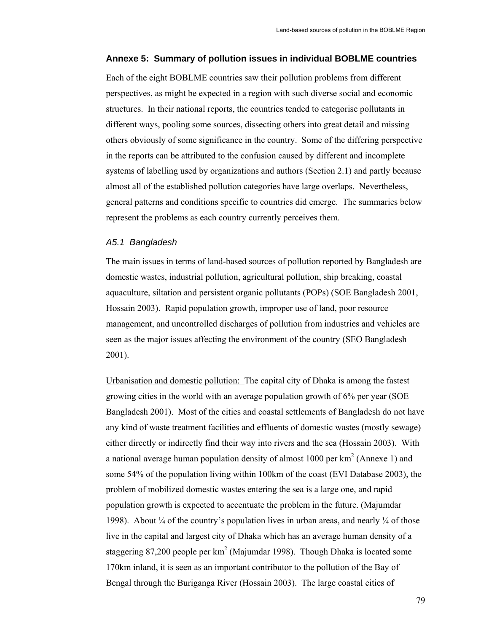## **Annexe 5: Summary of pollution issues in individual BOBLME countries**

Each of the eight BOBLME countries saw their pollution problems from different perspectives, as might be expected in a region with such diverse social and economic structures. In their national reports, the countries tended to categorise pollutants in different ways, pooling some sources, dissecting others into great detail and missing others obviously of some significance in the country. Some of the differing perspective in the reports can be attributed to the confusion caused by different and incomplete systems of labelling used by organizations and authors (Section 2.1) and partly because almost all of the established pollution categories have large overlaps. Nevertheless, general patterns and conditions specific to countries did emerge. The summaries below represent the problems as each country currently perceives them.

#### *A5.1 Bangladesh*

The main issues in terms of land-based sources of pollution reported by Bangladesh are domestic wastes, industrial pollution, agricultural pollution, ship breaking, coastal aquaculture, siltation and persistent organic pollutants (POPs) (SOE Bangladesh 2001, Hossain 2003). Rapid population growth, improper use of land, poor resource management, and uncontrolled discharges of pollution from industries and vehicles are seen as the major issues affecting the environment of the country (SEO Bangladesh 2001).

Urbanisation and domestic pollution: The capital city of Dhaka is among the fastest growing cities in the world with an average population growth of 6% per year (SOE Bangladesh 2001). Most of the cities and coastal settlements of Bangladesh do not have any kind of waste treatment facilities and effluents of domestic wastes (mostly sewage) either directly or indirectly find their way into rivers and the sea (Hossain 2003). With a national average human population density of almost 1000 per  $km^2$  (Annexe 1) and some 54% of the population living within 100km of the coast (EVI Database 2003), the problem of mobilized domestic wastes entering the sea is a large one, and rapid population growth is expected to accentuate the problem in the future. (Majumdar 1998). About  $\frac{1}{4}$  of the country's population lives in urban areas, and nearly  $\frac{1}{4}$  of those live in the capital and largest city of Dhaka which has an average human density of a staggering 87,200 people per  $km^2$  (Majumdar 1998). Though Dhaka is located some 170km inland, it is seen as an important contributor to the pollution of the Bay of Bengal through the Buriganga River (Hossain 2003). The large coastal cities of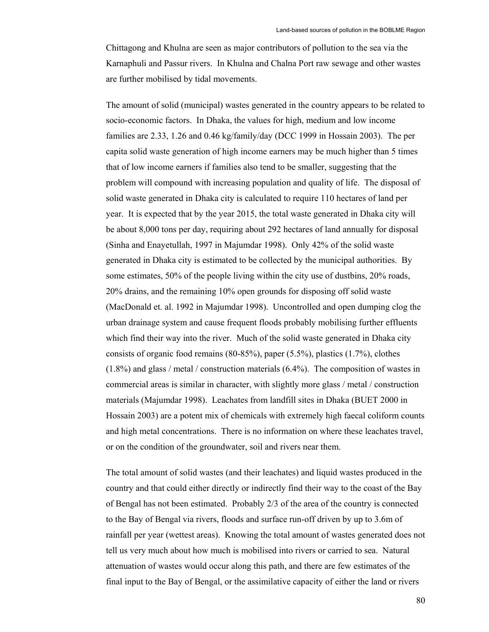Chittagong and Khulna are seen as major contributors of pollution to the sea via the Karnaphuli and Passur rivers. In Khulna and Chalna Port raw sewage and other wastes are further mobilised by tidal movements.

The amount of solid (municipal) wastes generated in the country appears to be related to socio-economic factors. In Dhaka, the values for high, medium and low income families are 2.33, 1.26 and 0.46 kg/family/day (DCC 1999 in Hossain 2003). The per capita solid waste generation of high income earners may be much higher than 5 times that of low income earners if families also tend to be smaller, suggesting that the problem will compound with increasing population and quality of life. The disposal of solid waste generated in Dhaka city is calculated to require 110 hectares of land per year. It is expected that by the year 2015, the total waste generated in Dhaka city will be about 8,000 tons per day, requiring about 292 hectares of land annually for disposal (Sinha and Enayetullah, 1997 in Majumdar 1998). Only 42% of the solid waste generated in Dhaka city is estimated to be collected by the municipal authorities. By some estimates, 50% of the people living within the city use of dustbins, 20% roads, 20% drains, and the remaining 10% open grounds for disposing off solid waste (MacDonald et. al. 1992 in Majumdar 1998). Uncontrolled and open dumping clog the urban drainage system and cause frequent floods probably mobilising further effluents which find their way into the river. Much of the solid waste generated in Dhaka city consists of organic food remains (80-85%), paper (5.5%), plastics (1.7%), clothes (1.8%) and glass / metal / construction materials (6.4%). The composition of wastes in commercial areas is similar in character, with slightly more glass / metal / construction materials (Majumdar 1998). Leachates from landfill sites in Dhaka (BUET 2000 in Hossain 2003) are a potent mix of chemicals with extremely high faecal coliform counts and high metal concentrations. There is no information on where these leachates travel, or on the condition of the groundwater, soil and rivers near them.

The total amount of solid wastes (and their leachates) and liquid wastes produced in the country and that could either directly or indirectly find their way to the coast of the Bay of Bengal has not been estimated. Probably 2/3 of the area of the country is connected to the Bay of Bengal via rivers, floods and surface run-off driven by up to 3.6m of rainfall per year (wettest areas). Knowing the total amount of wastes generated does not tell us very much about how much is mobilised into rivers or carried to sea. Natural attenuation of wastes would occur along this path, and there are few estimates of the final input to the Bay of Bengal, or the assimilative capacity of either the land or rivers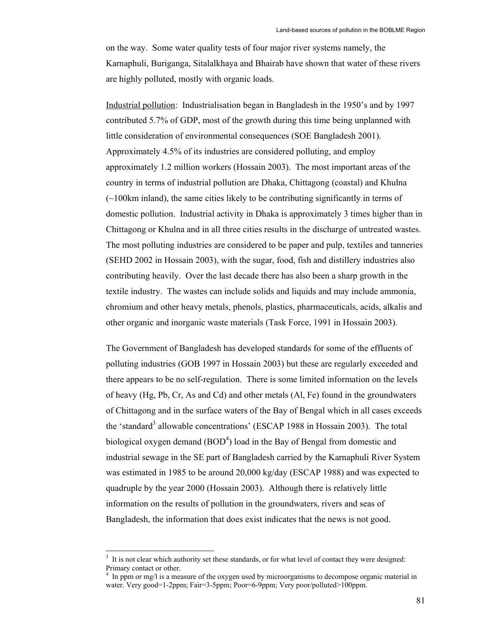on the way. Some water quality tests of four major river systems namely, the Karnaphuli, Buriganga, Sitalalkhaya and Bhairab have shown that water of these rivers are highly polluted, mostly with organic loads.

Industrial pollution: Industrialisation began in Bangladesh in the 1950's and by 1997 contributed 5.7% of GDP, most of the growth during this time being unplanned with little consideration of environmental consequences (SOE Bangladesh 2001). Approximately 4.5% of its industries are considered polluting, and employ approximately 1.2 million workers (Hossain 2003). The most important areas of the country in terms of industrial pollution are Dhaka, Chittagong (coastal) and Khulna (~100km inland), the same cities likely to be contributing significantly in terms of domestic pollution. Industrial activity in Dhaka is approximately 3 times higher than in Chittagong or Khulna and in all three cities results in the discharge of untreated wastes. The most polluting industries are considered to be paper and pulp, textiles and tanneries (SEHD 2002 in Hossain 2003), with the sugar, food, fish and distillery industries also contributing heavily. Over the last decade there has also been a sharp growth in the textile industry. The wastes can include solids and liquids and may include ammonia, chromium and other heavy metals, phenols, plastics, pharmaceuticals, acids, alkalis and other organic and inorganic waste materials (Task Force, 1991 in Hossain 2003).

The Government of Bangladesh has developed standards for some of the effluents of polluting industries (GOB 1997 in Hossain 2003) but these are regularly exceeded and there appears to be no self-regulation. There is some limited information on the levels of heavy (Hg, Pb, Cr, As and Cd) and other metals (Al, Fe) found in the groundwaters of Chittagong and in the surface waters of the Bay of Bengal which in all cases exceeds the 'standard<sup>3</sup> allowable concentrations' (ESCAP 1988 in Hossain 2003). The total biological oxygen demand  $(BOD<sup>4</sup>)$  load in the Bay of Bengal from domestic and industrial sewage in the SE part of Bangladesh carried by the Karnaphuli River System was estimated in 1985 to be around 20,000 kg/day (ESCAP 1988) and was expected to quadruple by the year 2000 (Hossain 2003). Although there is relatively little information on the results of pollution in the groundwaters, rivers and seas of Bangladesh, the information that does exist indicates that the news is not good.

 $\overline{a}$ 

 $3<sup>3</sup>$  It is not clear which authority set these standards, or for what level of contact they were designed: Primary contact or other.

<sup>4</sup> In ppm or mg/l is a measure of the oxygen used by microorganisms to decompose organic material in water. Very good=1-2ppm; Fair=3-5ppm; Poor=6-9ppm; Very poor/polluted>100ppm.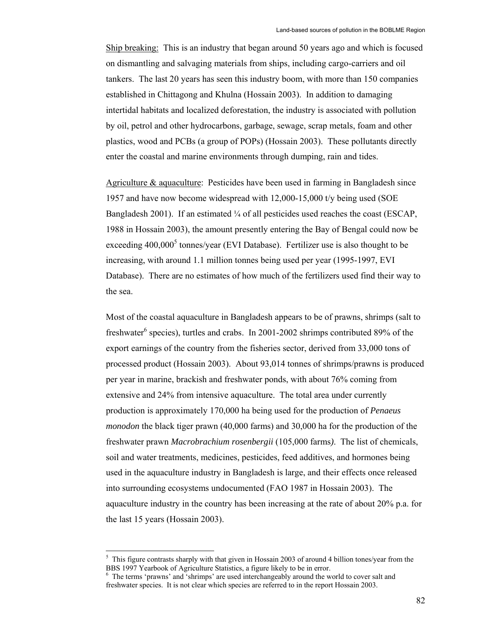Ship breaking: This is an industry that began around 50 years ago and which is focused on dismantling and salvaging materials from ships, including cargo-carriers and oil tankers. The last 20 years has seen this industry boom, with more than 150 companies established in Chittagong and Khulna (Hossain 2003). In addition to damaging intertidal habitats and localized deforestation, the industry is associated with pollution by oil, petrol and other hydrocarbons, garbage, sewage, scrap metals, foam and other plastics, wood and PCBs (a group of POPs) (Hossain 2003). These pollutants directly enter the coastal and marine environments through dumping, rain and tides.

Agriculture & aquaculture: Pesticides have been used in farming in Bangladesh since 1957 and have now become widespread with 12,000-15,000 t/y being used (SOE Bangladesh 2001). If an estimated  $\frac{1}{4}$  of all pesticides used reaches the coast (ESCAP, 1988 in Hossain 2003), the amount presently entering the Bay of Bengal could now be exceeding  $400,000^5$  tonnes/year (EVI Database). Fertilizer use is also thought to be increasing, with around 1.1 million tonnes being used per year (1995-1997, EVI Database). There are no estimates of how much of the fertilizers used find their way to the sea.

Most of the coastal aquaculture in Bangladesh appears to be of prawns, shrimps (salt to freshwater<sup>6</sup> species), turtles and crabs. In 2001-2002 shrimps contributed 89% of the export earnings of the country from the fisheries sector, derived from 33,000 tons of processed product (Hossain 2003). About 93,014 tonnes of shrimps/prawns is produced per year in marine, brackish and freshwater ponds, with about 76% coming from extensive and 24% from intensive aquaculture. The total area under currently production is approximately 170,000 ha being used for the production of *Penaeus monodon* the black tiger prawn (40,000 farms) and 30,000 ha for the production of the freshwater prawn *Macrobrachium rosenbergii* (105,000 farms*)*. The list of chemicals, soil and water treatments, medicines, pesticides, feed additives, and hormones being used in the aquaculture industry in Bangladesh is large, and their effects once released into surrounding ecosystems undocumented (FAO 1987 in Hossain 2003). The aquaculture industry in the country has been increasing at the rate of about 20% p.a. for the last 15 years (Hossain 2003).

 $\overline{a}$ 

 $<sup>5</sup>$  This figure contrasts sharply with that given in Hossain 2003 of around 4 billion tones/year from the</sup> BBS 1997 Yearbook of Agriculture Statistics, a figure likely to be in error.

<sup>&</sup>lt;sup>6</sup> The terms 'prawns' and 'shrimps' are used interchangeably around the world to cover salt and freshwater species. It is not clear which species are referred to in the report Hossain 2003.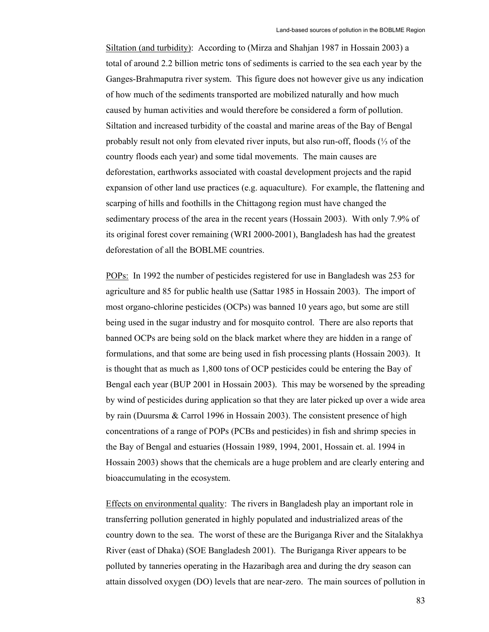Siltation (and turbidity): According to (Mirza and Shahjan 1987 in Hossain 2003) a total of around 2.2 billion metric tons of sediments is carried to the sea each year by the Ganges-Brahmaputra river system. This figure does not however give us any indication of how much of the sediments transported are mobilized naturally and how much caused by human activities and would therefore be considered a form of pollution. Siltation and increased turbidity of the coastal and marine areas of the Bay of Bengal probably result not only from elevated river inputs, but also run-off, floods (⅓ of the country floods each year) and some tidal movements. The main causes are deforestation, earthworks associated with coastal development projects and the rapid expansion of other land use practices (e.g. aquaculture). For example, the flattening and scarping of hills and foothills in the Chittagong region must have changed the sedimentary process of the area in the recent years (Hossain 2003). With only 7.9% of its original forest cover remaining (WRI 2000-2001), Bangladesh has had the greatest deforestation of all the BOBLME countries.

POPs: In 1992 the number of pesticides registered for use in Bangladesh was 253 for agriculture and 85 for public health use (Sattar 1985 in Hossain 2003). The import of most organo-chlorine pesticides (OCPs) was banned 10 years ago, but some are still being used in the sugar industry and for mosquito control. There are also reports that banned OCPs are being sold on the black market where they are hidden in a range of formulations, and that some are being used in fish processing plants (Hossain 2003). It is thought that as much as 1,800 tons of OCP pesticides could be entering the Bay of Bengal each year (BUP 2001 in Hossain 2003). This may be worsened by the spreading by wind of pesticides during application so that they are later picked up over a wide area by rain (Duursma & Carrol 1996 in Hossain 2003). The consistent presence of high concentrations of a range of POPs (PCBs and pesticides) in fish and shrimp species in the Bay of Bengal and estuaries (Hossain 1989, 1994, 2001, Hossain et. al. 1994 in Hossain 2003) shows that the chemicals are a huge problem and are clearly entering and bioaccumulating in the ecosystem.

Effects on environmental quality: The rivers in Bangladesh play an important role in transferring pollution generated in highly populated and industrialized areas of the country down to the sea. The worst of these are the Buriganga River and the Sitalakhya River (east of Dhaka) (SOE Bangladesh 2001). The Buriganga River appears to be polluted by tanneries operating in the Hazaribagh area and during the dry season can attain dissolved oxygen (DO) levels that are near-zero. The main sources of pollution in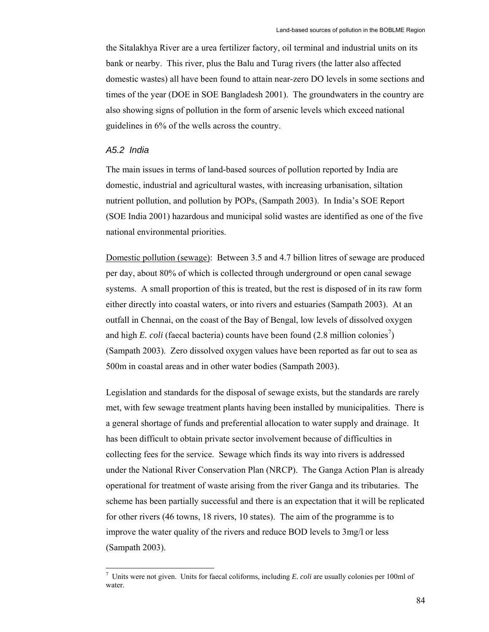the Sitalakhya River are a urea fertilizer factory, oil terminal and industrial units on its bank or nearby. This river, plus the Balu and Turag rivers (the latter also affected domestic wastes) all have been found to attain near-zero DO levels in some sections and times of the year (DOE in SOE Bangladesh 2001). The groundwaters in the country are also showing signs of pollution in the form of arsenic levels which exceed national guidelines in 6% of the wells across the country.

# *A5.2 India*

The main issues in terms of land-based sources of pollution reported by India are domestic, industrial and agricultural wastes, with increasing urbanisation, siltation nutrient pollution, and pollution by POPs, (Sampath 2003). In India's SOE Report (SOE India 2001) hazardous and municipal solid wastes are identified as one of the five national environmental priorities.

Domestic pollution (sewage): Between 3.5 and 4.7 billion litres of sewage are produced per day, about 80% of which is collected through underground or open canal sewage systems. A small proportion of this is treated, but the rest is disposed of in its raw form either directly into coastal waters, or into rivers and estuaries (Sampath 2003). At an outfall in Chennai, on the coast of the Bay of Bengal, low levels of dissolved oxygen and high *E. coli* (faecal bacteria) counts have been found  $(2.8 \text{ million colonies}^7)$ (Sampath 2003). Zero dissolved oxygen values have been reported as far out to sea as 500m in coastal areas and in other water bodies (Sampath 2003).

Legislation and standards for the disposal of sewage exists, but the standards are rarely met, with few sewage treatment plants having been installed by municipalities. There is a general shortage of funds and preferential allocation to water supply and drainage. It has been difficult to obtain private sector involvement because of difficulties in collecting fees for the service. Sewage which finds its way into rivers is addressed under the National River Conservation Plan (NRCP). The Ganga Action Plan is already operational for treatment of waste arising from the river Ganga and its tributaries. The scheme has been partially successful and there is an expectation that it will be replicated for other rivers (46 towns, 18 rivers, 10 states). The aim of the programme is to improve the water quality of the rivers and reduce BOD levels to 3mg/l or less (Sampath 2003).

 7 Units were not given. Units for faecal coliforms, including *E. coli* are usually colonies per 100ml of water.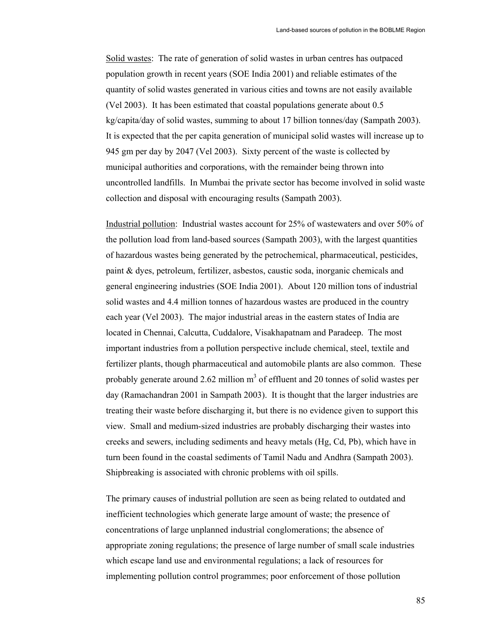Solid wastes: The rate of generation of solid wastes in urban centres has outpaced population growth in recent years (SOE India 2001) and reliable estimates of the quantity of solid wastes generated in various cities and towns are not easily available (Vel 2003). It has been estimated that coastal populations generate about 0.5 kg/capita/day of solid wastes, summing to about 17 billion tonnes/day (Sampath 2003). It is expected that the per capita generation of municipal solid wastes will increase up to 945 gm per day by 2047 (Vel 2003). Sixty percent of the waste is collected by municipal authorities and corporations, with the remainder being thrown into uncontrolled landfills. In Mumbai the private sector has become involved in solid waste collection and disposal with encouraging results (Sampath 2003).

Industrial pollution: Industrial wastes account for 25% of wastewaters and over 50% of the pollution load from land-based sources (Sampath 2003), with the largest quantities of hazardous wastes being generated by the petrochemical, pharmaceutical, pesticides, paint & dyes, petroleum, fertilizer, asbestos, caustic soda, inorganic chemicals and general engineering industries (SOE India 2001). About 120 million tons of industrial solid wastes and 4.4 million tonnes of hazardous wastes are produced in the country each year (Vel 2003). The major industrial areas in the eastern states of India are located in Chennai, Calcutta, Cuddalore, Visakhapatnam and Paradeep. The most important industries from a pollution perspective include chemical, steel, textile and fertilizer plants, though pharmaceutical and automobile plants are also common. These probably generate around 2.62 million  $m<sup>3</sup>$  of effluent and 20 tonnes of solid wastes per day (Ramachandran 2001 in Sampath 2003). It is thought that the larger industries are treating their waste before discharging it, but there is no evidence given to support this view. Small and medium-sized industries are probably discharging their wastes into creeks and sewers, including sediments and heavy metals (Hg, Cd, Pb), which have in turn been found in the coastal sediments of Tamil Nadu and Andhra (Sampath 2003). Shipbreaking is associated with chronic problems with oil spills.

The primary causes of industrial pollution are seen as being related to outdated and inefficient technologies which generate large amount of waste; the presence of concentrations of large unplanned industrial conglomerations; the absence of appropriate zoning regulations; the presence of large number of small scale industries which escape land use and environmental regulations; a lack of resources for implementing pollution control programmes; poor enforcement of those pollution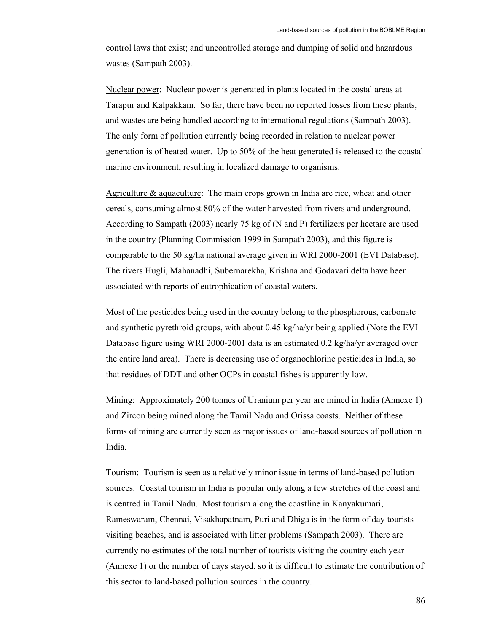control laws that exist; and uncontrolled storage and dumping of solid and hazardous wastes (Sampath 2003).

Nuclear power: Nuclear power is generated in plants located in the costal areas at Tarapur and Kalpakkam. So far, there have been no reported losses from these plants, and wastes are being handled according to international regulations (Sampath 2003). The only form of pollution currently being recorded in relation to nuclear power generation is of heated water. Up to 50% of the heat generated is released to the coastal marine environment, resulting in localized damage to organisms.

Agriculture & aquaculture: The main crops grown in India are rice, wheat and other cereals, consuming almost 80% of the water harvested from rivers and underground. According to Sampath (2003) nearly 75 kg of (N and P) fertilizers per hectare are used in the country (Planning Commission 1999 in Sampath 2003), and this figure is comparable to the 50 kg/ha national average given in WRI 2000-2001 (EVI Database). The rivers Hugli, Mahanadhi, Subernarekha, Krishna and Godavari delta have been associated with reports of eutrophication of coastal waters.

Most of the pesticides being used in the country belong to the phosphorous, carbonate and synthetic pyrethroid groups, with about 0.45 kg/ha/yr being applied (Note the EVI Database figure using WRI 2000-2001 data is an estimated 0.2 kg/ha/yr averaged over the entire land area). There is decreasing use of organochlorine pesticides in India, so that residues of DDT and other OCPs in coastal fishes is apparently low.

Mining: Approximately 200 tonnes of Uranium per year are mined in India (Annexe 1) and Zircon being mined along the Tamil Nadu and Orissa coasts. Neither of these forms of mining are currently seen as major issues of land-based sources of pollution in India.

Tourism: Tourism is seen as a relatively minor issue in terms of land-based pollution sources. Coastal tourism in India is popular only along a few stretches of the coast and is centred in Tamil Nadu. Most tourism along the coastline in Kanyakumari, Rameswaram, Chennai, Visakhapatnam, Puri and Dhiga is in the form of day tourists visiting beaches, and is associated with litter problems (Sampath 2003). There are currently no estimates of the total number of tourists visiting the country each year (Annexe 1) or the number of days stayed, so it is difficult to estimate the contribution of this sector to land-based pollution sources in the country.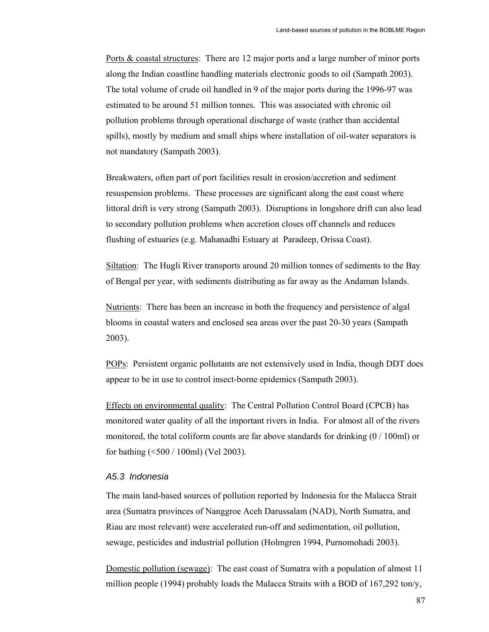Ports & coastal structures: There are 12 major ports and a large number of minor ports along the Indian coastline handling materials electronic goods to oil (Sampath 2003). The total volume of crude oil handled in 9 of the major ports during the 1996-97 was estimated to be around 51 million tonnes. This was associated with chronic oil pollution problems through operational discharge of waste (rather than accidental spills), mostly by medium and small ships where installation of oil-water separators is not mandatory (Sampath 2003).

Breakwaters, often part of port facilities result in erosion/accretion and sediment resuspension problems. These processes are significant along the east coast where littoral drift is very strong (Sampath 2003). Disruptions in longshore drift can also lead to secondary pollution problems when accretion closes off channels and reduces flushing of estuaries (e.g. Mahanadhi Estuary at Paradeep, Orissa Coast).

Siltation: The Hugli River transports around 20 million tonnes of sediments to the Bay of Bengal per year, with sediments distributing as far away as the Andaman Islands.

Nutrients: There has been an increase in both the frequency and persistence of algal blooms in coastal waters and enclosed sea areas over the past 20-30 years (Sampath 2003).

POPs: Persistent organic pollutants are not extensively used in India, though DDT does appear to be in use to control insect-borne epidemics (Sampath 2003).

Effects on environmental quality: The Central Pollution Control Board (CPCB) has monitored water quality of all the important rivers in India. For almost all of the rivers monitored, the total coliform counts are far above standards for drinking  $(0/100<sub>ml</sub>)$  or for bathing (<500 / 100ml) (Vel 2003).

# *A5.3 Indonesia*

The main land-based sources of pollution reported by Indonesia for the Malacca Strait area (Sumatra provinces of Nanggroe Aceh Darussalam (NAD), North Sumatra, and Riau are most relevant) were accelerated run-off and sedimentation, oil pollution, sewage, pesticides and industrial pollution (Holmgren 1994, Purnomohadi 2003).

Domestic pollution (sewage): The east coast of Sumatra with a population of almost 11 million people (1994) probably loads the Malacca Straits with a BOD of 167,292 ton/y,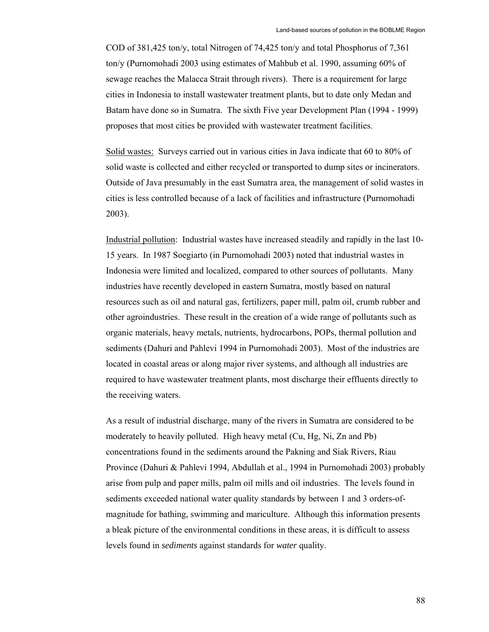COD of 381,425 ton/y, total Nitrogen of 74,425 ton/y and total Phosphorus of 7,361 ton/y (Purnomohadi 2003 using estimates of Mahbub et al. 1990, assuming 60% of sewage reaches the Malacca Strait through rivers). There is a requirement for large cities in Indonesia to install wastewater treatment plants, but to date only Medan and Batam have done so in Sumatra. The sixth Five year Development Plan (1994 - 1999) proposes that most cities be provided with wastewater treatment facilities.

Solid wastes: Surveys carried out in various cities in Java indicate that 60 to 80% of solid waste is collected and either recycled or transported to dump sites or incinerators. Outside of Java presumably in the east Sumatra area, the management of solid wastes in cities is less controlled because of a lack of facilities and infrastructure (Purnomohadi 2003).

Industrial pollution: Industrial wastes have increased steadily and rapidly in the last 10- 15 years. In 1987 Soegiarto (in Purnomohadi 2003) noted that industrial wastes in Indonesia were limited and localized, compared to other sources of pollutants. Many industries have recently developed in eastern Sumatra, mostly based on natural resources such as oil and natural gas, fertilizers, paper mill, palm oil, crumb rubber and other agroindustries. These result in the creation of a wide range of pollutants such as organic materials, heavy metals, nutrients, hydrocarbons, POPs, thermal pollution and sediments (Dahuri and Pahlevi 1994 in Purnomohadi 2003). Most of the industries are located in coastal areas or along major river systems, and although all industries are required to have wastewater treatment plants, most discharge their effluents directly to the receiving waters.

As a result of industrial discharge, many of the rivers in Sumatra are considered to be moderately to heavily polluted. High heavy metal (Cu, Hg, Ni, Zn and Pb) concentrations found in the sediments around the Pakning and Siak Rivers, Riau Province (Dahuri & Pahlevi 1994, Abdullah et al., 1994 in Purnomohadi 2003) probably arise from pulp and paper mills, palm oil mills and oil industries. The levels found in sediments exceeded national water quality standards by between 1 and 3 orders-ofmagnitude for bathing, swimming and mariculture. Although this information presents a bleak picture of the environmental conditions in these areas, it is difficult to assess levels found in *sediments* against standards for *water* quality.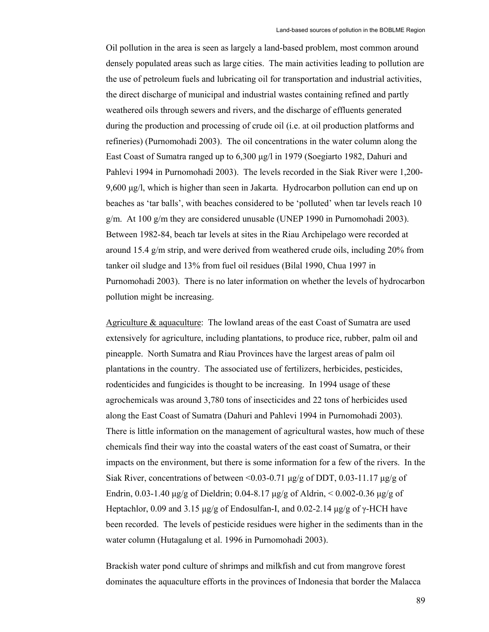Oil pollution in the area is seen as largely a land-based problem, most common around densely populated areas such as large cities. The main activities leading to pollution are the use of petroleum fuels and lubricating oil for transportation and industrial activities, the direct discharge of municipal and industrial wastes containing refined and partly weathered oils through sewers and rivers, and the discharge of effluents generated during the production and processing of crude oil (i.e. at oil production platforms and refineries) (Purnomohadi 2003). The oil concentrations in the water column along the East Coast of Sumatra ranged up to 6,300 µg/l in 1979 (Soegiarto 1982, Dahuri and Pahlevi 1994 in Purnomohadi 2003). The levels recorded in the Siak River were 1,200- 9,600 µg/l, which is higher than seen in Jakarta. Hydrocarbon pollution can end up on beaches as 'tar balls', with beaches considered to be 'polluted' when tar levels reach 10 g/m. At 100 g/m they are considered unusable (UNEP 1990 in Purnomohadi 2003). Between 1982-84, beach tar levels at sites in the Riau Archipelago were recorded at around 15.4 g/m strip, and were derived from weathered crude oils, including 20% from tanker oil sludge and 13% from fuel oil residues (Bilal 1990, Chua 1997 in Purnomohadi 2003). There is no later information on whether the levels of hydrocarbon pollution might be increasing.

Agriculture & aquaculture: The lowland areas of the east Coast of Sumatra are used extensively for agriculture, including plantations, to produce rice, rubber, palm oil and pineapple. North Sumatra and Riau Provinces have the largest areas of palm oil plantations in the country. The associated use of fertilizers, herbicides, pesticides, rodenticides and fungicides is thought to be increasing. In 1994 usage of these agrochemicals was around 3,780 tons of insecticides and 22 tons of herbicides used along the East Coast of Sumatra (Dahuri and Pahlevi 1994 in Purnomohadi 2003). There is little information on the management of agricultural wastes, how much of these chemicals find their way into the coastal waters of the east coast of Sumatra, or their impacts on the environment, but there is some information for a few of the rivers. In the Siak River, concentrations of between <0.03-0.71  $\mu$ g/g of DDT, 0.03-11.17  $\mu$ g/g of Endrin, 0.03-1.40  $\mu$ g/g of Dieldrin; 0.04-8.17  $\mu$ g/g of Aldrin, < 0.002-0.36  $\mu$ g/g of Heptachlor, 0.09 and 3.15  $\mu$ g/g of Endosulfan-I, and 0.02-2.14  $\mu$ g/g of  $\gamma$ -HCH have been recorded. The levels of pesticide residues were higher in the sediments than in the water column (Hutagalung et al. 1996 in Purnomohadi 2003).

Brackish water pond culture of shrimps and milkfish and cut from mangrove forest dominates the aquaculture efforts in the provinces of Indonesia that border the Malacca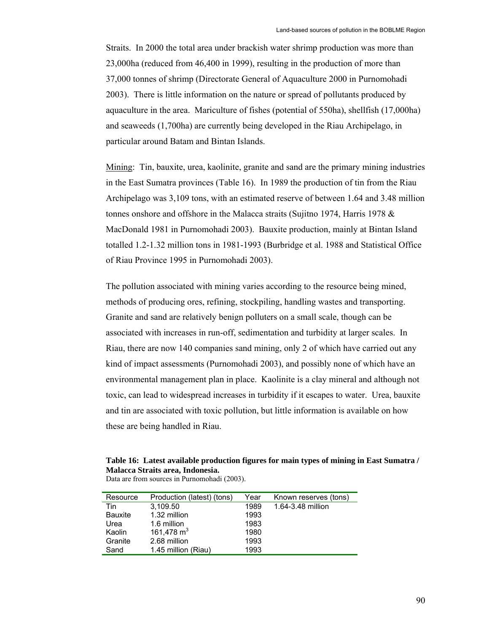Straits. In 2000 the total area under brackish water shrimp production was more than 23,000ha (reduced from 46,400 in 1999), resulting in the production of more than 37,000 tonnes of shrimp (Directorate General of Aquaculture 2000 in Purnomohadi 2003). There is little information on the nature or spread of pollutants produced by aquaculture in the area. Mariculture of fishes (potential of 550ha), shellfish (17,000ha) and seaweeds (1,700ha) are currently being developed in the Riau Archipelago, in particular around Batam and Bintan Islands.

Mining: Tin, bauxite, urea, kaolinite, granite and sand are the primary mining industries in the East Sumatra provinces (Table 16). In 1989 the production of tin from the Riau Archipelago was 3,109 tons, with an estimated reserve of between 1.64 and 3.48 million tonnes onshore and offshore in the Malacca straits (Sujitno 1974, Harris 1978 & MacDonald 1981 in Purnomohadi 2003). Bauxite production, mainly at Bintan Island totalled 1.2-1.32 million tons in 1981-1993 (Burbridge et al. 1988 and Statistical Office of Riau Province 1995 in Purnomohadi 2003).

The pollution associated with mining varies according to the resource being mined, methods of producing ores, refining, stockpiling, handling wastes and transporting. Granite and sand are relatively benign polluters on a small scale, though can be associated with increases in run-off, sedimentation and turbidity at larger scales. In Riau, there are now 140 companies sand mining, only 2 of which have carried out any kind of impact assessments (Purnomohadi 2003), and possibly none of which have an environmental management plan in place. Kaolinite is a clay mineral and although not toxic, can lead to widespread increases in turbidity if it escapes to water. Urea, bauxite and tin are associated with toxic pollution, but little information is available on how these are being handled in Riau.

**Table 16: Latest available production figures for main types of mining in East Sumatra / Malacca Straits area, Indonesia.** 

| Resource       | Production (latest) (tons) | Year | Known reserves (tons) |
|----------------|----------------------------|------|-----------------------|
| Tin            | 3,109.50                   | 1989 | 1.64-3.48 million     |
| <b>Bauxite</b> | 1.32 million               | 1993 |                       |
| Urea           | 1.6 million                | 1983 |                       |
| Kaolin         | 161,478 $m3$               | 1980 |                       |
| Granite        | 2.68 million               | 1993 |                       |
| Sand           | 1.45 million (Riau)        | 1993 |                       |
|                |                            |      |                       |

Data are from sources in Purnomohadi (2003).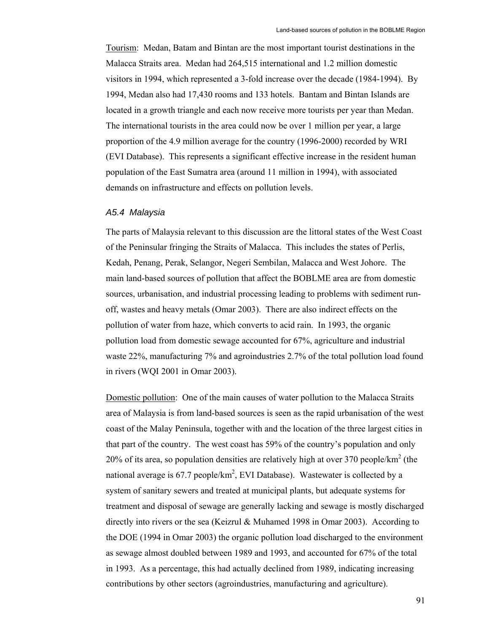Tourism: Medan, Batam and Bintan are the most important tourist destinations in the Malacca Straits area. Medan had 264,515 international and 1.2 million domestic visitors in 1994, which represented a 3-fold increase over the decade (1984-1994). By 1994, Medan also had 17,430 rooms and 133 hotels. Bantam and Bintan Islands are located in a growth triangle and each now receive more tourists per year than Medan. The international tourists in the area could now be over 1 million per year, a large proportion of the 4.9 million average for the country (1996-2000) recorded by WRI (EVI Database). This represents a significant effective increase in the resident human population of the East Sumatra area (around 11 million in 1994), with associated demands on infrastructure and effects on pollution levels.

## *A5.4 Malaysia*

The parts of Malaysia relevant to this discussion are the littoral states of the West Coast of the Peninsular fringing the Straits of Malacca. This includes the states of Perlis, Kedah, Penang, Perak, Selangor, Negeri Sembilan, Malacca and West Johore. The main land-based sources of pollution that affect the BOBLME area are from domestic sources, urbanisation, and industrial processing leading to problems with sediment runoff, wastes and heavy metals (Omar 2003). There are also indirect effects on the pollution of water from haze, which converts to acid rain. In 1993, the organic pollution load from domestic sewage accounted for 67%, agriculture and industrial waste 22%, manufacturing 7% and agroindustries 2.7% of the total pollution load found in rivers (WQI 2001 in Omar 2003).

Domestic pollution: One of the main causes of water pollution to the Malacca Straits area of Malaysia is from land-based sources is seen as the rapid urbanisation of the west coast of the Malay Peninsula, together with and the location of the three largest cities in that part of the country. The west coast has 59% of the country's population and only 20% of its area, so population densities are relatively high at over 370 people/ $km^2$  (the national average is 67.7 people/ $km^2$ , EVI Database). Wastewater is collected by a system of sanitary sewers and treated at municipal plants, but adequate systems for treatment and disposal of sewage are generally lacking and sewage is mostly discharged directly into rivers or the sea (Keizrul & Muhamed 1998 in Omar 2003). According to the DOE (1994 in Omar 2003) the organic pollution load discharged to the environment as sewage almost doubled between 1989 and 1993, and accounted for 67% of the total in 1993. As a percentage, this had actually declined from 1989, indicating increasing contributions by other sectors (agroindustries, manufacturing and agriculture).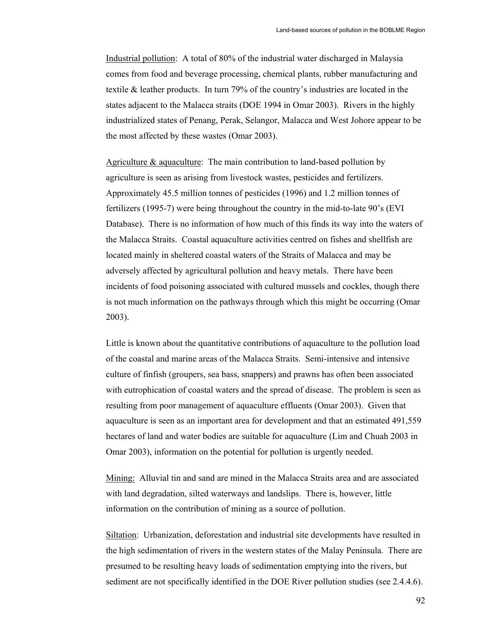Industrial pollution: A total of 80% of the industrial water discharged in Malaysia comes from food and beverage processing, chemical plants, rubber manufacturing and textile & leather products. In turn 79% of the country's industries are located in the states adjacent to the Malacca straits (DOE 1994 in Omar 2003). Rivers in the highly industrialized states of Penang, Perak, Selangor, Malacca and West Johore appear to be the most affected by these wastes (Omar 2003).

Agriculture & aquaculture: The main contribution to land-based pollution by agriculture is seen as arising from livestock wastes, pesticides and fertilizers. Approximately 45.5 million tonnes of pesticides (1996) and 1.2 million tonnes of fertilizers (1995-7) were being throughout the country in the mid-to-late 90's (EVI Database). There is no information of how much of this finds its way into the waters of the Malacca Straits. Coastal aquaculture activities centred on fishes and shellfish are located mainly in sheltered coastal waters of the Straits of Malacca and may be adversely affected by agricultural pollution and heavy metals. There have been incidents of food poisoning associated with cultured mussels and cockles, though there is not much information on the pathways through which this might be occurring (Omar 2003).

Little is known about the quantitative contributions of aquaculture to the pollution load of the coastal and marine areas of the Malacca Straits. Semi-intensive and intensive culture of finfish (groupers, sea bass, snappers) and prawns has often been associated with eutrophication of coastal waters and the spread of disease. The problem is seen as resulting from poor management of aquaculture effluents (Omar 2003). Given that aquaculture is seen as an important area for development and that an estimated 491,559 hectares of land and water bodies are suitable for aquaculture (Lim and Chuah 2003 in Omar 2003), information on the potential for pollution is urgently needed.

Mining: Alluvial tin and sand are mined in the Malacca Straits area and are associated with land degradation, silted waterways and landslips. There is, however, little information on the contribution of mining as a source of pollution.

Siltation: Urbanization, deforestation and industrial site developments have resulted in the high sedimentation of rivers in the western states of the Malay Peninsula. There are presumed to be resulting heavy loads of sedimentation emptying into the rivers, but sediment are not specifically identified in the DOE River pollution studies (see 2.4.4.6).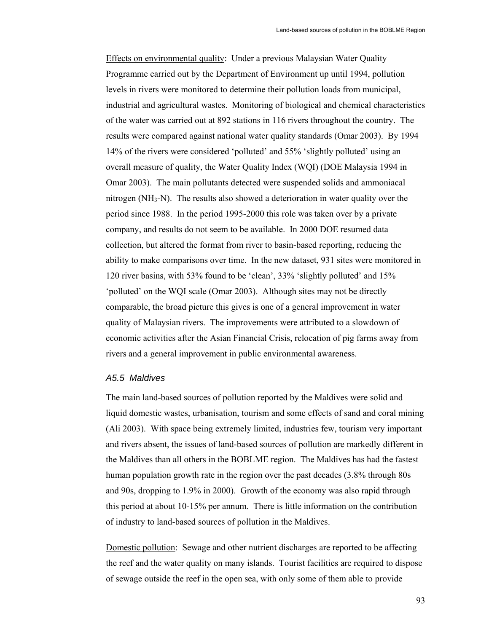Effects on environmental quality: Under a previous Malaysian Water Quality Programme carried out by the Department of Environment up until 1994, pollution levels in rivers were monitored to determine their pollution loads from municipal, industrial and agricultural wastes. Monitoring of biological and chemical characteristics of the water was carried out at 892 stations in 116 rivers throughout the country. The results were compared against national water quality standards (Omar 2003). By 1994 14% of the rivers were considered 'polluted' and 55% 'slightly polluted' using an overall measure of quality, the Water Quality Index (WQI) (DOE Malaysia 1994 in Omar 2003). The main pollutants detected were suspended solids and ammoniacal nitrogen  $(NH<sub>3</sub>-N)$ . The results also showed a deterioration in water quality over the period since 1988. In the period 1995-2000 this role was taken over by a private company, and results do not seem to be available. In 2000 DOE resumed data collection, but altered the format from river to basin-based reporting, reducing the ability to make comparisons over time. In the new dataset, 931 sites were monitored in 120 river basins, with 53% found to be 'clean', 33% 'slightly polluted' and 15% 'polluted' on the WQI scale (Omar 2003). Although sites may not be directly comparable, the broad picture this gives is one of a general improvement in water quality of Malaysian rivers. The improvements were attributed to a slowdown of economic activities after the Asian Financial Crisis, relocation of pig farms away from rivers and a general improvement in public environmental awareness.

## *A5.5 Maldives*

The main land-based sources of pollution reported by the Maldives were solid and liquid domestic wastes, urbanisation, tourism and some effects of sand and coral mining (Ali 2003). With space being extremely limited, industries few, tourism very important and rivers absent, the issues of land-based sources of pollution are markedly different in the Maldives than all others in the BOBLME region. The Maldives has had the fastest human population growth rate in the region over the past decades (3.8% through 80s and 90s, dropping to 1.9% in 2000). Growth of the economy was also rapid through this period at about 10-15% per annum. There is little information on the contribution of industry to land-based sources of pollution in the Maldives.

Domestic pollution: Sewage and other nutrient discharges are reported to be affecting the reef and the water quality on many islands. Tourist facilities are required to dispose of sewage outside the reef in the open sea, with only some of them able to provide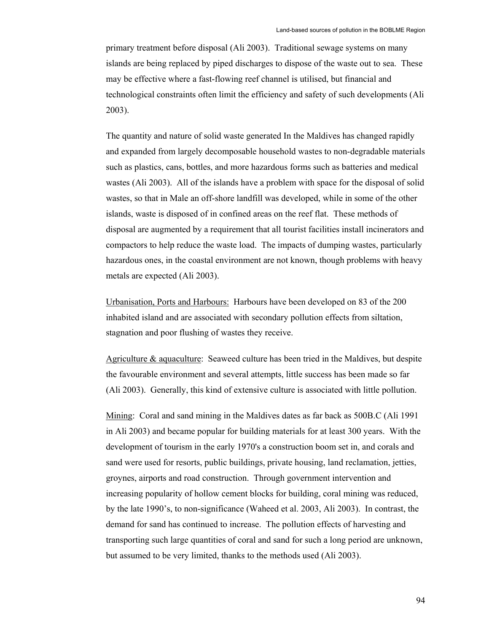primary treatment before disposal (Ali 2003). Traditional sewage systems on many islands are being replaced by piped discharges to dispose of the waste out to sea. These may be effective where a fast-flowing reef channel is utilised, but financial and technological constraints often limit the efficiency and safety of such developments (Ali 2003).

The quantity and nature of solid waste generated In the Maldives has changed rapidly and expanded from largely decomposable household wastes to non-degradable materials such as plastics, cans, bottles, and more hazardous forms such as batteries and medical wastes (Ali 2003). All of the islands have a problem with space for the disposal of solid wastes, so that in Male an off-shore landfill was developed, while in some of the other islands, waste is disposed of in confined areas on the reef flat. These methods of disposal are augmented by a requirement that all tourist facilities install incinerators and compactors to help reduce the waste load. The impacts of dumping wastes, particularly hazardous ones, in the coastal environment are not known, though problems with heavy metals are expected (Ali 2003).

Urbanisation, Ports and Harbours: Harbours have been developed on 83 of the 200 inhabited island and are associated with secondary pollution effects from siltation, stagnation and poor flushing of wastes they receive.

Agriculture & aquaculture: Seaweed culture has been tried in the Maldives, but despite the favourable environment and several attempts, little success has been made so far (Ali 2003). Generally, this kind of extensive culture is associated with little pollution.

Mining: Coral and sand mining in the Maldives dates as far back as 500B.C (Ali 1991 in Ali 2003) and became popular for building materials for at least 300 years. With the development of tourism in the early 1970's a construction boom set in, and corals and sand were used for resorts, public buildings, private housing, land reclamation, jetties, groynes, airports and road construction. Through government intervention and increasing popularity of hollow cement blocks for building, coral mining was reduced, by the late 1990's, to non-significance (Waheed et al. 2003, Ali 2003). In contrast, the demand for sand has continued to increase. The pollution effects of harvesting and transporting such large quantities of coral and sand for such a long period are unknown, but assumed to be very limited, thanks to the methods used (Ali 2003).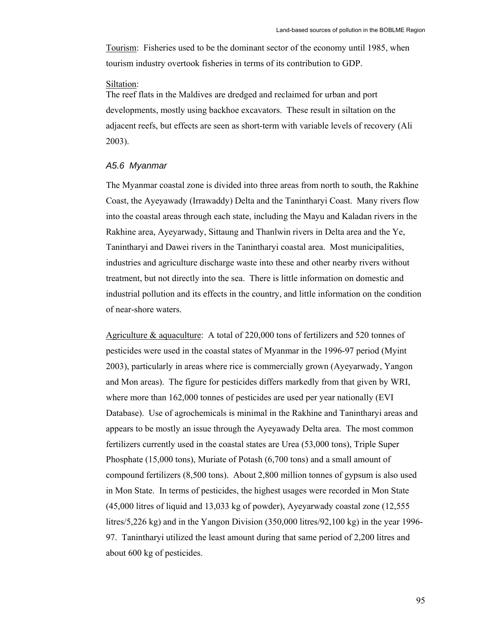Tourism: Fisheries used to be the dominant sector of the economy until 1985, when tourism industry overtook fisheries in terms of its contribution to GDP.

## Siltation:

The reef flats in the Maldives are dredged and reclaimed for urban and port developments, mostly using backhoe excavators. These result in siltation on the adjacent reefs, but effects are seen as short-term with variable levels of recovery (Ali 2003).

#### *A5.6 Myanmar*

The Myanmar coastal zone is divided into three areas from north to south, the Rakhine Coast, the Ayeyawady (Irrawaddy) Delta and the Tanintharyi Coast. Many rivers flow into the coastal areas through each state, including the Mayu and Kaladan rivers in the Rakhine area, Ayeyarwady, Sittaung and Thanlwin rivers in Delta area and the Ye, Tanintharyi and Dawei rivers in the Tanintharyi coastal area. Most municipalities, industries and agriculture discharge waste into these and other nearby rivers without treatment, but not directly into the sea. There is little information on domestic and industrial pollution and its effects in the country, and little information on the condition of near-shore waters.

Agriculture & aquaculture: A total of 220,000 tons of fertilizers and 520 tonnes of pesticides were used in the coastal states of Myanmar in the 1996-97 period (Myint 2003), particularly in areas where rice is commercially grown (Ayeyarwady, Yangon and Mon areas). The figure for pesticides differs markedly from that given by WRI, where more than 162,000 tonnes of pesticides are used per year nationally (EVI Database). Use of agrochemicals is minimal in the Rakhine and Tanintharyi areas and appears to be mostly an issue through the Ayeyawady Delta area. The most common fertilizers currently used in the coastal states are Urea (53,000 tons), Triple Super Phosphate (15,000 tons), Muriate of Potash (6,700 tons) and a small amount of compound fertilizers (8,500 tons). About 2,800 million tonnes of gypsum is also used in Mon State. In terms of pesticides, the highest usages were recorded in Mon State (45,000 litres of liquid and 13,033 kg of powder), Ayeyarwady coastal zone (12,555 litres/5,226 kg) and in the Yangon Division (350,000 litres/92,100 kg) in the year 1996- 97. Tanintharyi utilized the least amount during that same period of 2,200 litres and about 600 kg of pesticides.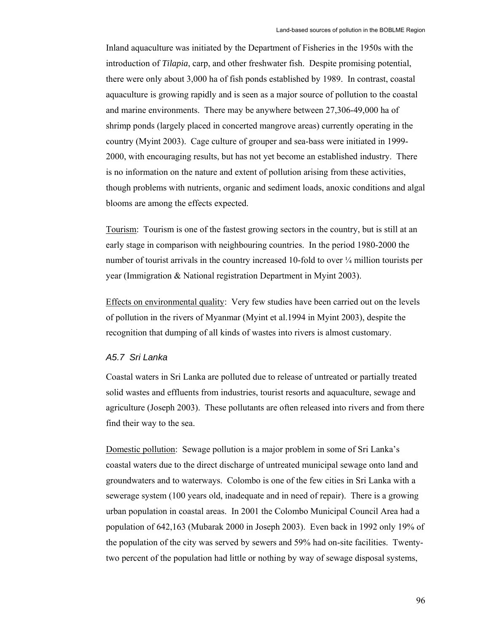Inland aquaculture was initiated by the Department of Fisheries in the 1950s with the introduction of *Tilapia*, carp, and other freshwater fish. Despite promising potential, there were only about 3,000 ha of fish ponds established by 1989. In contrast, coastal aquaculture is growing rapidly and is seen as a major source of pollution to the coastal and marine environments. There may be anywhere between 27,306-49,000 ha of shrimp ponds (largely placed in concerted mangrove areas) currently operating in the country (Myint 2003). Cage culture of grouper and sea-bass were initiated in 1999- 2000, with encouraging results, but has not yet become an established industry. There is no information on the nature and extent of pollution arising from these activities, though problems with nutrients, organic and sediment loads, anoxic conditions and algal blooms are among the effects expected.

Tourism: Tourism is one of the fastest growing sectors in the country, but is still at an early stage in comparison with neighbouring countries. In the period 1980-2000 the number of tourist arrivals in the country increased 10-fold to over  $\frac{1}{4}$  million tourists per year (Immigration & National registration Department in Myint 2003).

Effects on environmental quality: Very few studies have been carried out on the levels of pollution in the rivers of Myanmar (Myint et al.1994 in Myint 2003), despite the recognition that dumping of all kinds of wastes into rivers is almost customary.

# *A5.7 Sri Lanka*

Coastal waters in Sri Lanka are polluted due to release of untreated or partially treated solid wastes and effluents from industries, tourist resorts and aquaculture, sewage and agriculture (Joseph 2003). These pollutants are often released into rivers and from there find their way to the sea.

Domestic pollution: Sewage pollution is a major problem in some of Sri Lanka's coastal waters due to the direct discharge of untreated municipal sewage onto land and groundwaters and to waterways. Colombo is one of the few cities in Sri Lanka with a sewerage system (100 years old, inadequate and in need of repair). There is a growing urban population in coastal areas. In 2001 the Colombo Municipal Council Area had a population of 642,163 (Mubarak 2000 in Joseph 2003). Even back in 1992 only 19% of the population of the city was served by sewers and 59% had on-site facilities. Twentytwo percent of the population had little or nothing by way of sewage disposal systems,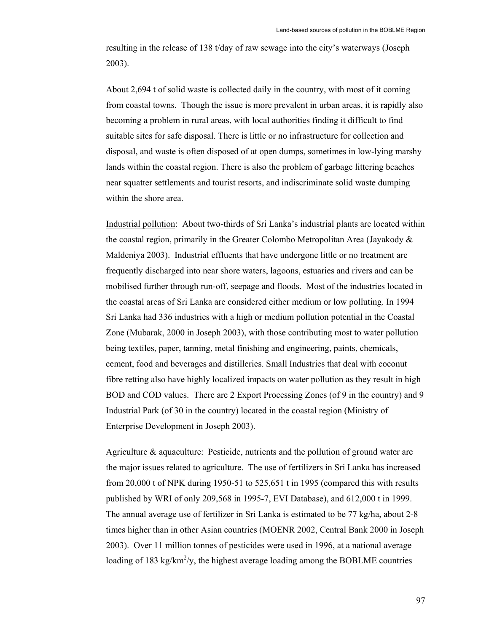resulting in the release of 138 t/day of raw sewage into the city's waterways (Joseph 2003).

About 2,694 t of solid waste is collected daily in the country, with most of it coming from coastal towns. Though the issue is more prevalent in urban areas, it is rapidly also becoming a problem in rural areas, with local authorities finding it difficult to find suitable sites for safe disposal. There is little or no infrastructure for collection and disposal, and waste is often disposed of at open dumps, sometimes in low-lying marshy lands within the coastal region. There is also the problem of garbage littering beaches near squatter settlements and tourist resorts, and indiscriminate solid waste dumping within the shore area.

Industrial pollution: About two-thirds of Sri Lanka's industrial plants are located within the coastal region, primarily in the Greater Colombo Metropolitan Area (Jayakody & Maldeniya 2003). Industrial effluents that have undergone little or no treatment are frequently discharged into near shore waters, lagoons, estuaries and rivers and can be mobilised further through run-off, seepage and floods. Most of the industries located in the coastal areas of Sri Lanka are considered either medium or low polluting. In 1994 Sri Lanka had 336 industries with a high or medium pollution potential in the Coastal Zone (Mubarak, 2000 in Joseph 2003), with those contributing most to water pollution being textiles, paper, tanning, metal finishing and engineering, paints, chemicals, cement, food and beverages and distilleries. Small Industries that deal with coconut fibre retting also have highly localized impacts on water pollution as they result in high BOD and COD values. There are 2 Export Processing Zones (of 9 in the country) and 9 Industrial Park (of 30 in the country) located in the coastal region (Ministry of Enterprise Development in Joseph 2003).

Agriculture & aquaculture: Pesticide, nutrients and the pollution of ground water are the major issues related to agriculture. The use of fertilizers in Sri Lanka has increased from 20,000 t of NPK during 1950-51 to 525,651 t in 1995 (compared this with results published by WRI of only 209,568 in 1995-7, EVI Database), and 612,000 t in 1999. The annual average use of fertilizer in Sri Lanka is estimated to be 77 kg/ha, about 2-8 times higher than in other Asian countries (MOENR 2002, Central Bank 2000 in Joseph 2003). Over 11 million tonnes of pesticides were used in 1996, at a national average loading of 183 kg/km<sup>2</sup>/y, the highest average loading among the BOBLME countries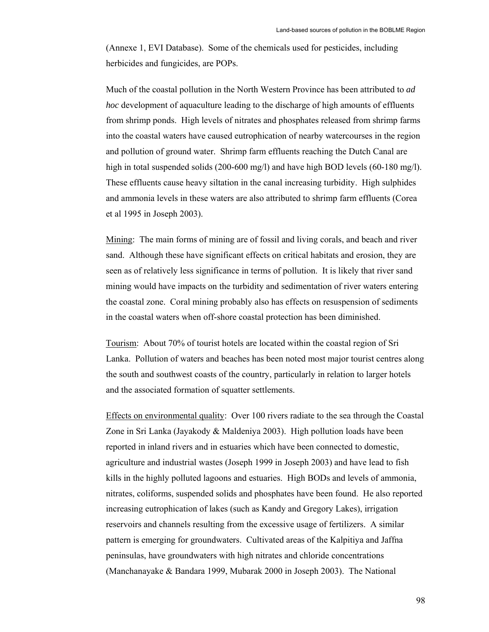(Annexe 1, EVI Database). Some of the chemicals used for pesticides, including herbicides and fungicides, are POPs.

Much of the coastal pollution in the North Western Province has been attributed to *ad hoc* development of aquaculture leading to the discharge of high amounts of effluents from shrimp ponds. High levels of nitrates and phosphates released from shrimp farms into the coastal waters have caused eutrophication of nearby watercourses in the region and pollution of ground water. Shrimp farm effluents reaching the Dutch Canal are high in total suspended solids (200-600 mg/l) and have high BOD levels (60-180 mg/l). These effluents cause heavy siltation in the canal increasing turbidity. High sulphides and ammonia levels in these waters are also attributed to shrimp farm effluents (Corea et al 1995 in Joseph 2003).

Mining: The main forms of mining are of fossil and living corals, and beach and river sand. Although these have significant effects on critical habitats and erosion, they are seen as of relatively less significance in terms of pollution. It is likely that river sand mining would have impacts on the turbidity and sedimentation of river waters entering the coastal zone. Coral mining probably also has effects on resuspension of sediments in the coastal waters when off-shore coastal protection has been diminished.

Tourism: About 70% of tourist hotels are located within the coastal region of Sri Lanka. Pollution of waters and beaches has been noted most major tourist centres along the south and southwest coasts of the country, particularly in relation to larger hotels and the associated formation of squatter settlements.

Effects on environmental quality: Over 100 rivers radiate to the sea through the Coastal Zone in Sri Lanka (Jayakody & Maldeniya 2003). High pollution loads have been reported in inland rivers and in estuaries which have been connected to domestic, agriculture and industrial wastes (Joseph 1999 in Joseph 2003) and have lead to fish kills in the highly polluted lagoons and estuaries. High BODs and levels of ammonia, nitrates, coliforms, suspended solids and phosphates have been found. He also reported increasing eutrophication of lakes (such as Kandy and Gregory Lakes), irrigation reservoirs and channels resulting from the excessive usage of fertilizers. A similar pattern is emerging for groundwaters. Cultivated areas of the Kalpitiya and Jaffna peninsulas, have groundwaters with high nitrates and chloride concentrations (Manchanayake & Bandara 1999, Mubarak 2000 in Joseph 2003). The National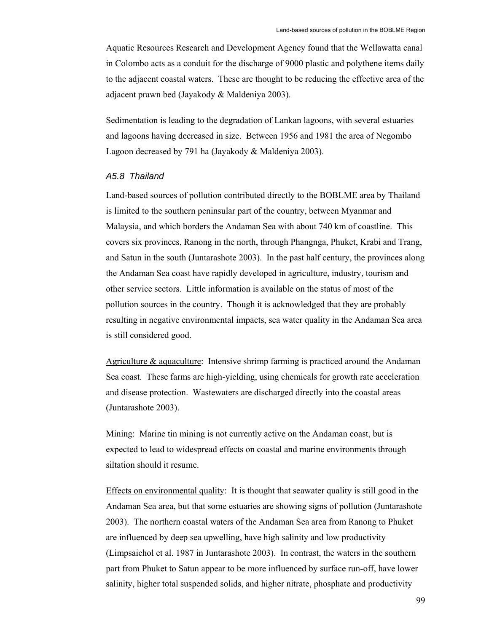Aquatic Resources Research and Development Agency found that the Wellawatta canal in Colombo acts as a conduit for the discharge of 9000 plastic and polythene items daily to the adjacent coastal waters. These are thought to be reducing the effective area of the adjacent prawn bed (Jayakody & Maldeniya 2003).

Sedimentation is leading to the degradation of Lankan lagoons, with several estuaries and lagoons having decreased in size. Between 1956 and 1981 the area of Negombo Lagoon decreased by 791 ha (Jayakody & Maldeniya 2003).

## *A5.8 Thailand*

Land-based sources of pollution contributed directly to the BOBLME area by Thailand is limited to the southern peninsular part of the country, between Myanmar and Malaysia, and which borders the Andaman Sea with about 740 km of coastline. This covers six provinces, Ranong in the north, through Phangnga, Phuket, Krabi and Trang, and Satun in the south (Juntarashote 2003). In the past half century, the provinces along the Andaman Sea coast have rapidly developed in agriculture, industry, tourism and other service sectors. Little information is available on the status of most of the pollution sources in the country. Though it is acknowledged that they are probably resulting in negative environmental impacts, sea water quality in the Andaman Sea area is still considered good.

Agriculture & aquaculture: Intensive shrimp farming is practiced around the Andaman Sea coast. These farms are high-yielding, using chemicals for growth rate acceleration and disease protection. Wastewaters are discharged directly into the coastal areas (Juntarashote 2003).

Mining: Marine tin mining is not currently active on the Andaman coast, but is expected to lead to widespread effects on coastal and marine environments through siltation should it resume.

Effects on environmental quality: It is thought that seawater quality is still good in the Andaman Sea area, but that some estuaries are showing signs of pollution (Juntarashote 2003). The northern coastal waters of the Andaman Sea area from Ranong to Phuket are influenced by deep sea upwelling, have high salinity and low productivity (Limpsaichol et al. 1987 in Juntarashote 2003). In contrast, the waters in the southern part from Phuket to Satun appear to be more influenced by surface run-off, have lower salinity, higher total suspended solids, and higher nitrate, phosphate and productivity